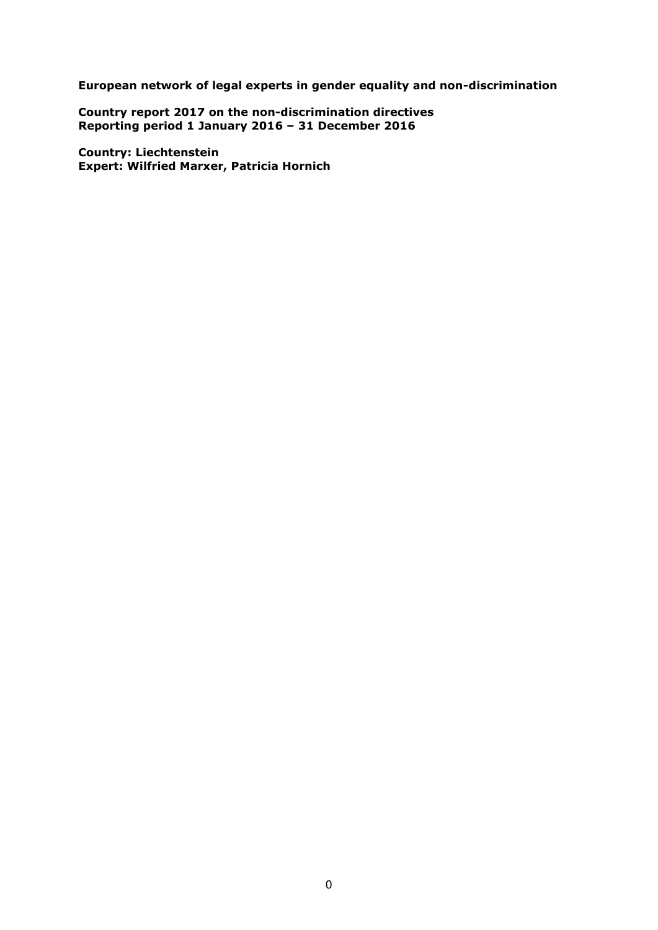**European network of legal experts in gender equality and non-discrimination**

**Country report 2017 on the non-discrimination directives Reporting period 1 January 2016 – 31 December 2016**

**Country: Liechtenstein Expert: Wilfried Marxer, Patricia Hornich**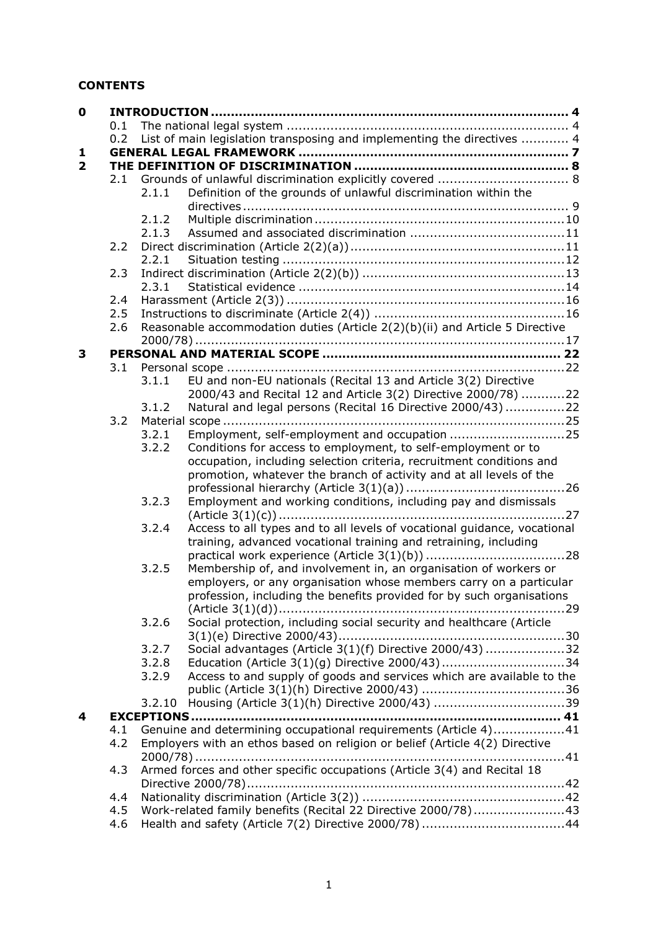# **CONTENTS**

| $\mathbf 0$             |     |        |                                                                              |  |
|-------------------------|-----|--------|------------------------------------------------------------------------------|--|
|                         | 0.1 |        |                                                                              |  |
|                         | 0.2 |        | List of main legislation transposing and implementing the directives  4      |  |
| 1                       |     |        |                                                                              |  |
| $\overline{\mathbf{2}}$ |     |        |                                                                              |  |
|                         | 2.1 |        |                                                                              |  |
|                         |     | 2.1.1  | Definition of the grounds of unlawful discrimination within the              |  |
|                         |     |        |                                                                              |  |
|                         |     | 2.1.2  |                                                                              |  |
|                         |     | 2.1.3  |                                                                              |  |
|                         | 2.2 | 2.2.1  |                                                                              |  |
|                         | 2.3 |        |                                                                              |  |
|                         |     | 2.3.1  |                                                                              |  |
|                         | 2.4 |        |                                                                              |  |
|                         | 2.5 |        |                                                                              |  |
|                         | 2.6 |        | Reasonable accommodation duties (Article 2(2)(b)(ii) and Article 5 Directive |  |
|                         |     |        |                                                                              |  |
| 3                       |     |        |                                                                              |  |
|                         | 3.1 |        |                                                                              |  |
|                         |     | 3.1.1  | EU and non-EU nationals (Recital 13 and Article 3(2) Directive               |  |
|                         |     |        | 2000/43 and Recital 12 and Article 3(2) Directive 2000/78) 22                |  |
|                         |     | 3.1.2  | Natural and legal persons (Recital 16 Directive 2000/43)22                   |  |
|                         | 3.2 |        |                                                                              |  |
|                         |     | 3.2.1  | Employment, self-employment and occupation 25                                |  |
|                         |     | 3.2.2  | Conditions for access to employment, to self-employment or to                |  |
|                         |     |        | occupation, including selection criteria, recruitment conditions and         |  |
|                         |     |        | promotion, whatever the branch of activity and at all levels of the          |  |
|                         |     |        |                                                                              |  |
|                         |     | 3.2.3  | Employment and working conditions, including pay and dismissals              |  |
|                         |     | 3.2.4  | Access to all types and to all levels of vocational guidance, vocational     |  |
|                         |     |        | training, advanced vocational training and retraining, including             |  |
|                         |     |        |                                                                              |  |
|                         |     | 3.2.5  | Membership of, and involvement in, an organisation of workers or             |  |
|                         |     |        | employers, or any organisation whose members carry on a particular           |  |
|                         |     |        | profession, including the benefits provided for by such organisations        |  |
|                         |     |        |                                                                              |  |
|                         |     | 3.2.6  | Social protection, including social security and healthcare (Article         |  |
|                         |     |        |                                                                              |  |
|                         |     | 3.2.7  | Social advantages (Article 3(1)(f) Directive 2000/43) 32                     |  |
|                         |     | 3.2.8  | Education (Article 3(1)(g) Directive 2000/43)34                              |  |
|                         |     | 3.2.9  | Access to and supply of goods and services which are available to the        |  |
|                         |     |        |                                                                              |  |
|                         |     | 3.2.10 |                                                                              |  |
| 4                       |     |        |                                                                              |  |
|                         | 4.1 |        | Genuine and determining occupational requirements (Article 4)41              |  |
|                         | 4.2 |        | Employers with an ethos based on religion or belief (Article 4(2) Directive  |  |
|                         |     |        | Armed forces and other specific occupations (Article 3(4) and Recital 18     |  |
|                         | 4.3 |        |                                                                              |  |
|                         | 4.4 |        |                                                                              |  |
|                         | 4.5 |        | Work-related family benefits (Recital 22 Directive 2000/78)43                |  |
|                         | 4.6 |        |                                                                              |  |
|                         |     |        |                                                                              |  |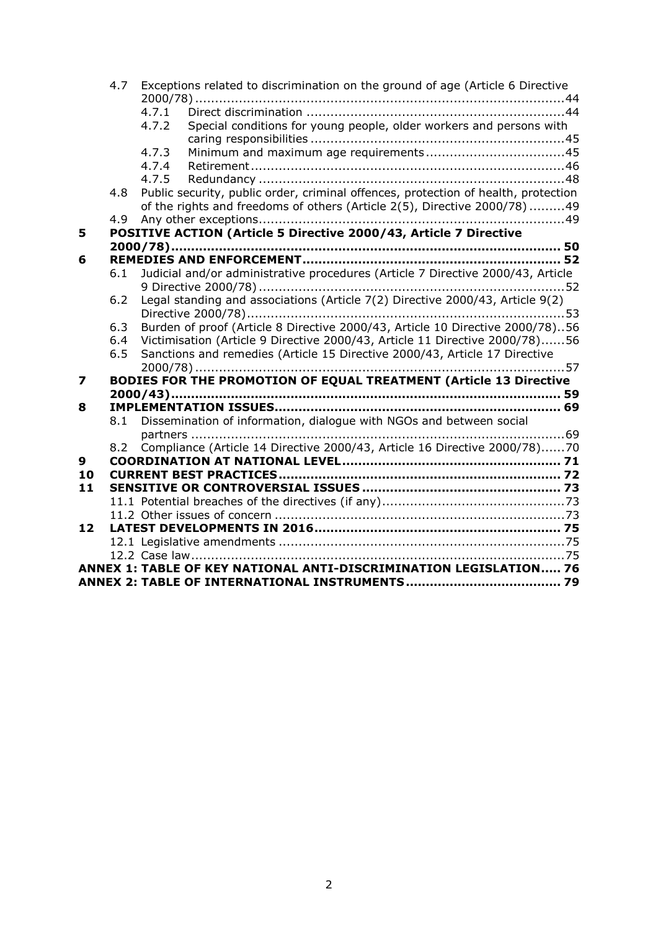|                         | 4.7 | Exceptions related to discrimination on the ground of age (Article 6 Directive     |  |
|-------------------------|-----|------------------------------------------------------------------------------------|--|
|                         |     | 4.7.1                                                                              |  |
|                         |     | Special conditions for young people, older workers and persons with<br>4.7.2       |  |
|                         |     |                                                                                    |  |
|                         |     | 4.7.3                                                                              |  |
|                         |     | 4.7.4                                                                              |  |
|                         |     | 4.7.5                                                                              |  |
|                         | 4.8 | Public security, public order, criminal offences, protection of health, protection |  |
|                         |     | of the rights and freedoms of others (Article 2(5), Directive 2000/78)49           |  |
|                         | 4.9 |                                                                                    |  |
| 5                       |     | POSITIVE ACTION (Article 5 Directive 2000/43, Article 7 Directive                  |  |
|                         |     |                                                                                    |  |
| 6                       |     |                                                                                    |  |
|                         | 6.1 | Judicial and/or administrative procedures (Article 7 Directive 2000/43, Article    |  |
|                         |     |                                                                                    |  |
|                         | 6.2 | Legal standing and associations (Article 7(2) Directive 2000/43, Article 9(2)      |  |
|                         |     |                                                                                    |  |
|                         | 6.3 | Burden of proof (Article 8 Directive 2000/43, Article 10 Directive 2000/78)56      |  |
|                         | 6.4 | Victimisation (Article 9 Directive 2000/43, Article 11 Directive 2000/78)56        |  |
|                         | 6.5 | Sanctions and remedies (Article 15 Directive 2000/43, Article 17 Directive         |  |
|                         |     |                                                                                    |  |
| $\overline{\mathbf{z}}$ |     | BODIES FOR THE PROMOTION OF EQUAL TREATMENT (Article 13 Directive                  |  |
|                         |     |                                                                                    |  |
| 8                       | 8.1 | Dissemination of information, dialogue with NGOs and between social                |  |
|                         |     |                                                                                    |  |
|                         | 8.2 | Compliance (Article 14 Directive 2000/43, Article 16 Directive 2000/78)70          |  |
| 9                       |     |                                                                                    |  |
| 10                      |     |                                                                                    |  |
| 11                      |     |                                                                                    |  |
|                         |     |                                                                                    |  |
|                         |     |                                                                                    |  |
| 12                      |     |                                                                                    |  |
|                         |     |                                                                                    |  |
|                         |     |                                                                                    |  |
|                         |     | ANNEX 1: TABLE OF KEY NATIONAL ANTI-DISCRIMINATION LEGISLATION 76                  |  |
|                         |     |                                                                                    |  |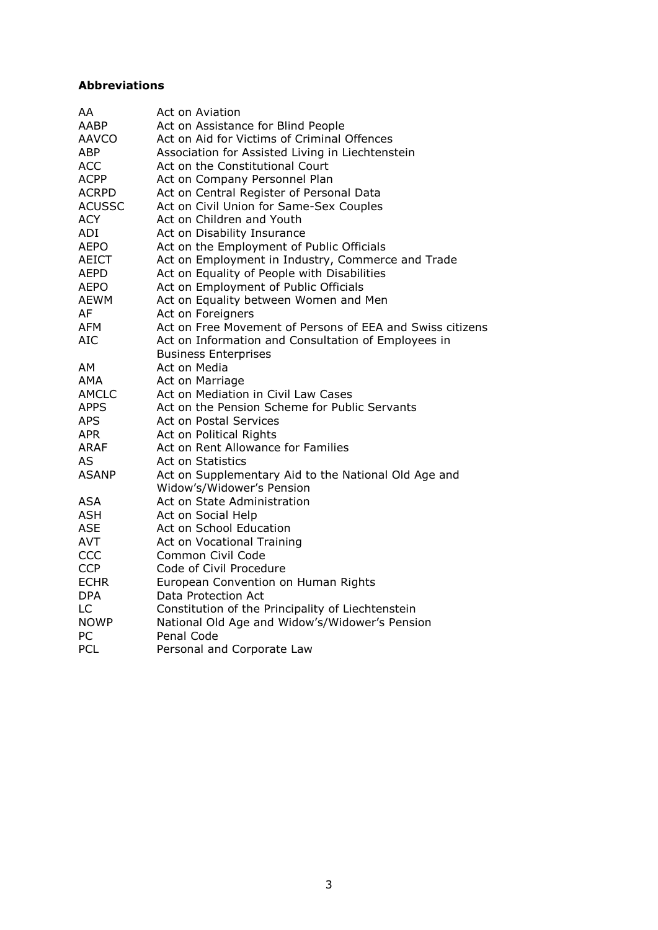# **Abbreviations**

| AA            | Act on Aviation                                           |
|---------------|-----------------------------------------------------------|
| <b>AABP</b>   | Act on Assistance for Blind People                        |
| <b>AAVCO</b>  | Act on Aid for Victims of Criminal Offences               |
| <b>ABP</b>    | Association for Assisted Living in Liechtenstein          |
| <b>ACC</b>    | Act on the Constitutional Court                           |
| <b>ACPP</b>   | Act on Company Personnel Plan                             |
| <b>ACRPD</b>  | Act on Central Register of Personal Data                  |
| <b>ACUSSC</b> | Act on Civil Union for Same-Sex Couples                   |
| <b>ACY</b>    | Act on Children and Youth                                 |
| ADI           | Act on Disability Insurance                               |
| <b>AEPO</b>   | Act on the Employment of Public Officials                 |
| <b>AEICT</b>  | Act on Employment in Industry, Commerce and Trade         |
| <b>AEPD</b>   | Act on Equality of People with Disabilities               |
| <b>AEPO</b>   | Act on Employment of Public Officials                     |
| <b>AEWM</b>   | Act on Equality between Women and Men                     |
| AF            | Act on Foreigners                                         |
| AFM           | Act on Free Movement of Persons of EEA and Swiss citizens |
| <b>AIC</b>    | Act on Information and Consultation of Employees in       |
|               | <b>Business Enterprises</b>                               |
| AM            | Act on Media                                              |
| AMA           | Act on Marriage                                           |
| <b>AMCLC</b>  | Act on Mediation in Civil Law Cases                       |
| <b>APPS</b>   | Act on the Pension Scheme for Public Servants             |
| <b>APS</b>    | <b>Act on Postal Services</b>                             |
| <b>APR</b>    | Act on Political Rights                                   |
| <b>ARAF</b>   | Act on Rent Allowance for Families                        |
| AS            | <b>Act on Statistics</b>                                  |
| <b>ASANP</b>  | Act on Supplementary Aid to the National Old Age and      |
|               | Widow's/Widower's Pension                                 |
| ASA           | Act on State Administration                               |
| <b>ASH</b>    | Act on Social Help                                        |
| <b>ASE</b>    | Act on School Education                                   |
| <b>AVT</b>    | Act on Vocational Training                                |
| CCC           | Common Civil Code                                         |
| <b>CCP</b>    | Code of Civil Procedure                                   |
| <b>ECHR</b>   | European Convention on Human Rights                       |
| <b>DPA</b>    | Data Protection Act                                       |
| LC            | Constitution of the Principality of Liechtenstein         |
| <b>NOWP</b>   | National Old Age and Widow's/Widower's Pension            |
| PC            | Penal Code                                                |
| <b>PCL</b>    | Personal and Corporate Law                                |
|               |                                                           |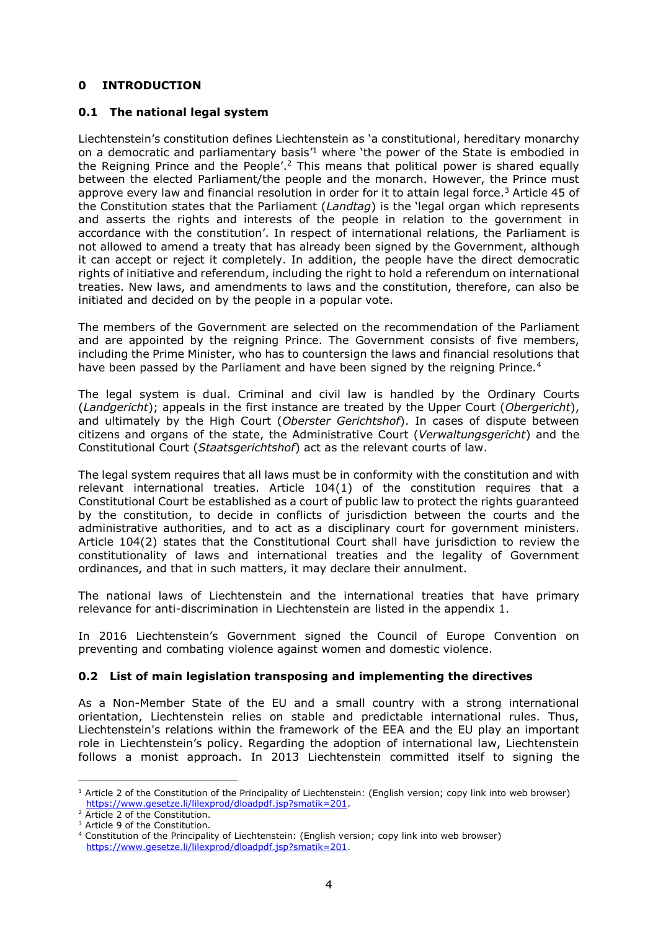# <span id="page-4-0"></span>**0 INTRODUCTION**

## <span id="page-4-1"></span>**0.1 The national legal system**

Liechtenstein's constitution defines Liechtenstein as 'a constitutional, hereditary monarchy on a democratic and parliamentary basis<sup> $1$ </sup> where 'the power of the State is embodied in the Reigning Prince and the People'.<sup>2</sup> This means that political power is shared equally between the elected Parliament/the people and the monarch. However, the Prince must approve every law and financial resolution in order for it to attain legal force.<sup>3</sup> Article 45 of the Constitution states that the Parliament (*Landtag*) is the 'legal organ which represents and asserts the rights and interests of the people in relation to the government in accordance with the constitution'. In respect of international relations, the Parliament is not allowed to amend a treaty that has already been signed by the Government, although it can accept or reject it completely. In addition, the people have the direct democratic rights of initiative and referendum, including the right to hold a referendum on international treaties. New laws, and amendments to laws and the constitution, therefore, can also be initiated and decided on by the people in a popular vote.

The members of the Government are selected on the recommendation of the Parliament and are appointed by the reigning Prince. The Government consists of five members, including the Prime Minister, who has to countersign the laws and financial resolutions that have been passed by the Parliament and have been signed by the reigning Prince.<sup>4</sup>

The legal system is dual. Criminal and civil law is handled by the Ordinary Courts (*Landgericht*); appeals in the first instance are treated by the Upper Court (*Obergericht*), and ultimately by the High Court (*Oberster Gerichtshof*). In cases of dispute between citizens and organs of the state, the Administrative Court (*Verwaltungsgericht*) and the Constitutional Court (*Staatsgerichtshof*) act as the relevant courts of law.

The legal system requires that all laws must be in conformity with the constitution and with relevant international treaties. Article 104(1) of the constitution requires that a Constitutional Court be established as a court of public law to protect the rights guaranteed by the constitution, to decide in conflicts of jurisdiction between the courts and the administrative authorities, and to act as a disciplinary court for government ministers. Article 104(2) states that the Constitutional Court shall have jurisdiction to review the constitutionality of laws and international treaties and the legality of Government ordinances, and that in such matters, it may declare their annulment.

The national laws of Liechtenstein and the international treaties that have primary relevance for anti-discrimination in Liechtenstein are listed in the appendix 1.

In 2016 Liechtenstein's Government signed the Council of Europe Convention on preventing and combating violence against women and domestic violence.

# <span id="page-4-2"></span>**0.2 List of main legislation transposing and implementing the directives**

As a Non-Member State of the EU and a small country with a strong international orientation, Liechtenstein relies on stable and predictable international rules. Thus, Liechtenstein's relations within the framework of the EEA and the EU play an important role in Liechtenstein's policy. Regarding the adoption of international law, Liechtenstein follows a monist approach. In 2013 Liechtenstein committed itself to signing the

 $1$  Article 2 of the Constitution of the Principality of Liechtenstein: (English version; copy link into web browser) [https://www.gesetze.li/lilexprod/dloadpdf.jsp?smatik=201.](https://www.gesetze.li/lilexprod/dloadpdf.jsp?smatik=201)

<sup>&</sup>lt;sup>2</sup> Article 2 of the Constitution.

<sup>&</sup>lt;sup>3</sup> Article 9 of the Constitution.

<sup>4</sup> Constitution of the Principality of Liechtenstein: (English version; copy link into web browser) [https://www.gesetze.li/lilexprod/dloadpdf.jsp?smatik=201.](https://www.gesetze.li/lilexprod/dloadpdf.jsp?smatik=201)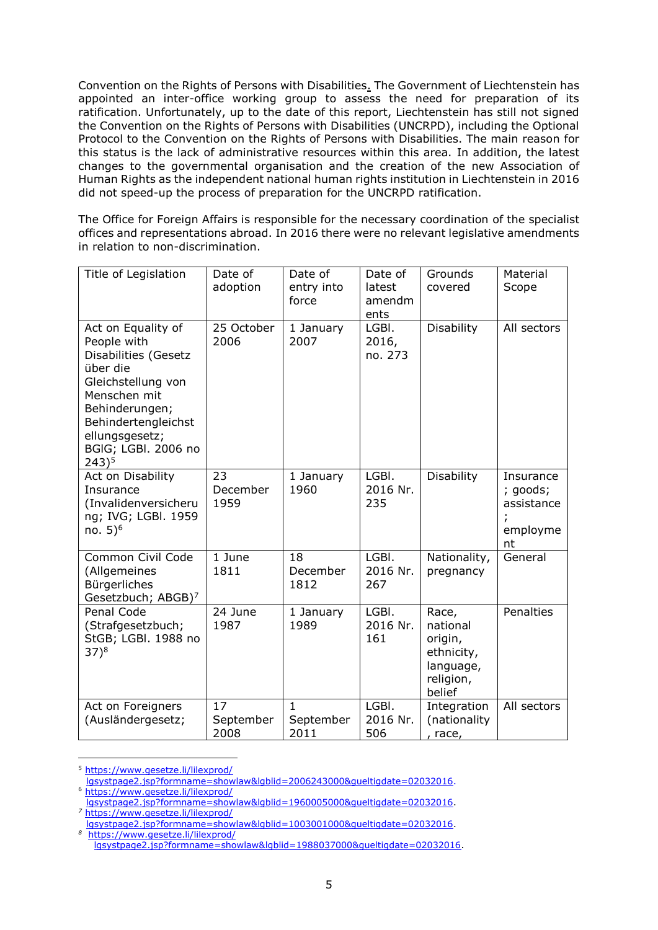Convention on the Rights of Persons with Disabilities. The Government of Liechtenstein has appointed an inter-office working group to assess the need for preparation of its ratification. Unfortunately, up to the date of this report, Liechtenstein has still not signed the Convention on the Rights of Persons with Disabilities (UNCRPD), including the Optional Protocol to the Convention on the Rights of Persons with Disabilities. The main reason for this status is the lack of administrative resources within this area. In addition, the latest changes to the governmental organisation and the creation of the new Association of Human Rights as the independent national human rights institution in Liechtenstein in 2016 did not speed-up the process of preparation for the UNCRPD ratification.

The Office for Foreign Affairs is responsible for the necessary coordination of the specialist offices and representations abroad. In 2016 there were no relevant legislative amendments in relation to non-discrimination.

| Title of Legislation                                                                                                                                                                                        | Date of<br>adoption     | Date of<br>entry into<br>force    | Date of<br>latest<br>amendm<br>ents | Grounds<br>covered                                                             | Material<br>Scope                                     |
|-------------------------------------------------------------------------------------------------------------------------------------------------------------------------------------------------------------|-------------------------|-----------------------------------|-------------------------------------|--------------------------------------------------------------------------------|-------------------------------------------------------|
| Act on Equality of<br>People with<br>Disabilities (Gesetz<br>über die<br>Gleichstellung von<br>Menschen mit<br>Behinderungen;<br>Behindertengleichst<br>ellungsgesetz;<br>BGIG; LGBI. 2006 no<br>$243)^{5}$ | 25 October<br>2006      | 1 January<br>2007                 | LGBI.<br>2016,<br>no. 273           | <b>Disability</b>                                                              | All sectors                                           |
| Act on Disability<br>Insurance<br>(Invalidenversicheru<br>ng; IVG; LGBI. 1959<br>no. $5)^6$                                                                                                                 | 23<br>December<br>1959  | 1 January<br>1960                 | LGBI.<br>2016 Nr.<br>235            | Disability                                                                     | Insurance<br>; goods;<br>assistance<br>employme<br>nt |
| Common Civil Code<br>(Allgemeines<br>Bürgerliches<br>Gesetzbuch; ABGB) <sup>7</sup>                                                                                                                         | 1 June<br>1811          | 18<br>December<br>1812            | LGBI.<br>2016 Nr.<br>267            | Nationality,<br>pregnancy                                                      | General                                               |
| Penal Code<br>(Strafgesetzbuch;<br>StGB; LGBI. 1988 no<br>$(37)^8$                                                                                                                                          | 24 June<br>1987         | 1 January<br>1989                 | LGBI.<br>2016 Nr.<br>161            | Race,<br>national<br>origin,<br>ethnicity,<br>language,<br>religion,<br>belief | <b>Penalties</b>                                      |
| Act on Foreigners<br>(Ausländergesetz;                                                                                                                                                                      | 17<br>September<br>2008 | $\mathbf{1}$<br>September<br>2011 | LGBI.<br>2016 Nr.<br>506            | Integration<br>(nationality<br>, race,                                         | All sectors                                           |

 $\overline{a}$ <sup>5</sup> [https://www.gesetze.li/lilexprod/](https://www.gesetze.li/lilexprod/lgsystpage2.jsp?formname=showlaw&lgblid=2006243000&gueltigdate=02032016)

[lgsystpage2.jsp?formname=showlaw&lgblid=2006243000&gueltigdate=02032016.](https://www.gesetze.li/lilexprod/lgsystpage2.jsp?formname=showlaw&lgblid=2006243000&gueltigdate=02032016) <sup>6</sup> [https://www.gesetze.li/lilexprod/](https://www.gesetze.li/lilexprod/lgsystpage2.jsp?formname=showlaw&lgblid=1960005000&gueltigdate=02032016)

[lgsystpage2.jsp?formname=showlaw&lgblid=1960005000&gueltigdate=02032016.](https://www.gesetze.li/lilexprod/lgsystpage2.jsp?formname=showlaw&lgblid=1960005000&gueltigdate=02032016) *<sup>7</sup>* [https://www.gesetze.li/lilexprod/](https://www.gesetze.li/lilexprod/lgsystpage2.jsp?formname=showlaw&lgblid=1003001000&gueltigdate=02032016)

[lgsystpage2.jsp?formname=showlaw&lgblid=1003001000&gueltigdate=02032016.](https://www.gesetze.li/lilexprod/lgsystpage2.jsp?formname=showlaw&lgblid=1003001000&gueltigdate=02032016)

*<sup>8</sup>*  [https://www.gesetze.li/lilexprod/](https://www.gesetze.li/lilexprod/lgsystpage2.jsp?formname=showlaw&lgblid=1988037000&gueltigdate=02032016) [lgsystpage2.jsp?formname=showlaw&lgblid=1988037000&gueltigdate=02032016.](https://www.gesetze.li/lilexprod/lgsystpage2.jsp?formname=showlaw&lgblid=1988037000&gueltigdate=02032016)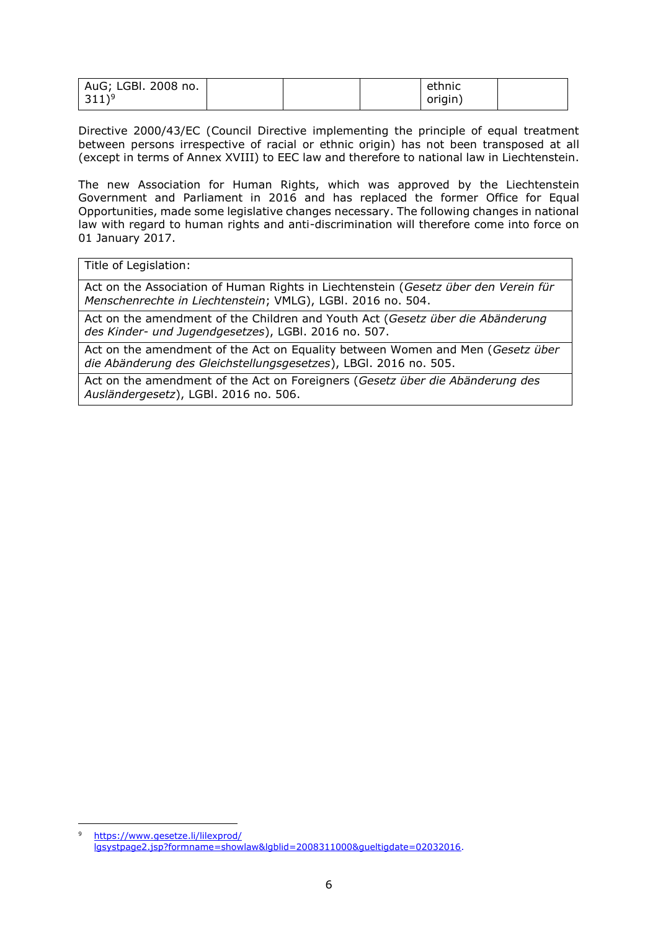| AuG; LGBI. 2008 no. |  | ethnic  |  |
|---------------------|--|---------|--|
| $311)^9$            |  | origin) |  |

Directive 2000/43/EC (Council Directive implementing the principle of equal treatment between persons irrespective of racial or ethnic origin) has not been transposed at all (except in terms of Annex XVIII) to EEC law and therefore to national law in Liechtenstein.

The new Association for Human Rights, which was approved by the Liechtenstein Government and Parliament in 2016 and has replaced the former Office for Equal Opportunities, made some legislative changes necessary. The following changes in national law with regard to human rights and anti-discrimination will therefore come into force on 01 January 2017.

Title of Legislation:

Act on the Association of Human Rights in Liechtenstein (*Gesetz über den Verein für Menschenrechte in Liechtenstein*; VMLG), LGBl. 2016 no. 504.

Act on the amendment of the Children and Youth Act (*Gesetz über die Abänderung des Kinder- und Jugendgesetzes*), LGBl. 2016 no. 507.

Act on the amendment of the Act on Equality between Women and Men (*Gesetz über die Abänderung des Gleichstellungsgesetzes*), LBGl. 2016 no. 505.

Act on the amendment of the Act on Foreigners (*Gesetz über die Abänderung des Ausländergesetz*), LGBl. 2016 no. 506.

 $\overline{a}$ <sup>9</sup> [https://www.gesetze.li/lilexprod/](https://www.gesetze.li/lilexprod/lgsystpage2.jsp?formname=showlaw&lgblid=2008311000&gueltigdate=02032016) [lgsystpage2.jsp?formname=showlaw&lgblid=2008311000&gueltigdate=02032016.](https://www.gesetze.li/lilexprod/lgsystpage2.jsp?formname=showlaw&lgblid=2008311000&gueltigdate=02032016)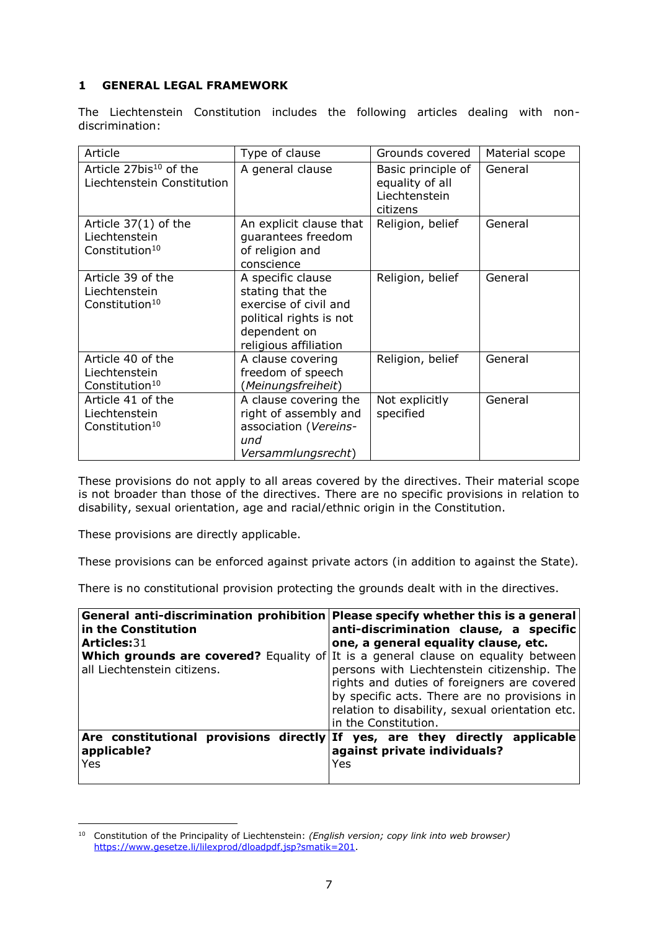# <span id="page-7-0"></span>**1 GENERAL LEGAL FRAMEWORK**

The Liechtenstein Constitution includes the following articles dealing with nondiscrimination:

| Article                                                               | Type of clause                                                                                                                     | Grounds covered                                                    | Material scope |
|-----------------------------------------------------------------------|------------------------------------------------------------------------------------------------------------------------------------|--------------------------------------------------------------------|----------------|
| Article 27bis <sup>10</sup> of the<br>Liechtenstein Constitution      | A general clause                                                                                                                   | Basic principle of<br>equality of all<br>Liechtenstein<br>citizens | General        |
| Article $37(1)$ of the<br>Liechtenstein<br>Constitution <sup>10</sup> | An explicit clause that<br>guarantees freedom<br>of religion and<br>conscience                                                     | Religion, belief                                                   | General        |
| Article 39 of the<br>Liechtenstein<br>Constitution <sup>10</sup>      | A specific clause<br>stating that the<br>exercise of civil and<br>political rights is not<br>dependent on<br>religious affiliation | Religion, belief                                                   | General        |
| Article 40 of the<br>Liechtenstein<br>Constitution <sup>10</sup>      | A clause covering<br>freedom of speech<br>(Meinungsfreiheit)                                                                       | Religion, belief                                                   | General        |
| Article 41 of the<br>Liechtenstein<br>Constitution <sup>10</sup>      | A clause covering the<br>right of assembly and<br>association (Vereins-<br>und<br>Versammlungsrecht)                               | Not explicitly<br>specified                                        | General        |

These provisions do not apply to all areas covered by the directives. Their material scope is not broader than those of the directives. There are no specific provisions in relation to disability, sexual orientation, age and racial/ethnic origin in the Constitution.

These provisions are directly applicable.

These provisions can be enforced against private actors (in addition to against the State)*.*

There is no constitutional provision protecting the grounds dealt with in the directives.

| in the Constitution                                             | General anti-discrimination prohibition Please specify whether this is a general<br>anti-discrimination clause, a specific                                                                                                                                                                                 |
|-----------------------------------------------------------------|------------------------------------------------------------------------------------------------------------------------------------------------------------------------------------------------------------------------------------------------------------------------------------------------------------|
| <b>Articles:31</b>                                              | one, a general equality clause, etc.                                                                                                                                                                                                                                                                       |
| all Liechtenstein citizens.                                     | Which grounds are covered? Equality of It is a general clause on equality between<br>persons with Liechtenstein citizenship. The<br>rights and duties of foreigners are covered<br>by specific acts. There are no provisions in<br>relation to disability, sexual orientation etc.<br>in the Constitution. |
| Are constitutional provisions directly If<br>applicable?<br>Yes | yes, are they directly<br>applicable<br>against private individuals?<br>Yes                                                                                                                                                                                                                                |

 $\overline{a}$ <sup>10</sup> Constitution of the Principality of Liechtenstein: *(English version; copy link into web browser)* [https://www.gesetze.li/lilexprod/dloadpdf.jsp?smatik=201.](https://www.gesetze.li/lilexprod/dloadpdf.jsp?smatik=201)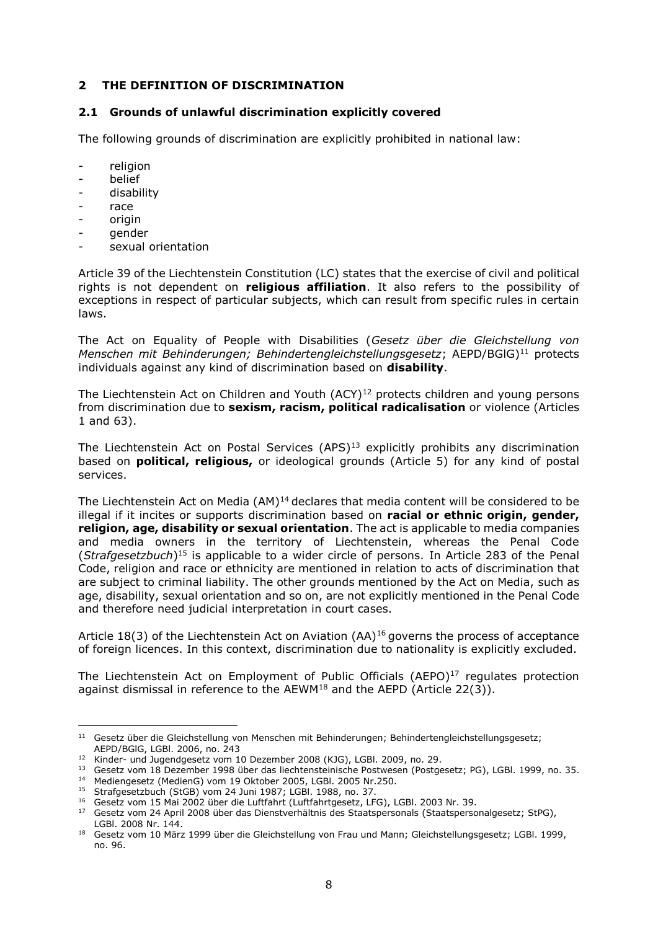## <span id="page-8-0"></span>**2 THE DEFINITION OF DISCRIMINATION**

#### <span id="page-8-1"></span>**2.1 Grounds of unlawful discrimination explicitly covered**

The following grounds of discrimination are explicitly prohibited in national law:

- religion
- **belief**
- disability
- race
- origin
- gender
- sexual orientation

Article 39 of the Liechtenstein Constitution (LC) states that the exercise of civil and political rights is not dependent on **religious affiliation**. It also refers to the possibility of exceptions in respect of particular subjects, which can result from specific rules in certain laws.

The Act on Equality of People with Disabilities (*Gesetz über die Gleichstellung von Menschen mit Behinderungen; Behindertengleichstellungsgesetz*; AEPD/BGlG) <sup>11</sup> protects individuals against any kind of discrimination based on **disability**.

The Liechtenstein Act on Children and Youth  $(ACY)^{12}$  protects children and young persons from discrimination due to **sexism, racism, political radicalisation** or violence (Articles 1 and 63).

The Liechtenstein Act on Postal Services (APS)<sup>13</sup> explicitly prohibits any discrimination based on **political, religious,** or ideological grounds (Article 5) for any kind of postal services.

The Liechtenstein Act on Media (AM)<sup>14</sup> declares that media content will be considered to be illegal if it incites or supports discrimination based on **racial or ethnic origin, gender, religion, age, disability or sexual orientation**. The act is applicable to media companies and media owners in the territory of Liechtenstein, whereas the Penal Code (*Strafgesetzbuch*) <sup>15</sup> is applicable to a wider circle of persons. In Article 283 of the Penal Code, religion and race or ethnicity are mentioned in relation to acts of discrimination that are subject to criminal liability. The other grounds mentioned by the Act on Media, such as age, disability, sexual orientation and so on, are not explicitly mentioned in the Penal Code and therefore need judicial interpretation in court cases.

Article 18(3) of the Liechtenstein Act on Aviation  $(AA)^{16}$  governs the process of acceptance of foreign licences. In this context, discrimination due to nationality is explicitly excluded.

The Liechtenstein Act on Employment of Public Officials  $(AEPO)^{17}$  regulates protection against dismissal in reference to the AEWM<sup>18</sup> and the AEPD (Article 22(3)).

 $\overline{a}$ <sup>11</sup> Gesetz über die Gleichstellung von Menschen mit Behinderungen; Behindertengleichstellungsgesetz; AEPD/BGlG, LGBl. 2006, no. 243

<sup>12</sup> Kinder- und Jugendgesetz vom 10 Dezember 2008 (KJG), LGBl. 2009, no. 29.

<sup>13</sup> Gesetz vom 18 Dezember 1998 über das liechtensteinische Postwesen (Postgesetz; PG), LGBl. 1999, no. 35.

<sup>14</sup> Mediengesetz (MedienG) vom 19 Oktober 2005, LGBl. 2005 Nr.250.

<sup>&</sup>lt;sup>15</sup> Strafgesetzbuch (StGB) vom 24 Juni 1987; LGBl. 1988, no. 37.

<sup>16</sup> Gesetz vom 15 Mai 2002 über die Luftfahrt (Luftfahrtgesetz, LFG), LGBl. 2003 Nr. 39.

<sup>&</sup>lt;sup>17</sup> Gesetz vom 24 April 2008 über das Dienstverhältnis des Staatspersonals (Staatspersonalgesetz; StPG), LGBl. 2008 Nr. 144.

<sup>18</sup> Gesetz vom 10 März 1999 über die Gleichstellung von Frau und Mann; Gleichstellungsgesetz; LGBl. 1999, no. 96.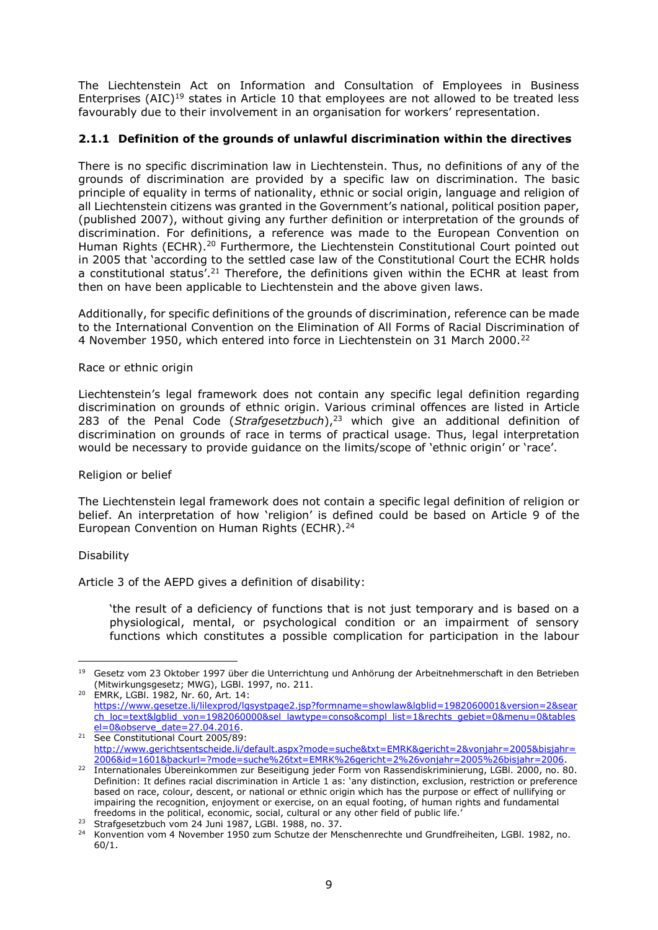The Liechtenstein Act on Information and Consultation of Employees in Business Enterprises  $(AIC)^{19}$  states in Article 10 that employees are not allowed to be treated less favourably due to their involvement in an organisation for workers' representation.

# <span id="page-9-0"></span>**2.1.1 Definition of the grounds of unlawful discrimination within the directives**

There is no specific discrimination law in Liechtenstein. Thus, no definitions of any of the grounds of discrimination are provided by a specific law on discrimination. The basic principle of equality in terms of nationality, ethnic or social origin, language and religion of all Liechtenstein citizens was granted in the Government's national, political position paper, (published 2007), without giving any further definition or interpretation of the grounds of discrimination. For definitions, a reference was made to the European Convention on Human Rights (ECHR).<sup>20</sup> Furthermore, the Liechtenstein Constitutional Court pointed out in 2005 that 'according to the settled case law of the Constitutional Court the ECHR holds a constitutional status'.<sup>21</sup> Therefore, the definitions given within the ECHR at least from then on have been applicable to Liechtenstein and the above given laws.

Additionally, for specific definitions of the grounds of discrimination, reference can be made to the International Convention on the Elimination of All Forms of Racial Discrimination of 4 November 1950, which entered into force in Liechtenstein on 31 March 2000.<sup>22</sup>

### Race or ethnic origin

Liechtenstein's legal framework does not contain any specific legal definition regarding discrimination on grounds of ethnic origin. Various criminal offences are listed in Article 283 of the Penal Code (*Strafgesetzbuch*), <sup>23</sup> which give an additional definition of discrimination on grounds of race in terms of practical usage. Thus, legal interpretation would be necessary to provide guidance on the limits/scope of 'ethnic origin' or 'race'.

#### Religion or belief

The Liechtenstein legal framework does not contain a specific legal definition of religion or belief. An interpretation of how 'religion' is defined could be based on Article 9 of the European Convention on Human Rights (ECHR).<sup>24</sup>

#### Disability

Article 3 of the AEPD gives a definition of disability:

'the result of a deficiency of functions that is not just temporary and is based on a physiological, mental, or psychological condition or an impairment of sensory functions which constitutes a possible complication for participation in the labour

 $\overline{a}$ <sup>19</sup> Gesetz vom 23 Oktober 1997 über die Unterrichtung und Anhörung der Arbeitnehmerschaft in den Betrieben (Mitwirkungsgesetz; MWG), LGBl. 1997, no. 211.

<sup>20</sup> EMRK, LGBl. 1982, Nr. 60, Art. 14: [https://www.gesetze.li/lilexprod/lgsystpage2.jsp?formname=showlaw&lgblid=1982060001&version=2&sear](https://www.gesetze.li/lilexprod/lgsystpage2.jsp?formname=showlaw&lgblid=1982060001&version=2&search_loc=text&lgblid_von=1982060000&sel_lawtype=conso&compl_list=1&rechts_gebiet=0&menu=0&tablesel=0&observe_date=27.04.2016) [ch\\_loc=text&lgblid\\_von=1982060000&sel\\_lawtype=conso&compl\\_list=1&rechts\\_gebiet=0&menu=0&tables](https://www.gesetze.li/lilexprod/lgsystpage2.jsp?formname=showlaw&lgblid=1982060001&version=2&search_loc=text&lgblid_von=1982060000&sel_lawtype=conso&compl_list=1&rechts_gebiet=0&menu=0&tablesel=0&observe_date=27.04.2016) [el=0&observe\\_date=27.04.2016.](https://www.gesetze.li/lilexprod/lgsystpage2.jsp?formname=showlaw&lgblid=1982060001&version=2&search_loc=text&lgblid_von=1982060000&sel_lawtype=conso&compl_list=1&rechts_gebiet=0&menu=0&tablesel=0&observe_date=27.04.2016)

<sup>&</sup>lt;sup>21</sup> See Constitutional Court 2005/89: [http://www.gerichtsentscheide.li/default.aspx?mode=suche&txt=EMRK&gericht=2&vonjahr=2005&bisjahr=](http://www.gerichtsentscheide.li/default.aspx?mode=suche&txt=EMRK&gericht=2&vonjahr=2005&bisjahr=2006&id=1601&backurl=?mode=suche%26txt=EMRK%26gericht=2%26vonjahr=2005%26bisjahr=2006) [2006&id=1601&backurl=?mode=suche%26txt=EMRK%26gericht=2%26vonjahr=2005%26bisjahr=2006.](http://www.gerichtsentscheide.li/default.aspx?mode=suche&txt=EMRK&gericht=2&vonjahr=2005&bisjahr=2006&id=1601&backurl=?mode=suche%26txt=EMRK%26gericht=2%26vonjahr=2005%26bisjahr=2006)

<sup>22</sup> Internationales Übereinkommen zur Beseitigung jeder Form von Rassendiskriminierung, LGBl. 2000, no. 80. Definition: It defines racial discrimination in Article 1 as: 'any distinction, exclusion, restriction or preference based on race, colour, descent, or national or ethnic origin which has the purpose or effect of nullifying or impairing the recognition, enjoyment or exercise, on an equal footing, of human rights and fundamental freedoms in the political, economic, social, cultural or any other field of public life.'

<sup>23</sup> Strafgesetzbuch vom 24 Juni 1987, LGBl. 1988, no. 37.

<sup>&</sup>lt;sup>24</sup> Konvention vom 4 November 1950 zum Schutze der Menschenrechte und Grundfreiheiten, LGBl. 1982, no. 60/1.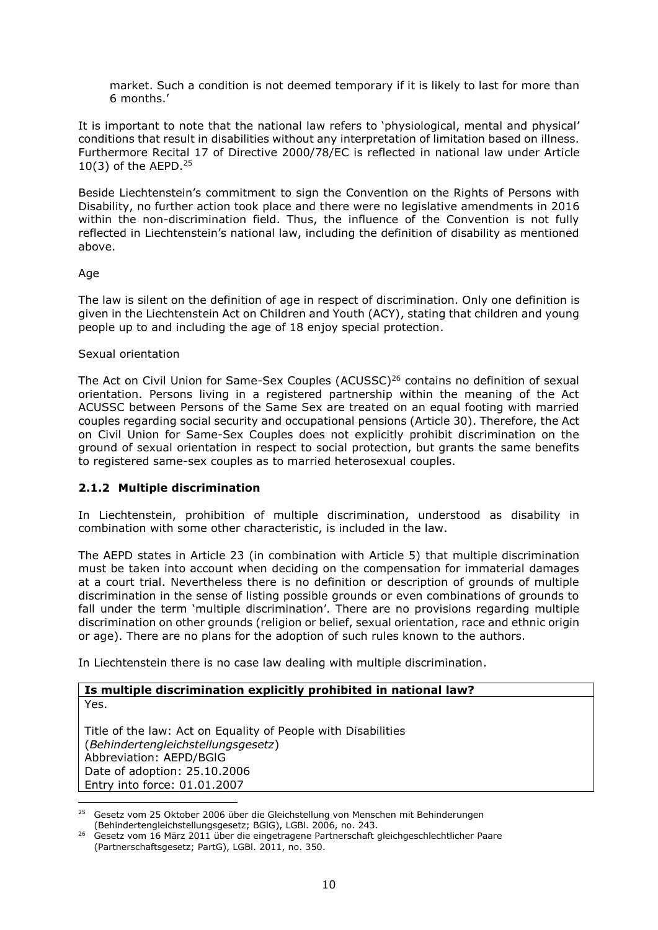market. Such a condition is not deemed temporary if it is likely to last for more than 6 months.'

It is important to note that the national law refers to 'physiological, mental and physical' conditions that result in disabilities without any interpretation of limitation based on illness. Furthermore Recital 17 of Directive 2000/78/EC is reflected in national law under Article 10(3) of the AEPD.<sup>25</sup>

Beside Liechtenstein's commitment to sign the Convention on the Rights of Persons with Disability, no further action took place and there were no legislative amendments in 2016 within the non-discrimination field. Thus, the influence of the Convention is not fully reflected in Liechtenstein's national law, including the definition of disability as mentioned above.

### Age

 $\overline{a}$ 

The law is silent on the definition of age in respect of discrimination. Only one definition is given in the Liechtenstein Act on Children and Youth (ACY), stating that children and young people up to and including the age of 18 enjoy special protection.

### Sexual orientation

The Act on Civil Union for Same-Sex Couples (ACUSSC)<sup>26</sup> contains no definition of sexual orientation. Persons living in a registered partnership within the meaning of the Act ACUSSC between Persons of the Same Sex are treated on an equal footing with married couples regarding social security and occupational pensions (Article 30). Therefore, the Act on Civil Union for Same-Sex Couples does not explicitly prohibit discrimination on the ground of sexual orientation in respect to social protection, but grants the same benefits to registered same-sex couples as to married heterosexual couples.

# <span id="page-10-0"></span>**2.1.2 Multiple discrimination**

In Liechtenstein, prohibition of multiple discrimination, understood as disability in combination with some other characteristic, is included in the law.

The AEPD states in Article 23 (in combination with Article 5) that multiple discrimination must be taken into account when deciding on the compensation for immaterial damages at a court trial. Nevertheless there is no definition or description of grounds of multiple discrimination in the sense of listing possible grounds or even combinations of grounds to fall under the term 'multiple discrimination'. There are no provisions regarding multiple discrimination on other grounds (religion or belief, sexual orientation, race and ethnic origin or age). There are no plans for the adoption of such rules known to the authors.

In Liechtenstein there is no case law dealing with multiple discrimination.

#### **Is multiple discrimination explicitly prohibited in national law?** Yes.

Title of the law: Act on Equality of People with Disabilities (*Behindertengleichstellungsgesetz*) Abbreviation: AEPD/BGlG Date of adoption: 25.10.2006 Entry into force: 01.01.2007

<sup>&</sup>lt;sup>25</sup> Gesetz vom 25 Oktober 2006 über die Gleichstellung von Menschen mit Behinderungen (Behindertengleichstellungsgesetz; BGlG), LGBl. 2006, no. 243.

<sup>&</sup>lt;sup>26</sup> Gesetz vom 16 März 2011 über die eingetragene Partnerschaft gleichgeschlechtlicher Paare (Partnerschaftsgesetz; PartG), LGBl. 2011, no. 350.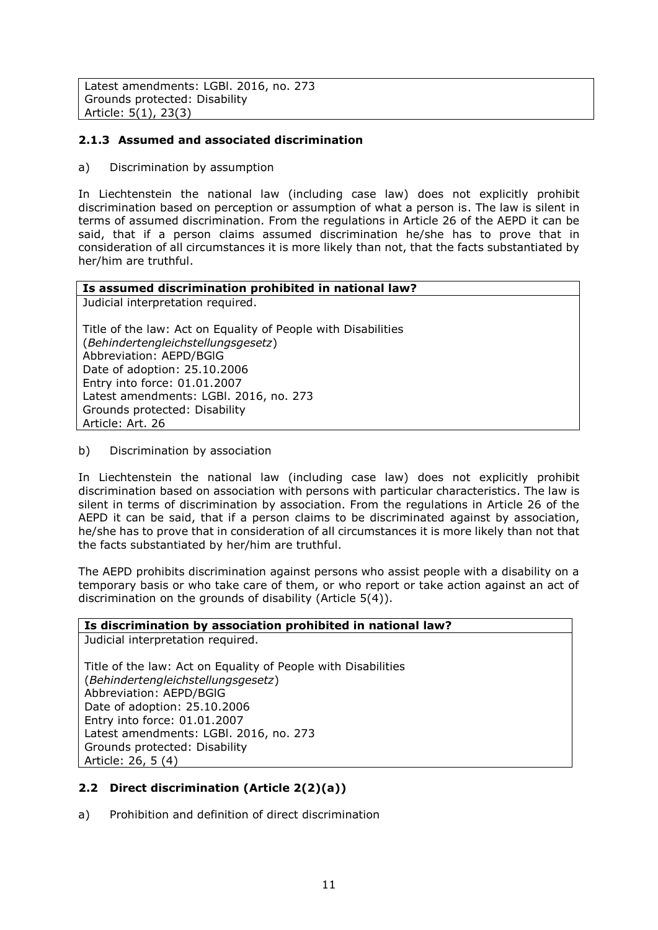Latest amendments: LGBl. 2016, no. 273 Grounds protected: Disability Article: 5(1), 23(3)

# <span id="page-11-0"></span>**2.1.3 Assumed and associated discrimination**

a) Discrimination by assumption

In Liechtenstein the national law (including case law) does not explicitly prohibit discrimination based on perception or assumption of what a person is. The law is silent in terms of assumed discrimination. From the regulations in Article 26 of the AEPD it can be said, that if a person claims assumed discrimination he/she has to prove that in consideration of all circumstances it is more likely than not, that the facts substantiated by her/him are truthful.

| Is assumed discrimination prohibited in national law?         |
|---------------------------------------------------------------|
| Judicial interpretation required.                             |
|                                                               |
| Title of the law: Act on Equality of People with Disabilities |
| (Behindertengleichstellungsgesetz)                            |
| Abbreviation: AEPD/BGIG                                       |
| Date of adoption: 25.10.2006                                  |
| Entry into force: 01.01.2007                                  |
| Latest amendments: LGBI. 2016, no. 273                        |
| Grounds protected: Disability                                 |
| Article: Art. 26                                              |

b) Discrimination by association

In Liechtenstein the national law (including case law) does not explicitly prohibit discrimination based on association with persons with particular characteristics. The law is silent in terms of discrimination by association. From the regulations in Article 26 of the AEPD it can be said, that if a person claims to be discriminated against by association, he/she has to prove that in consideration of all circumstances it is more likely than not that the facts substantiated by her/him are truthful.

The AEPD prohibits discrimination against persons who assist people with a disability on a temporary basis or who take care of them, or who report or take action against an act of discrimination on the grounds of disability (Article 5(4)).

# **Is discrimination by association prohibited in national law?**  Judicial interpretation required. Title of the law: Act on Equality of People with Disabilities (*Behindertengleichstellungsgesetz*) Abbreviation: AEPD/BGlG Date of adoption: 25.10.2006 Entry into force: 01.01.2007 Latest amendments: LGBl. 2016, no. 273 Grounds protected: Disability Article: 26, 5 (4)

# <span id="page-11-1"></span>**2.2 Direct discrimination (Article 2(2)(a))**

a) Prohibition and definition of direct discrimination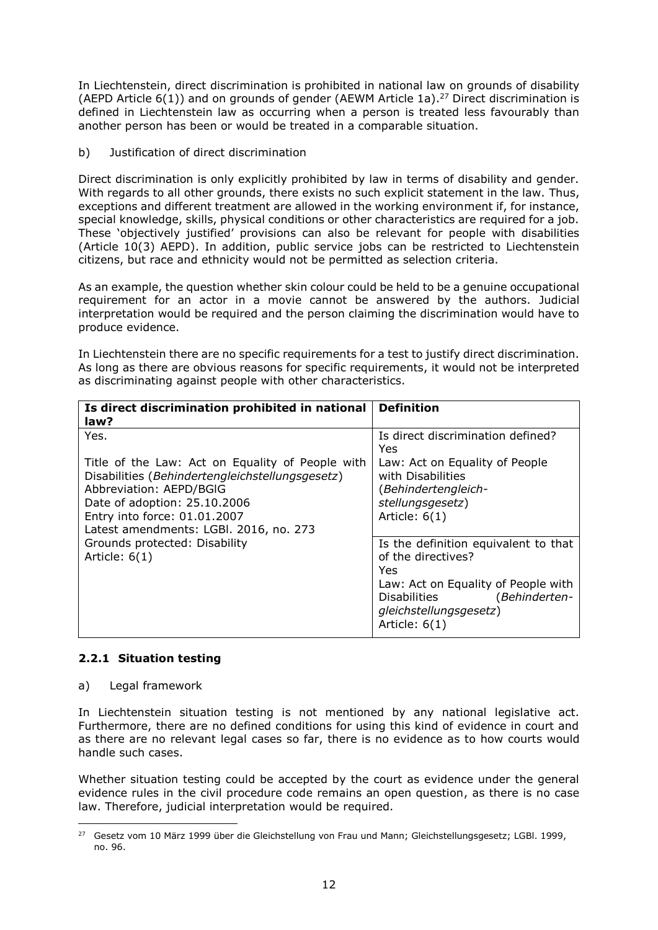In Liechtenstein, direct discrimination is prohibited in national law on grounds of disability (AEPD Article  $6(1)$ ) and on grounds of gender (AEWM Article 1a).<sup>27</sup> Direct discrimination is defined in Liechtenstein law as occurring when a person is treated less favourably than another person has been or would be treated in a comparable situation.

b) Justification of direct discrimination

Direct discrimination is only explicitly prohibited by law in terms of disability and gender. With regards to all other grounds, there exists no such explicit statement in the law. Thus, exceptions and different treatment are allowed in the working environment if, for instance, special knowledge, skills, physical conditions or other characteristics are required for a job. These 'objectively justified' provisions can also be relevant for people with disabilities (Article 10(3) AEPD). In addition, public service jobs can be restricted to Liechtenstein citizens, but race and ethnicity would not be permitted as selection criteria.

As an example, the question whether skin colour could be held to be a genuine occupational requirement for an actor in a movie cannot be answered by the authors. Judicial interpretation would be required and the person claiming the discrimination would have to produce evidence.

In Liechtenstein there are no specific requirements for a test to justify direct discrimination. As long as there are obvious reasons for specific requirements, it would not be interpreted as discriminating against people with other characteristics.

| Is direct discrimination prohibited in national<br>law?                                                                                                                                                                                          | <b>Definition</b>                                                                                                                                                                      |
|--------------------------------------------------------------------------------------------------------------------------------------------------------------------------------------------------------------------------------------------------|----------------------------------------------------------------------------------------------------------------------------------------------------------------------------------------|
| Yes.<br>Title of the Law: Act on Equality of People with<br>Disabilities (Behindertengleichstellungsgesetz)<br>Abbreviation: AEPD/BGIG<br>Date of adoption: 25.10.2006<br>Entry into force: 01.01.2007<br>Latest amendments: LGBI. 2016, no. 273 | Is direct discrimination defined?<br>Yes<br>Law: Act on Equality of People<br>with Disabilities<br>(Behindertengleich-<br>stellungsgesetz)<br>Article: $6(1)$                          |
| Grounds protected: Disability<br>Article: $6(1)$                                                                                                                                                                                                 | Is the definition equivalent to that<br>of the directives?<br>Yes<br>Law: Act on Equality of People with<br>Disabilities<br>(Behinderten-<br>gleichstellungsgesetz)<br>Article: $6(1)$ |

# <span id="page-12-0"></span>**2.2.1 Situation testing**

#### a) Legal framework

In Liechtenstein situation testing is not mentioned by any national legislative act. Furthermore, there are no defined conditions for using this kind of evidence in court and as there are no relevant legal cases so far, there is no evidence as to how courts would handle such cases.

Whether situation testing could be accepted by the court as evidence under the general evidence rules in the civil procedure code remains an open question, as there is no case law. Therefore, judicial interpretation would be required.

 $\overline{a}$ <sup>27</sup> Gesetz vom 10 März 1999 über die Gleichstellung von Frau und Mann; Gleichstellungsgesetz; LGBl. 1999, no. 96.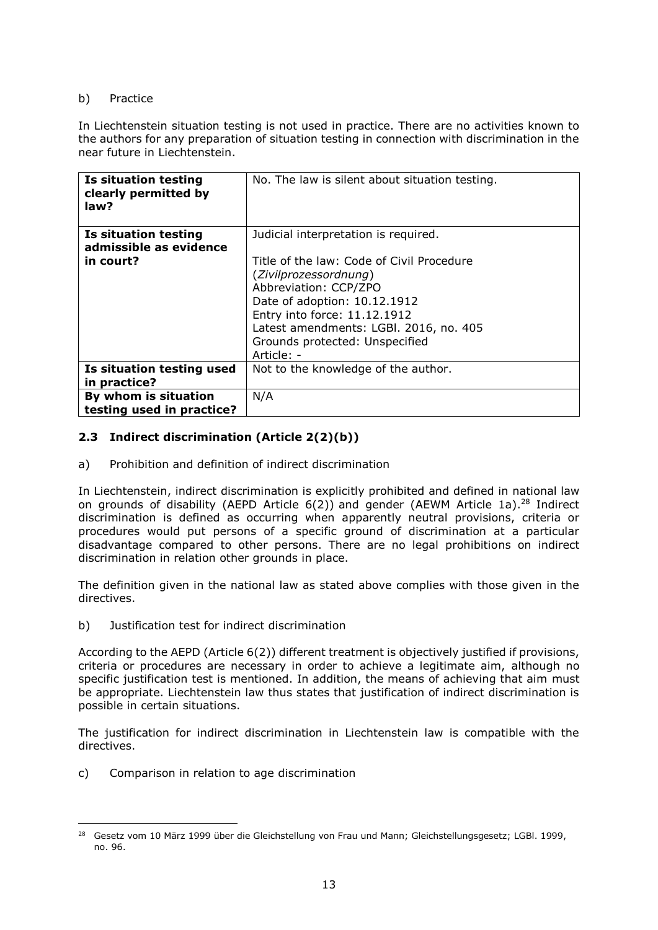## b) Practice

In Liechtenstein situation testing is not used in practice. There are no activities known to the authors for any preparation of situation testing in connection with discrimination in the near future in Liechtenstein.

| Is situation testing<br>clearly permitted by<br>law? | No. The law is silent about situation testing.                                                                                                                                                                                                        |
|------------------------------------------------------|-------------------------------------------------------------------------------------------------------------------------------------------------------------------------------------------------------------------------------------------------------|
| Is situation testing<br>admissible as evidence       | Judicial interpretation is required.                                                                                                                                                                                                                  |
| in court?                                            | Title of the law: Code of Civil Procedure<br>(Zivilprozessordnung)<br>Abbreviation: CCP/ZPO<br>Date of adoption: 10.12.1912<br>Entry into force: 11.12.1912<br>Latest amendments: LGBI. 2016, no. 405<br>Grounds protected: Unspecified<br>Article: - |
| Is situation testing used<br>in practice?            | Not to the knowledge of the author.                                                                                                                                                                                                                   |
| By whom is situation<br>testing used in practice?    | N/A                                                                                                                                                                                                                                                   |

# <span id="page-13-0"></span>**2.3 Indirect discrimination (Article 2(2)(b))**

a) Prohibition and definition of indirect discrimination

In Liechtenstein, indirect discrimination is explicitly prohibited and defined in national law on grounds of disability (AEPD Article 6(2)) and gender (AEWM Article 1a).<sup>28</sup> Indirect discrimination is defined as occurring when apparently neutral provisions, criteria or procedures would put persons of a specific ground of discrimination at a particular disadvantage compared to other persons. There are no legal prohibitions on indirect discrimination in relation other grounds in place.

The definition given in the national law as stated above complies with those given in the directives.

b) Justification test for indirect discrimination

According to the AEPD (Article 6(2)) different treatment is objectively justified if provisions, criteria or procedures are necessary in order to achieve a legitimate aim, although no specific justification test is mentioned. In addition, the means of achieving that aim must be appropriate. Liechtenstein law thus states that justification of indirect discrimination is possible in certain situations.

The justification for indirect discrimination in Liechtenstein law is compatible with the directives.

c) Comparison in relation to age discrimination

 $\overline{a}$ <sup>28</sup> Gesetz vom 10 März 1999 über die Gleichstellung von Frau und Mann; Gleichstellungsgesetz; LGBI. 1999, no. 96.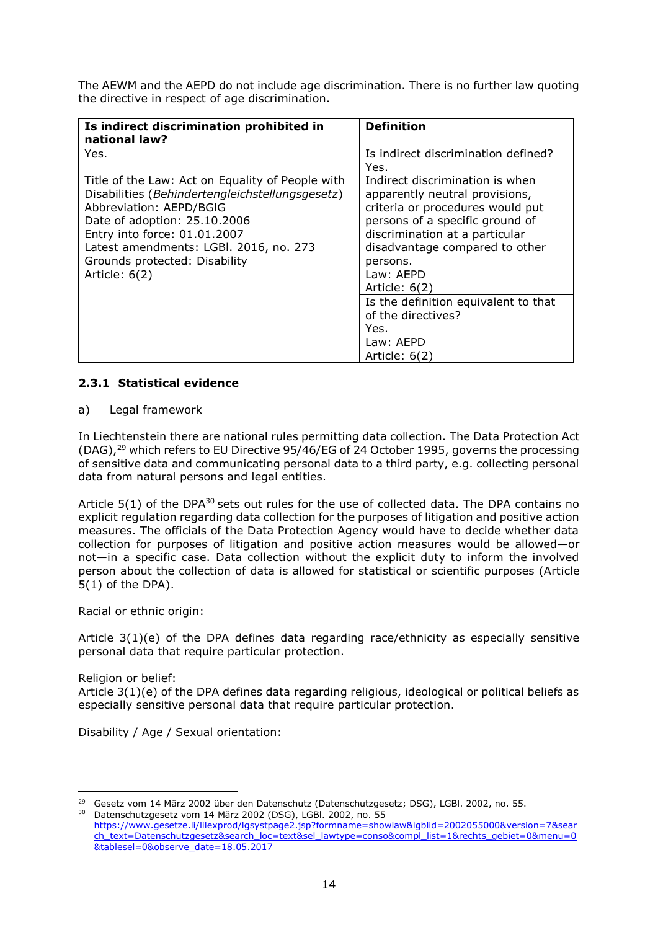The AEWM and the AEPD do not include age discrimination. There is no further law quoting the directive in respect of age discrimination.

| Is indirect discrimination prohibited in<br>national law?                                                                                                                                                                                                                                  | <b>Definition</b>                                                                                                                                                                                                                     |
|--------------------------------------------------------------------------------------------------------------------------------------------------------------------------------------------------------------------------------------------------------------------------------------------|---------------------------------------------------------------------------------------------------------------------------------------------------------------------------------------------------------------------------------------|
| Yes.                                                                                                                                                                                                                                                                                       | Is indirect discrimination defined?<br>Yes.                                                                                                                                                                                           |
| Title of the Law: Act on Equality of People with<br>Disabilities (Behindertengleichstellungsgesetz)<br>Abbreviation: AEPD/BGIG<br>Date of adoption: 25.10.2006<br>Entry into force: 01.01.2007<br>Latest amendments: LGBI. 2016, no. 273<br>Grounds protected: Disability<br>Article: 6(2) | Indirect discrimination is when<br>apparently neutral provisions,<br>criteria or procedures would put<br>persons of a specific ground of<br>discrimination at a particular<br>disadvantage compared to other<br>persons.<br>Law: AEPD |
|                                                                                                                                                                                                                                                                                            | Article: $6(2)$<br>Is the definition equivalent to that<br>of the directives?<br>Yes.<br>Law: AEPD<br>Article: $6(2)$                                                                                                                 |

### <span id="page-14-0"></span>**2.3.1 Statistical evidence**

#### a) Legal framework

In Liechtenstein there are national rules permitting data collection. The Data Protection Act (DAG),<sup>29</sup> which refers to EU Directive 95/46/EG of 24 October 1995, governs the processing of sensitive data and communicating personal data to a third party, e.g. collecting personal data from natural persons and legal entities.

Article  $5(1)$  of the DPA<sup>30</sup> sets out rules for the use of collected data. The DPA contains no explicit regulation regarding data collection for the purposes of litigation and positive action measures. The officials of the Data Protection Agency would have to decide whether data collection for purposes of litigation and positive action measures would be allowed—or not—in a specific case. Data collection without the explicit duty to inform the involved person about the collection of data is allowed for statistical or scientific purposes (Article 5(1) of the DPA).

Racial or ethnic origin:

Article 3(1)(e) of the DPA defines data regarding race/ethnicity as especially sensitive personal data that require particular protection.

Religion or belief:

 $\overline{a}$ 

Article 3(1)(e) of the DPA defines data regarding religious, ideological or political beliefs as especially sensitive personal data that require particular protection.

Disability / Age / Sexual orientation:

<sup>&</sup>lt;sup>29</sup> Gesetz vom 14 März 2002 über den Datenschutz (Datenschutzgesetz; DSG), LGBI. 2002, no. 55. <sup>30</sup> Datenschutzgesetz vom 14 März 2002 (DSG), LGBl. 2002, no. 55

[https://www.gesetze.li/lilexprod/lgsystpage2.jsp?formname=showlaw&lgblid=2002055000&version=7&sear](https://www.gesetze.li/lilexprod/lgsystpage2.jsp?formname=showlaw&lgblid=2002055000&version=7&search_text=Datenschutzgesetz&search_loc=text&sel_lawtype=conso&compl_list=1&rechts_gebiet=0&menu=0&tablesel=0&observe_date=18.05.2017) [ch\\_text=Datenschutzgesetz&search\\_loc=text&sel\\_lawtype=conso&compl\\_list=1&rechts\\_gebiet=0&menu=0](https://www.gesetze.li/lilexprod/lgsystpage2.jsp?formname=showlaw&lgblid=2002055000&version=7&search_text=Datenschutzgesetz&search_loc=text&sel_lawtype=conso&compl_list=1&rechts_gebiet=0&menu=0&tablesel=0&observe_date=18.05.2017) [&tablesel=0&observe\\_date=18.05.2017](https://www.gesetze.li/lilexprod/lgsystpage2.jsp?formname=showlaw&lgblid=2002055000&version=7&search_text=Datenschutzgesetz&search_loc=text&sel_lawtype=conso&compl_list=1&rechts_gebiet=0&menu=0&tablesel=0&observe_date=18.05.2017)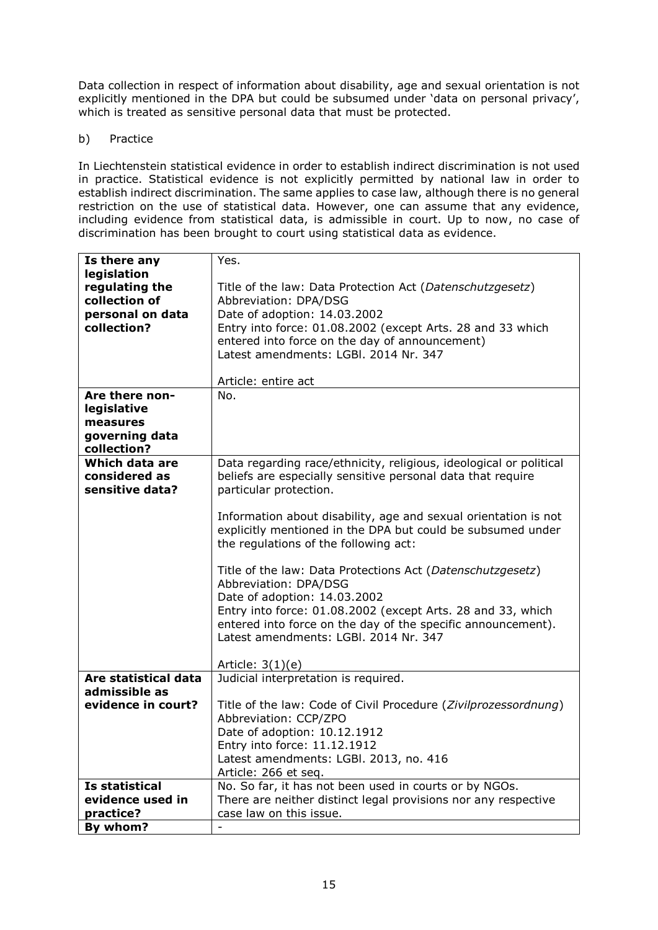Data collection in respect of information about disability, age and sexual orientation is not explicitly mentioned in the DPA but could be subsumed under 'data on personal privacy', which is treated as sensitive personal data that must be protected.

# b) Practice

In Liechtenstein statistical evidence in order to establish indirect discrimination is not used in practice. Statistical evidence is not explicitly permitted by national law in order to establish indirect discrimination. The same applies to case law, although there is no general restriction on the use of statistical data. However, one can assume that any evidence, including evidence from statistical data, is admissible in court. Up to now, no case of discrimination has been brought to court using statistical data as evidence.

| Is there any                                                                      | Yes.                                                                                                                                                                                                                                                                                                                                                                                                                                                                                         |
|-----------------------------------------------------------------------------------|----------------------------------------------------------------------------------------------------------------------------------------------------------------------------------------------------------------------------------------------------------------------------------------------------------------------------------------------------------------------------------------------------------------------------------------------------------------------------------------------|
| legislation<br>regulating the<br>collection of<br>personal on data<br>collection? | Title of the law: Data Protection Act (Datenschutzgesetz)<br>Abbreviation: DPA/DSG<br>Date of adoption: 14.03.2002<br>Entry into force: 01.08.2002 (except Arts. 28 and 33 which<br>entered into force on the day of announcement)<br>Latest amendments: LGBI. 2014 Nr. 347<br>Article: entire act                                                                                                                                                                                           |
| Are there non-<br>legislative                                                     | No.                                                                                                                                                                                                                                                                                                                                                                                                                                                                                          |
| measures                                                                          |                                                                                                                                                                                                                                                                                                                                                                                                                                                                                              |
| governing data                                                                    |                                                                                                                                                                                                                                                                                                                                                                                                                                                                                              |
| collection?<br>Which data are                                                     | Data regarding race/ethnicity, religious, ideological or political                                                                                                                                                                                                                                                                                                                                                                                                                           |
| considered as                                                                     | beliefs are especially sensitive personal data that require                                                                                                                                                                                                                                                                                                                                                                                                                                  |
| sensitive data?                                                                   | particular protection.                                                                                                                                                                                                                                                                                                                                                                                                                                                                       |
|                                                                                   | Information about disability, age and sexual orientation is not<br>explicitly mentioned in the DPA but could be subsumed under<br>the regulations of the following act:<br>Title of the law: Data Protections Act (Datenschutzgesetz)<br>Abbreviation: DPA/DSG<br>Date of adoption: 14.03.2002<br>Entry into force: 01.08.2002 (except Arts. 28 and 33, which<br>entered into force on the day of the specific announcement).<br>Latest amendments: LGBI, 2014 Nr. 347<br>Article: $3(1)(e)$ |
| Are statistical data                                                              | Judicial interpretation is required.                                                                                                                                                                                                                                                                                                                                                                                                                                                         |
| admissible as<br>evidence in court?                                               | Title of the law: Code of Civil Procedure (Zivilprozessordnung)                                                                                                                                                                                                                                                                                                                                                                                                                              |
|                                                                                   | Abbreviation: CCP/ZPO                                                                                                                                                                                                                                                                                                                                                                                                                                                                        |
|                                                                                   | Date of adoption: 10.12.1912                                                                                                                                                                                                                                                                                                                                                                                                                                                                 |
|                                                                                   | Entry into force: 11.12.1912<br>Latest amendments: LGBI. 2013, no. 416                                                                                                                                                                                                                                                                                                                                                                                                                       |
|                                                                                   | Article: 266 et seq.                                                                                                                                                                                                                                                                                                                                                                                                                                                                         |
| Is statistical                                                                    | No. So far, it has not been used in courts or by NGOs.                                                                                                                                                                                                                                                                                                                                                                                                                                       |
| evidence used in                                                                  | There are neither distinct legal provisions nor any respective                                                                                                                                                                                                                                                                                                                                                                                                                               |
| practice?                                                                         | case law on this issue.                                                                                                                                                                                                                                                                                                                                                                                                                                                                      |
| By whom?                                                                          |                                                                                                                                                                                                                                                                                                                                                                                                                                                                                              |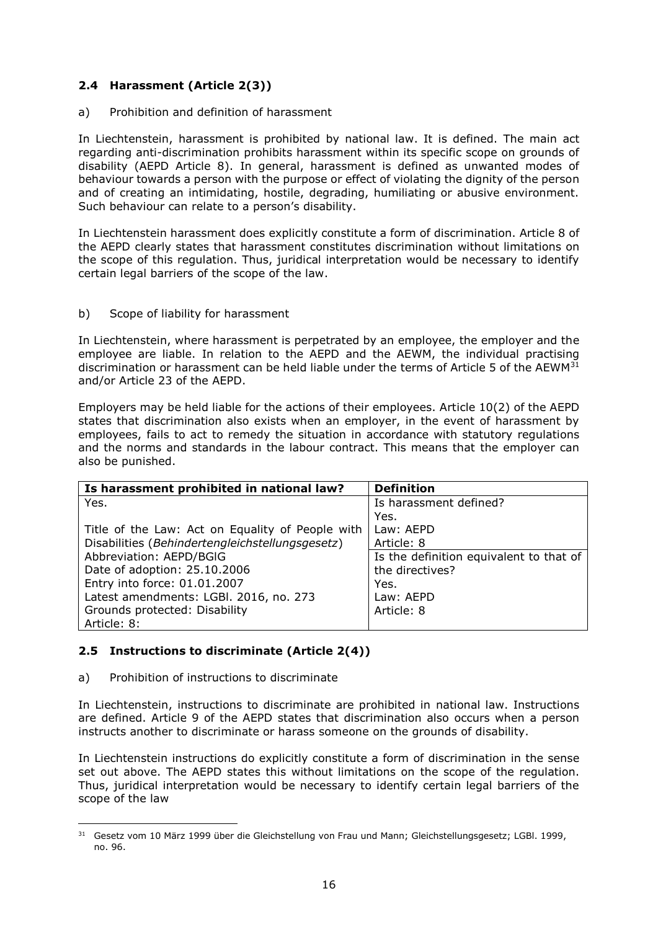# <span id="page-16-0"></span>**2.4 Harassment (Article 2(3))**

#### a) Prohibition and definition of harassment

In Liechtenstein, harassment is prohibited by national law. It is defined. The main act regarding anti-discrimination prohibits harassment within its specific scope on grounds of disability (AEPD Article 8). In general, harassment is defined as unwanted modes of behaviour towards a person with the purpose or effect of violating the dignity of the person and of creating an intimidating, hostile, degrading, humiliating or abusive environment. Such behaviour can relate to a person's disability.

In Liechtenstein harassment does explicitly constitute a form of discrimination. Article 8 of the AEPD clearly states that harassment constitutes discrimination without limitations on the scope of this regulation. Thus, juridical interpretation would be necessary to identify certain legal barriers of the scope of the law.

### b) Scope of liability for harassment

In Liechtenstein, where harassment is perpetrated by an employee, the employer and the employee are liable. In relation to the AEPD and the AEWM, the individual practising discrimination or harassment can be held liable under the terms of Article 5 of the AEWM<sup>31</sup> and/or Article 23 of the AEPD.

Employers may be held liable for the actions of their employees. Article 10(2) of the AEPD states that discrimination also exists when an employer, in the event of harassment by employees, fails to act to remedy the situation in accordance with statutory regulations and the norms and standards in the labour contract. This means that the employer can also be punished.

| Is harassment prohibited in national law?        | <b>Definition</b>                       |
|--------------------------------------------------|-----------------------------------------|
| Yes.                                             | Is harassment defined?                  |
|                                                  | Yes.                                    |
| Title of the Law: Act on Equality of People with | Law: AEPD                               |
| Disabilities (Behindertengleichstellungsgesetz)  | Article: 8                              |
| Abbreviation: AEPD/BGIG                          | Is the definition equivalent to that of |
| Date of adoption: 25.10.2006                     | the directives?                         |
| Entry into force: 01.01.2007                     | Yes.                                    |
| Latest amendments: LGBI. 2016, no. 273           | Law: AEPD                               |
| Grounds protected: Disability                    | Article: 8                              |
| Article: 8:                                      |                                         |

# <span id="page-16-1"></span>**2.5 Instructions to discriminate (Article 2(4))**

#### a) Prohibition of instructions to discriminate

In Liechtenstein, instructions to discriminate are prohibited in national law. Instructions are defined. Article 9 of the AEPD states that discrimination also occurs when a person instructs another to discriminate or harass someone on the grounds of disability.

In Liechtenstein instructions do explicitly constitute a form of discrimination in the sense set out above. The AEPD states this without limitations on the scope of the regulation. Thus, juridical interpretation would be necessary to identify certain legal barriers of the scope of the law

 $\overline{a}$ <sup>31</sup> Gesetz vom 10 März 1999 über die Gleichstellung von Frau und Mann; Gleichstellungsgesetz; LGBl. 1999, no. 96.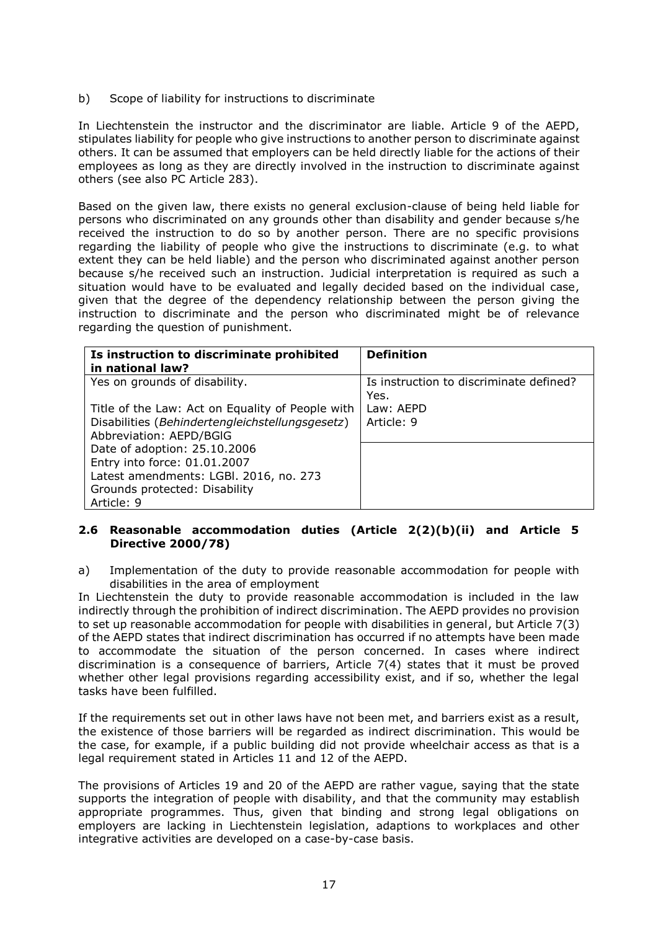b) Scope of liability for instructions to discriminate

In Liechtenstein the instructor and the discriminator are liable. Article 9 of the AEPD, stipulates liability for people who give instructions to another person to discriminate against others. It can be assumed that employers can be held directly liable for the actions of their employees as long as they are directly involved in the instruction to discriminate against others (see also PC Article 283).

Based on the given law, there exists no general exclusion-clause of being held liable for persons who discriminated on any grounds other than disability and gender because s/he received the instruction to do so by another person. There are no specific provisions regarding the liability of people who give the instructions to discriminate (e.g. to what extent they can be held liable) and the person who discriminated against another person because s/he received such an instruction. Judicial interpretation is required as such a situation would have to be evaluated and legally decided based on the individual case, given that the degree of the dependency relationship between the person giving the instruction to discriminate and the person who discriminated might be of relevance regarding the question of punishment.

| Is instruction to discriminate prohibited<br>in national law? | <b>Definition</b>                               |
|---------------------------------------------------------------|-------------------------------------------------|
| Yes on grounds of disability.                                 | Is instruction to discriminate defined?<br>Yes. |
| Title of the Law: Act on Equality of People with              | Law: AEPD                                       |
| Disabilities (Behindertengleichstellungsgesetz)               | Article: 9                                      |
| Abbreviation: AEPD/BGIG                                       |                                                 |
| Date of adoption: 25.10.2006                                  |                                                 |
| Entry into force: 01.01.2007                                  |                                                 |
| Latest amendments: LGBI. 2016, no. 273                        |                                                 |
| Grounds protected: Disability                                 |                                                 |
| Article: 9                                                    |                                                 |

### <span id="page-17-0"></span>**2.6 Reasonable accommodation duties (Article 2(2)(b)(ii) and Article 5 Directive 2000/78)**

a) Implementation of the duty to provide reasonable accommodation for people with disabilities in the area of employment

In Liechtenstein the duty to provide reasonable accommodation is included in the law indirectly through the prohibition of indirect discrimination. The AEPD provides no provision to set up reasonable accommodation for people with disabilities in general, but Article 7(3) of the AEPD states that indirect discrimination has occurred if no attempts have been made to accommodate the situation of the person concerned. In cases where indirect discrimination is a consequence of barriers, Article 7(4) states that it must be proved whether other legal provisions regarding accessibility exist, and if so, whether the legal tasks have been fulfilled.

If the requirements set out in other laws have not been met, and barriers exist as a result, the existence of those barriers will be regarded as indirect discrimination. This would be the case, for example, if a public building did not provide wheelchair access as that is a legal requirement stated in Articles 11 and 12 of the AEPD.

The provisions of Articles 19 and 20 of the AEPD are rather vague, saying that the state supports the integration of people with disability, and that the community may establish appropriate programmes. Thus, given that binding and strong legal obligations on employers are lacking in Liechtenstein legislation, adaptions to workplaces and other integrative activities are developed on a case-by-case basis.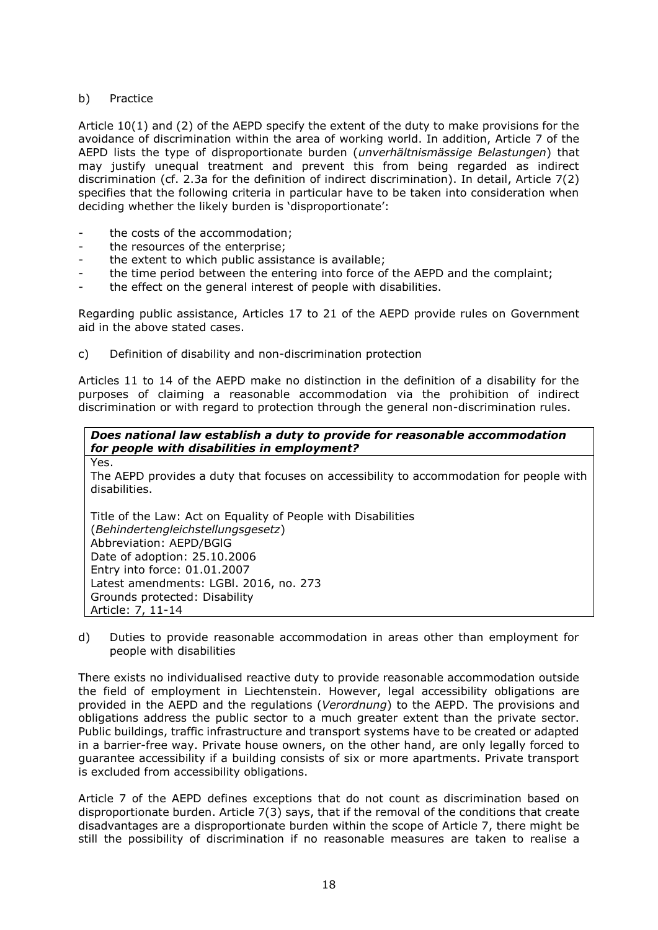### b) Practice

Yes.

Article 10(1) and (2) of the AEPD specify the extent of the duty to make provisions for the avoidance of discrimination within the area of working world. In addition, Article 7 of the AEPD lists the type of disproportionate burden (*unverhältnismässige Belastungen*) that may justify unequal treatment and prevent this from being regarded as indirect discrimination (cf. 2.3a for the definition of indirect discrimination). In detail, Article 7(2) specifies that the following criteria in particular have to be taken into consideration when deciding whether the likely burden is 'disproportionate':

- the costs of the accommodation;
- the resources of the enterprise;
- the extent to which public assistance is available;
- the time period between the entering into force of the AEPD and the complaint;
- the effect on the general interest of people with disabilities.

Regarding public assistance, Articles 17 to 21 of the AEPD provide rules on Government aid in the above stated cases.

c) Definition of disability and non-discrimination protection

Articles 11 to 14 of the AEPD make no distinction in the definition of a disability for the purposes of claiming a reasonable accommodation via the prohibition of indirect discrimination or with regard to protection through the general non-discrimination rules.

# *Does national law establish a duty to provide for reasonable accommodation for people with disabilities in employment?*

The AEPD provides a duty that focuses on accessibility to accommodation for people with disabilities.

Title of the Law: Act on Equality of People with Disabilities (*Behindertengleichstellungsgesetz*) Abbreviation: AEPD/BGlG Date of adoption: 25.10.2006 Entry into force: 01.01.2007 Latest amendments: LGBl. 2016, no. 273 Grounds protected: Disability Article: 7, 11-14

d) Duties to provide reasonable accommodation in areas other than employment for people with disabilities

There exists no individualised reactive duty to provide reasonable accommodation outside the field of employment in Liechtenstein. However, legal accessibility obligations are provided in the AEPD and the regulations (*Verordnung*) to the AEPD. The provisions and obligations address the public sector to a much greater extent than the private sector. Public buildings, traffic infrastructure and transport systems have to be created or adapted in a barrier-free way. Private house owners, on the other hand, are only legally forced to guarantee accessibility if a building consists of six or more apartments. Private transport is excluded from accessibility obligations.

Article 7 of the AEPD defines exceptions that do not count as discrimination based on disproportionate burden. Article 7(3) says, that if the removal of the conditions that create disadvantages are a disproportionate burden within the scope of Article 7, there might be still the possibility of discrimination if no reasonable measures are taken to realise a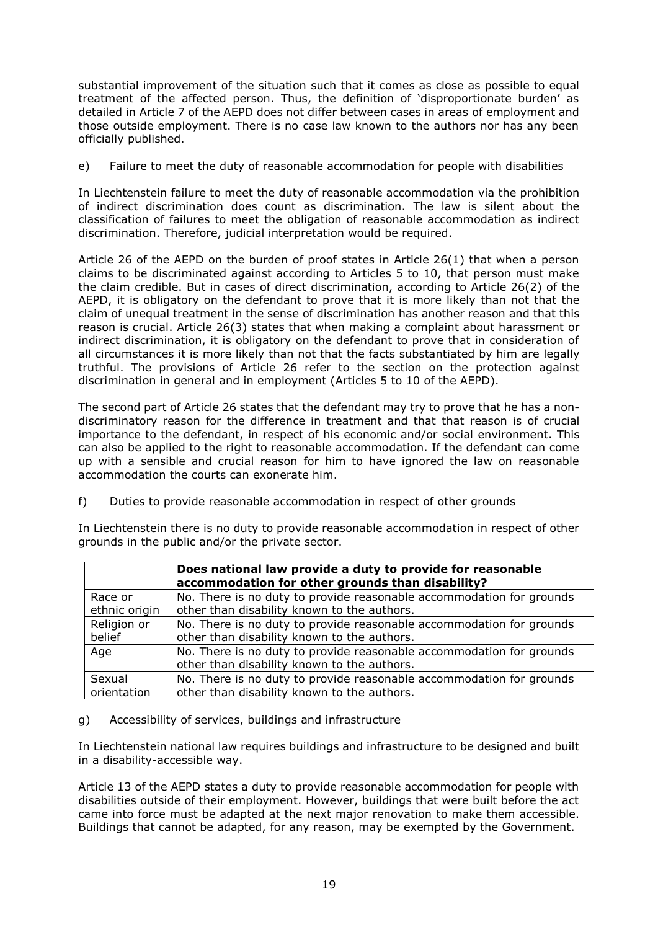substantial improvement of the situation such that it comes as close as possible to equal treatment of the affected person. Thus, the definition of 'disproportionate burden' as detailed in Article 7 of the AEPD does not differ between cases in areas of employment and those outside employment. There is no case law known to the authors nor has any been officially published.

e) Failure to meet the duty of reasonable accommodation for people with disabilities

In Liechtenstein failure to meet the duty of reasonable accommodation via the prohibition of indirect discrimination does count as discrimination. The law is silent about the classification of failures to meet the obligation of reasonable accommodation as indirect discrimination. Therefore, judicial interpretation would be required.

Article 26 of the AEPD on the burden of proof states in Article 26(1) that when a person claims to be discriminated against according to Articles 5 to 10, that person must make the claim credible. But in cases of direct discrimination, according to Article 26(2) of the AEPD, it is obligatory on the defendant to prove that it is more likely than not that the claim of unequal treatment in the sense of discrimination has another reason and that this reason is crucial. Article 26(3) states that when making a complaint about harassment or indirect discrimination, it is obligatory on the defendant to prove that in consideration of all circumstances it is more likely than not that the facts substantiated by him are legally truthful. The provisions of Article 26 refer to the section on the protection against discrimination in general and in employment (Articles 5 to 10 of the AEPD).

The second part of Article 26 states that the defendant may try to prove that he has a nondiscriminatory reason for the difference in treatment and that that reason is of crucial importance to the defendant, in respect of his economic and/or social environment. This can also be applied to the right to reasonable accommodation. If the defendant can come up with a sensible and crucial reason for him to have ignored the law on reasonable accommodation the courts can exonerate him.

f) Duties to provide reasonable accommodation in respect of other grounds

In Liechtenstein there is no duty to provide reasonable accommodation in respect of other grounds in the public and/or the private sector.

|               | Does national law provide a duty to provide for reasonable<br>accommodation for other grounds than disability? |
|---------------|----------------------------------------------------------------------------------------------------------------|
| Race or       | No. There is no duty to provide reasonable accommodation for grounds                                           |
| ethnic origin | other than disability known to the authors.                                                                    |
| Religion or   | No. There is no duty to provide reasonable accommodation for grounds                                           |
| belief        | other than disability known to the authors.                                                                    |
| Age           | No. There is no duty to provide reasonable accommodation for grounds                                           |
|               | other than disability known to the authors.                                                                    |
| Sexual        | No. There is no duty to provide reasonable accommodation for grounds                                           |
| orientation   | other than disability known to the authors.                                                                    |

#### g) Accessibility of services, buildings and infrastructure

In Liechtenstein national law requires buildings and infrastructure to be designed and built in a disability-accessible way.

Article 13 of the AEPD states a duty to provide reasonable accommodation for people with disabilities outside of their employment. However, buildings that were built before the act came into force must be adapted at the next major renovation to make them accessible. Buildings that cannot be adapted, for any reason, may be exempted by the Government.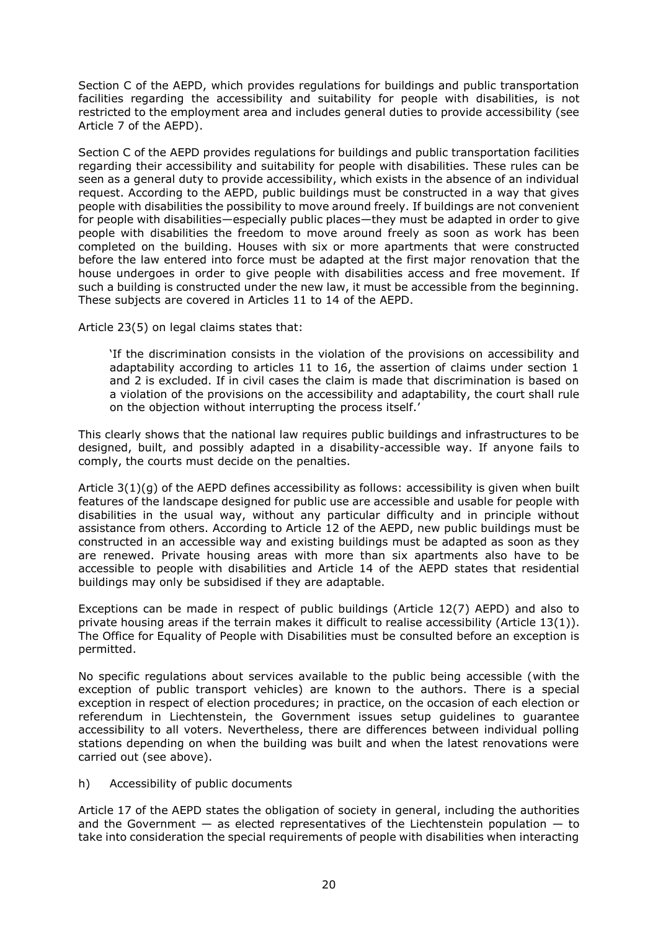Section C of the AEPD, which provides regulations for buildings and public transportation facilities regarding the accessibility and suitability for people with disabilities, is not restricted to the employment area and includes general duties to provide accessibility (see Article 7 of the AEPD).

Section C of the AEPD provides regulations for buildings and public transportation facilities regarding their accessibility and suitability for people with disabilities. These rules can be seen as a general duty to provide accessibility, which exists in the absence of an individual request. According to the AEPD, public buildings must be constructed in a way that gives people with disabilities the possibility to move around freely. If buildings are not convenient for people with disabilities—especially public places—they must be adapted in order to give people with disabilities the freedom to move around freely as soon as work has been completed on the building. Houses with six or more apartments that were constructed before the law entered into force must be adapted at the first major renovation that the house undergoes in order to give people with disabilities access and free movement. If such a building is constructed under the new law, it must be accessible from the beginning. These subjects are covered in Articles 11 to 14 of the AEPD.

Article 23(5) on legal claims states that:

'If the discrimination consists in the violation of the provisions on accessibility and adaptability according to articles 11 to 16, the assertion of claims under section 1 and 2 is excluded. If in civil cases the claim is made that discrimination is based on a violation of the provisions on the accessibility and adaptability, the court shall rule on the objection without interrupting the process itself.'

This clearly shows that the national law requires public buildings and infrastructures to be designed, built, and possibly adapted in a disability-accessible way. If anyone fails to comply, the courts must decide on the penalties.

Article 3(1)(g) of the AEPD defines accessibility as follows: accessibility is given when built features of the landscape designed for public use are accessible and usable for people with disabilities in the usual way, without any particular difficulty and in principle without assistance from others. According to Article 12 of the AEPD, new public buildings must be constructed in an accessible way and existing buildings must be adapted as soon as they are renewed. Private housing areas with more than six apartments also have to be accessible to people with disabilities and Article 14 of the AEPD states that residential buildings may only be subsidised if they are adaptable.

Exceptions can be made in respect of public buildings (Article 12(7) AEPD) and also to private housing areas if the terrain makes it difficult to realise accessibility (Article 13(1)). The Office for Equality of People with Disabilities must be consulted before an exception is permitted.

No specific regulations about services available to the public being accessible (with the exception of public transport vehicles) are known to the authors. There is a special exception in respect of election procedures; in practice, on the occasion of each election or referendum in Liechtenstein, the Government issues setup guidelines to guarantee accessibility to all voters. Nevertheless, there are differences between individual polling stations depending on when the building was built and when the latest renovations were carried out (see above).

h) Accessibility of public documents

Article 17 of the AEPD states the obligation of society in general, including the authorities and the Government  $-$  as elected representatives of the Liechtenstein population  $-$  to take into consideration the special requirements of people with disabilities when interacting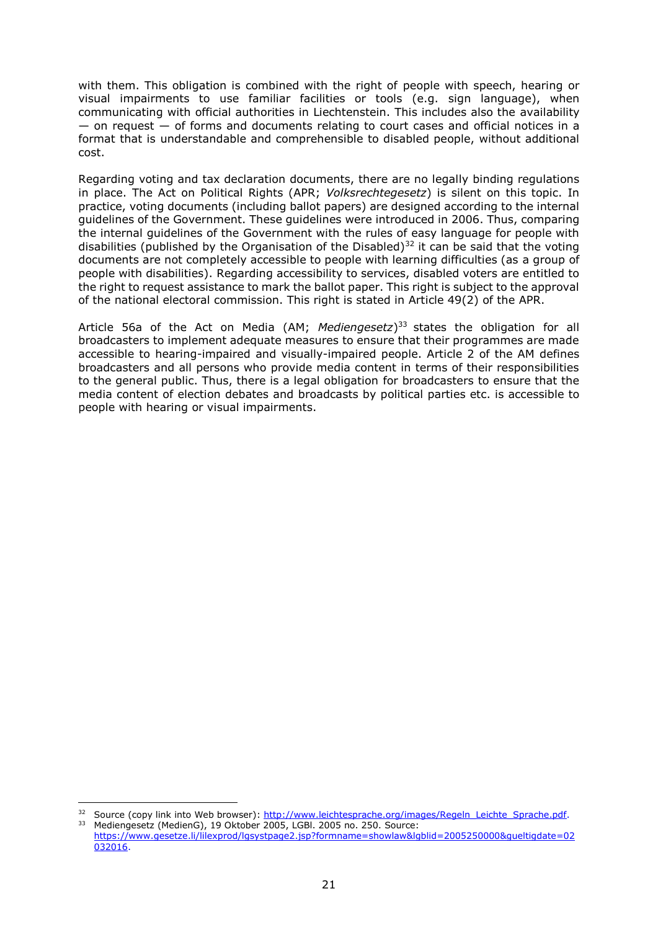with them. This obligation is combined with the right of people with speech, hearing or visual impairments to use familiar facilities or tools (e.g. sign language), when communicating with official authorities in Liechtenstein. This includes also the availability — on request — of forms and documents relating to court cases and official notices in a format that is understandable and comprehensible to disabled people, without additional cost.

Regarding voting and tax declaration documents, there are no legally binding regulations in place. The Act on Political Rights (APR; *Volksrechtegesetz*) is silent on this topic. In practice, voting documents (including ballot papers) are designed according to the internal guidelines of the Government. These guidelines were introduced in 2006. Thus, comparing the internal guidelines of the Government with the rules of easy language for people with disabilities (published by the Organisation of the Disabled)<sup>32</sup> it can be said that the voting documents are not completely accessible to people with learning difficulties (as a group of people with disabilities). Regarding accessibility to services, disabled voters are entitled to the right to request assistance to mark the ballot paper. This right is subject to the approval of the national electoral commission. This right is stated in Article 49(2) of the APR.

Article 56a of the Act on Media (AM; *Mediengesetz*) <sup>33</sup> states the obligation for all broadcasters to implement adequate measures to ensure that their programmes are made accessible to hearing-impaired and visually-impaired people. Article 2 of the AM defines broadcasters and all persons who provide media content in terms of their responsibilities to the general public. Thus, there is a legal obligation for broadcasters to ensure that the media content of election debates and broadcasts by political parties etc. is accessible to people with hearing or visual impairments.

<sup>32</sup> Source (copy link into Web browser): [http://www.leichtesprache.org/images/Regeln\\_Leichte\\_Sprache.pdf.](http://www.leichtesprache.org/images/Regeln_Leichte_Sprache.pdf) <sup>33</sup> Mediengesetz (MedienG), 19 Oktober 2005, LGBl. 2005 no. 250. Source:

[https://www.gesetze.li/lilexprod/lgsystpage2.jsp?formname=showlaw&lgblid=2005250000&gueltigdate=02](https://www.gesetze.li/lilexprod/lgsystpage2.jsp?formname=showlaw&lgblid=2005250000&gueltigdate=02032016) [032016.](https://www.gesetze.li/lilexprod/lgsystpage2.jsp?formname=showlaw&lgblid=2005250000&gueltigdate=02032016)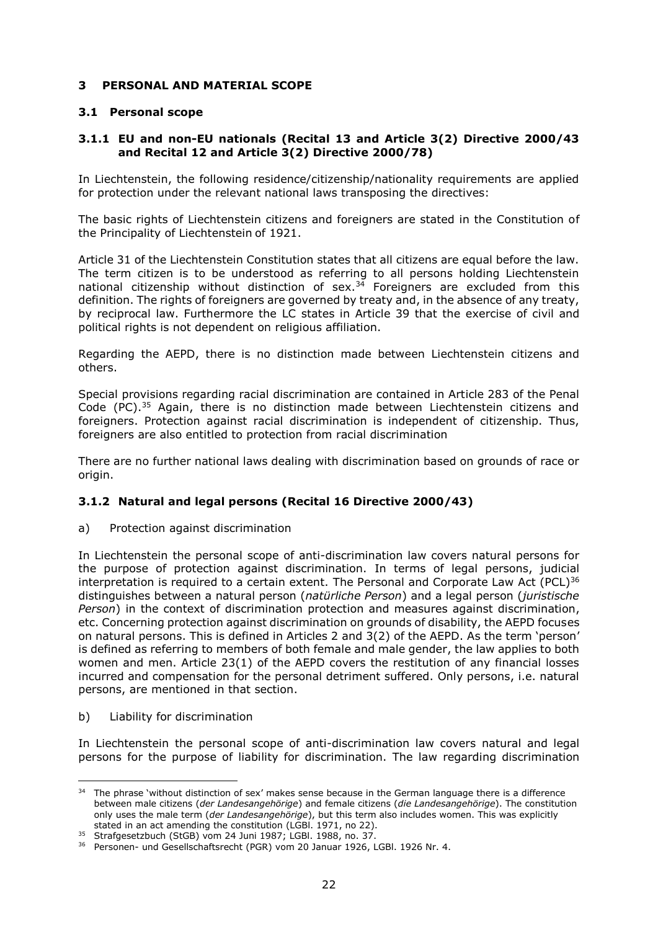# <span id="page-22-0"></span>**3 PERSONAL AND MATERIAL SCOPE**

## <span id="page-22-1"></span>**3.1 Personal scope**

## <span id="page-22-2"></span>**3.1.1 EU and non-EU nationals (Recital 13 and Article 3(2) Directive 2000/43 and Recital 12 and Article 3(2) Directive 2000/78)**

In Liechtenstein, the following residence/citizenship/nationality requirements are applied for protection under the relevant national laws transposing the directives:

The basic rights of Liechtenstein citizens and foreigners are stated in the Constitution of the Principality of Liechtenstein of 1921.

Article 31 of the Liechtenstein Constitution states that all citizens are equal before the law. The term citizen is to be understood as referring to all persons holding Liechtenstein national citizenship without distinction of sex. $34$  Foreigners are excluded from this definition. The rights of foreigners are governed by treaty and, in the absence of any treaty, by reciprocal law. Furthermore the LC states in Article 39 that the exercise of civil and political rights is not dependent on religious affiliation.

Regarding the AEPD, there is no distinction made between Liechtenstein citizens and others.

Special provisions regarding racial discrimination are contained in Article 283 of the Penal Code (PC).<sup>35</sup> Again, there is no distinction made between Liechtenstein citizens and foreigners. Protection against racial discrimination is independent of citizenship. Thus, foreigners are also entitled to protection from racial discrimination

There are no further national laws dealing with discrimination based on grounds of race or origin.

# <span id="page-22-3"></span>**3.1.2 Natural and legal persons (Recital 16 Directive 2000/43)**

a) Protection against discrimination

In Liechtenstein the personal scope of anti-discrimination law covers natural persons for the purpose of protection against discrimination. In terms of legal persons, judicial interpretation is required to a certain extent. The Personal and Corporate Law Act (PCL)<sup>36</sup> distinguishes between a natural person (*natürliche Person*) and a legal person (*juristische Person*) in the context of discrimination protection and measures against discrimination, etc. Concerning protection against discrimination on grounds of disability, the AEPD focuses on natural persons. This is defined in Articles 2 and 3(2) of the AEPD. As the term 'person' is defined as referring to members of both female and male gender, the law applies to both women and men. Article 23(1) of the AEPD covers the restitution of any financial losses incurred and compensation for the personal detriment suffered. Only persons, i.e. natural persons, are mentioned in that section.

b) Liability for discrimination

 $\overline{a}$ 

In Liechtenstein the personal scope of anti-discrimination law covers natural and legal persons for the purpose of liability for discrimination. The law regarding discrimination

<sup>&</sup>lt;sup>34</sup> The phrase 'without distinction of sex' makes sense because in the German language there is a difference between male citizens (*der Landesangehörige*) and female citizens (*die Landesangehörige*). The constitution only uses the male term (*der Landesangehörige*), but this term also includes women. This was explicitly stated in an act amending the constitution (LGBl. 1971, no 22).

<sup>35</sup> Strafgesetzbuch (StGB) vom 24 Juni 1987; LGBl. 1988, no. 37.

<sup>36</sup> Personen- und Gesellschaftsrecht (PGR) vom 20 Januar 1926, LGBl. 1926 Nr. 4.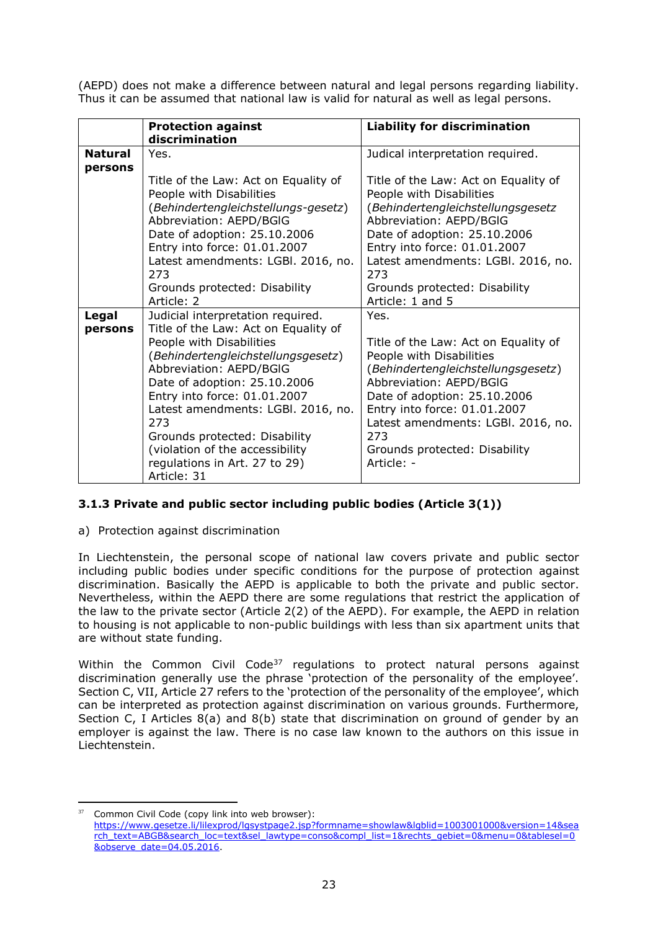(AEPD) does not make a difference between natural and legal persons regarding liability. Thus it can be assumed that national law is valid for natural as well as legal persons.

|                           | <b>Protection against</b><br>discrimination                                                                                                                                                                                                                                                                                                                                                             | <b>Liability for discrimination</b>                                                                                                                                                                                                                                                                   |
|---------------------------|---------------------------------------------------------------------------------------------------------------------------------------------------------------------------------------------------------------------------------------------------------------------------------------------------------------------------------------------------------------------------------------------------------|-------------------------------------------------------------------------------------------------------------------------------------------------------------------------------------------------------------------------------------------------------------------------------------------------------|
| <b>Natural</b><br>persons | Yes.                                                                                                                                                                                                                                                                                                                                                                                                    | Judical interpretation required.                                                                                                                                                                                                                                                                      |
|                           | Title of the Law: Act on Equality of<br>People with Disabilities<br>(Behindertengleichstellungs-gesetz)<br>Abbreviation: AEPD/BGIG<br>Date of adoption: 25.10.2006<br>Entry into force: 01.01.2007<br>Latest amendments: LGBI. 2016, no.<br>273<br>Grounds protected: Disability<br>Article: 2                                                                                                          | Title of the Law: Act on Equality of<br>People with Disabilities<br>(Behindertengleichstellungsgesetz<br>Abbreviation: AEPD/BGIG<br>Date of adoption: 25.10.2006<br>Entry into force: 01.01.2007<br>Latest amendments: LGBI. 2016, no.<br>273<br>Grounds protected: Disability<br>Article: 1 and 5    |
| Legal<br>persons          | Judicial interpretation required.<br>Title of the Law: Act on Equality of<br>People with Disabilities<br>(Behindertengleichstellungsgesetz)<br>Abbreviation: AEPD/BGIG<br>Date of adoption: 25.10.2006<br>Entry into force: 01.01.2007<br>Latest amendments: LGBI. 2016, no.<br>273<br>Grounds protected: Disability<br>(violation of the accessibility<br>regulations in Art. 27 to 29)<br>Article: 31 | Yes.<br>Title of the Law: Act on Equality of<br>People with Disabilities<br>(Behindertengleichstellungsgesetz)<br>Abbreviation: AEPD/BGIG<br>Date of adoption: 25.10.2006<br>Entry into force: 01.01.2007<br>Latest amendments: LGBI. 2016, no.<br>273<br>Grounds protected: Disability<br>Article: - |

# **3.1.3 Private and public sector including public bodies (Article 3(1))**

a) Protection against discrimination

In Liechtenstein, the personal scope of national law covers private and public sector including public bodies under specific conditions for the purpose of protection against discrimination. Basically the AEPD is applicable to both the private and public sector. Nevertheless, within the AEPD there are some regulations that restrict the application of the law to the private sector (Article 2(2) of the AEPD). For example, the AEPD in relation to housing is not applicable to non-public buildings with less than six apartment units that are without state funding.

Within the Common Civil Code<sup>37</sup> regulations to protect natural persons against discrimination generally use the phrase 'protection of the personality of the employee'. Section C, VII, Article 27 refers to the 'protection of the personality of the employee', which can be interpreted as protection against discrimination on various grounds. Furthermore, Section C, I Articles 8(a) and 8(b) state that discrimination on ground of gender by an employer is against the law. There is no case law known to the authors on this issue in Liechtenstein.

 $\overline{a}$ 37 Common Civil Code (copy link into web browser):

[https://www.gesetze.li/lilexprod/lgsystpage2.jsp?formname=showlaw&lgblid=1003001000&version=14&sea](https://www.gesetze.li/lilexprod/lgsystpage2.jsp?formname=showlaw&lgblid=1003001000&version=14&search_text=ABGB&search_loc=text&sel_lawtype=conso&compl_list=1&rechts_gebiet=0&menu=0&tablesel=0&observe_date=04.05.2016) [rch\\_text=ABGB&search\\_loc=text&sel\\_lawtype=conso&compl\\_list=1&rechts\\_gebiet=0&menu=0&tablesel=0](https://www.gesetze.li/lilexprod/lgsystpage2.jsp?formname=showlaw&lgblid=1003001000&version=14&search_text=ABGB&search_loc=text&sel_lawtype=conso&compl_list=1&rechts_gebiet=0&menu=0&tablesel=0&observe_date=04.05.2016) [&observe\\_date=04.05.2016.](https://www.gesetze.li/lilexprod/lgsystpage2.jsp?formname=showlaw&lgblid=1003001000&version=14&search_text=ABGB&search_loc=text&sel_lawtype=conso&compl_list=1&rechts_gebiet=0&menu=0&tablesel=0&observe_date=04.05.2016)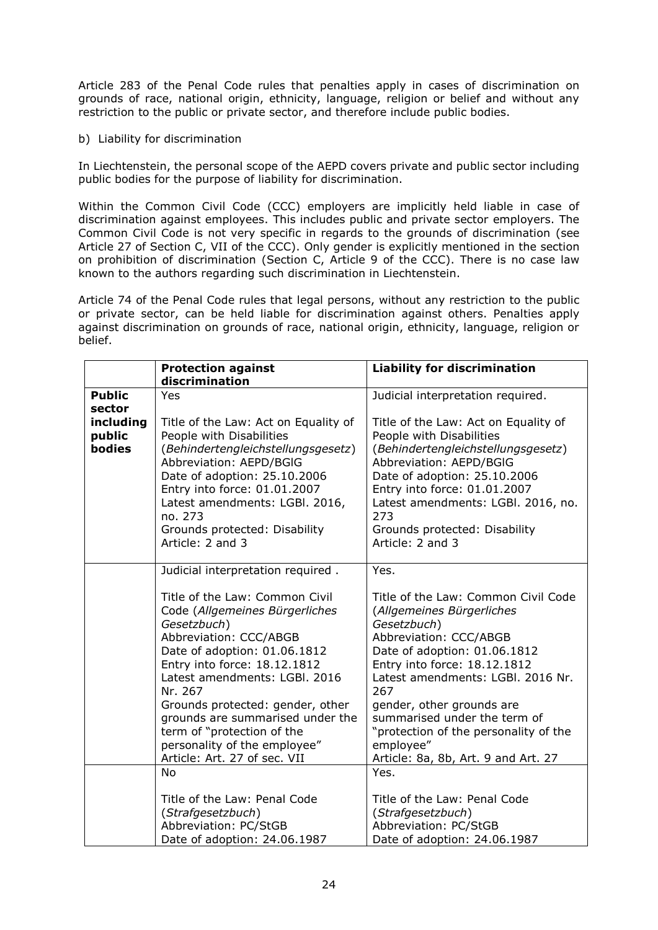Article 283 of the Penal Code rules that penalties apply in cases of discrimination on grounds of race, national origin, ethnicity, language, religion or belief and without any restriction to the public or private sector, and therefore include public bodies.

### b) Liability for discrimination

In Liechtenstein, the personal scope of the AEPD covers private and public sector including public bodies for the purpose of liability for discrimination.

Within the Common Civil Code (CCC) employers are implicitly held liable in case of discrimination against employees. This includes public and private sector employers. The Common Civil Code is not very specific in regards to the grounds of discrimination (see Article 27 of Section C, VII of the CCC). Only gender is explicitly mentioned in the section on prohibition of discrimination (Section C, Article 9 of the CCC). There is no case law known to the authors regarding such discrimination in Liechtenstein.

Article 74 of the Penal Code rules that legal persons, without any restriction to the public or private sector, can be held liable for discrimination against others. Penalties apply against discrimination on grounds of race, national origin, ethnicity, language, religion or belief.

|               | <b>Protection against</b>            | <b>Liability for discrimination</b>   |
|---------------|--------------------------------------|---------------------------------------|
|               | discrimination                       |                                       |
| <b>Public</b> | Yes                                  | Judicial interpretation required.     |
| sector        |                                      |                                       |
| including     | Title of the Law: Act on Equality of | Title of the Law: Act on Equality of  |
| public        | People with Disabilities             | People with Disabilities              |
| <b>bodies</b> | (Behindertengleichstellungsgesetz)   | (Behindertengleichstellungsgesetz)    |
|               | Abbreviation: AEPD/BGIG              | Abbreviation: AEPD/BGIG               |
|               | Date of adoption: 25.10.2006         | Date of adoption: 25.10.2006          |
|               | Entry into force: 01.01.2007         | Entry into force: 01.01.2007          |
|               | Latest amendments: LGBI. 2016,       | Latest amendments: LGBI. 2016, no.    |
|               | no. 273                              | 273                                   |
|               | Grounds protected: Disability        | Grounds protected: Disability         |
|               | Article: 2 and 3                     | Article: 2 and 3                      |
|               | Judicial interpretation required.    | Yes.                                  |
|               |                                      |                                       |
|               | Title of the Law: Common Civil       | Title of the Law: Common Civil Code   |
|               | Code (Allgemeines Bürgerliches       | (Allgemeines Bürgerliches             |
|               | Gesetzbuch)                          | Gesetzbuch)                           |
|               | Abbreviation: CCC/ABGB               | Abbreviation: CCC/ABGB                |
|               | Date of adoption: 01.06.1812         | Date of adoption: 01.06.1812          |
|               | Entry into force: 18.12.1812         | Entry into force: 18.12.1812          |
|               | Latest amendments: LGBI. 2016        | Latest amendments: LGBI. 2016 Nr.     |
|               | Nr. 267                              | 267                                   |
|               | Grounds protected: gender, other     | gender, other grounds are             |
|               | grounds are summarised under the     | summarised under the term of          |
|               | term of "protection of the           | "protection of the personality of the |
|               | personality of the employee"         | employee"                             |
|               | Article: Art. 27 of sec. VII         | Article: 8a, 8b, Art. 9 and Art. 27   |
|               | <b>No</b>                            | Yes.                                  |
|               | Title of the Law: Penal Code         | Title of the Law: Penal Code          |
|               | (Strafgesetzbuch)                    | (Strafgesetzbuch)                     |
|               | Abbreviation: PC/StGB                | Abbreviation: PC/StGB                 |
|               | Date of adoption: 24.06.1987         | Date of adoption: 24.06.1987          |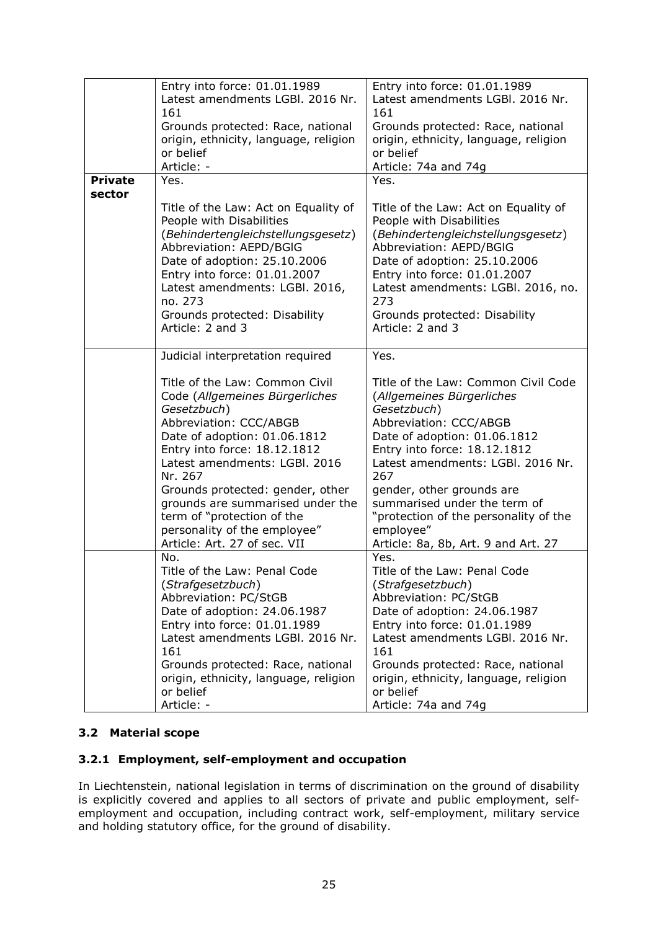|                | Entry into force: 01.01.1989             | Entry into force: 01.01.1989             |
|----------------|------------------------------------------|------------------------------------------|
|                |                                          |                                          |
|                | Latest amendments LGBI. 2016 Nr.         | Latest amendments LGBI. 2016 Nr.         |
|                | 161                                      | 161                                      |
|                | Grounds protected: Race, national        | Grounds protected: Race, national        |
|                | origin, ethnicity, language, religion    | origin, ethnicity, language, religion    |
|                | or belief                                | or belief                                |
|                | Article: -                               | Article: 74a and 74g                     |
| <b>Private</b> | Yes.                                     | Yes.                                     |
| sector         |                                          |                                          |
|                | Title of the Law: Act on Equality of     | Title of the Law: Act on Equality of     |
|                | People with Disabilities                 | People with Disabilities                 |
|                | (Behindertengleichstellungsgesetz)       | (Behindertengleichstellungsgesetz)       |
|                | Abbreviation: AEPD/BGIG                  | Abbreviation: AEPD/BGIG                  |
|                |                                          |                                          |
|                | Date of adoption: 25.10.2006             | Date of adoption: 25.10.2006             |
|                | Entry into force: 01.01.2007             | Entry into force: 01.01.2007             |
|                | Latest amendments: LGBI. 2016,           | Latest amendments: LGBI. 2016, no.       |
|                | no. 273                                  | 273                                      |
|                | Grounds protected: Disability            | Grounds protected: Disability            |
|                | Article: 2 and 3                         | Article: 2 and 3                         |
|                |                                          |                                          |
|                | Judicial interpretation required         | Yes.                                     |
|                |                                          |                                          |
|                | Title of the Law: Common Civil           | Title of the Law: Common Civil Code      |
|                | Code (Allgemeines Bürgerliches           | (Allgemeines Bürgerliches                |
|                | Gesetzbuch)                              | Gesetzbuch)                              |
|                | Abbreviation: CCC/ABGB                   | Abbreviation: CCC/ABGB                   |
|                | Date of adoption: 01.06.1812             | Date of adoption: 01.06.1812             |
|                | Entry into force: 18.12.1812             | Entry into force: 18.12.1812             |
|                |                                          |                                          |
|                | Latest amendments: LGBI. 2016<br>Nr. 267 | Latest amendments: LGBI. 2016 Nr.<br>267 |
|                | Grounds protected: gender, other         | gender, other grounds are                |
|                | grounds are summarised under the         | summarised under the term of             |
|                | term of "protection of the               |                                          |
|                |                                          | "protection of the personality of the    |
|                | personality of the employee"             | employee"                                |
|                | Article: Art. 27 of sec. VII             | Article: 8a, 8b, Art. 9 and Art. 27      |
|                | No.                                      | Yes.                                     |
|                | Title of the Law: Penal Code             | Title of the Law: Penal Code             |
|                | (Strafgesetzbuch)                        | (Strafgesetzbuch)                        |
|                | Abbreviation: PC/StGB                    | Abbreviation: PC/StGB                    |
|                | Date of adoption: 24.06.1987             | Date of adoption: 24.06.1987             |
|                | Entry into force: 01.01.1989             | Entry into force: 01.01.1989             |
|                | Latest amendments LGBI. 2016 Nr.         | Latest amendments LGBI. 2016 Nr.         |
|                | 161                                      | 161                                      |
|                | Grounds protected: Race, national        | Grounds protected: Race, national        |
|                | origin, ethnicity, language, religion    | origin, ethnicity, language, religion    |
|                | or belief                                | or belief                                |
|                |                                          |                                          |
|                | Article: -                               | Article: 74a and 74g                     |

# <span id="page-25-0"></span>**3.2 Material scope**

# <span id="page-25-1"></span>**3.2.1 Employment, self-employment and occupation**

In Liechtenstein, national legislation in terms of discrimination on the ground of disability is explicitly covered and applies to all sectors of private and public employment, selfemployment and occupation, including contract work, self-employment, military service and holding statutory office, for the ground of disability.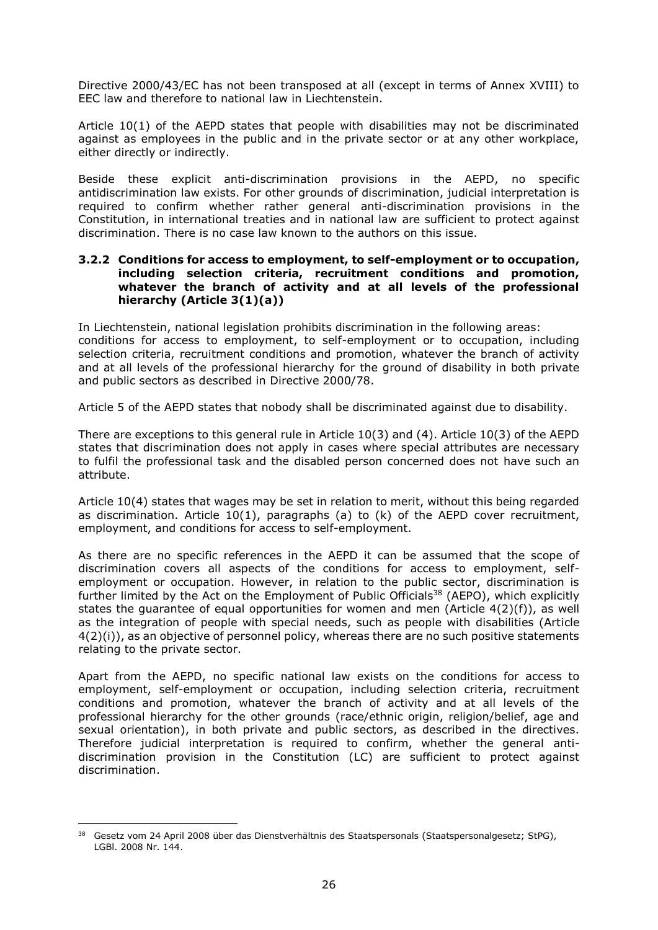Directive 2000/43/EC has not been transposed at all (except in terms of Annex XVIII) to EEC law and therefore to national law in Liechtenstein.

Article 10(1) of the AEPD states that people with disabilities may not be discriminated against as employees in the public and in the private sector or at any other workplace, either directly or indirectly.

Beside these explicit anti-discrimination provisions in the AEPD, no specific antidiscrimination law exists. For other grounds of discrimination, judicial interpretation is required to confirm whether rather general anti-discrimination provisions in the Constitution, in international treaties and in national law are sufficient to protect against discrimination. There is no case law known to the authors on this issue.

#### <span id="page-26-0"></span>**3.2.2 Conditions for access to employment, to self-employment or to occupation, including selection criteria, recruitment conditions and promotion, whatever the branch of activity and at all levels of the professional hierarchy (Article 3(1)(a))**

In Liechtenstein, national legislation prohibits discrimination in the following areas: conditions for access to employment, to self-employment or to occupation, including selection criteria, recruitment conditions and promotion, whatever the branch of activity and at all levels of the professional hierarchy for the ground of disability in both private and public sectors as described in Directive 2000/78.

Article 5 of the AEPD states that nobody shall be discriminated against due to disability.

There are exceptions to this general rule in Article 10(3) and (4). Article 10(3) of the AEPD states that discrimination does not apply in cases where special attributes are necessary to fulfil the professional task and the disabled person concerned does not have such an attribute.

Article 10(4) states that wages may be set in relation to merit, without this being regarded as discrimination. Article  $10(1)$ , paragraphs (a) to (k) of the AEPD cover recruitment, employment, and conditions for access to self-employment.

As there are no specific references in the AEPD it can be assumed that the scope of discrimination covers all aspects of the conditions for access to employment, selfemployment or occupation. However, in relation to the public sector, discrimination is further limited by the Act on the Employment of Public Officials<sup>38</sup> (AEPO), which explicitly states the guarantee of equal opportunities for women and men (Article 4(2)(f)), as well as the integration of people with special needs, such as people with disabilities (Article  $4(2)(i)$ , as an objective of personnel policy, whereas there are no such positive statements relating to the private sector.

Apart from the AEPD, no specific national law exists on the conditions for access to employment, self-employment or occupation, including selection criteria, recruitment conditions and promotion, whatever the branch of activity and at all levels of the professional hierarchy for the other grounds (race/ethnic origin, religion/belief, age and sexual orientation), in both private and public sectors, as described in the directives. Therefore judicial interpretation is required to confirm, whether the general antidiscrimination provision in the Constitution (LC) are sufficient to protect against discrimination.

<sup>&</sup>lt;sup>38</sup> Gesetz vom 24 April 2008 über das Dienstverhältnis des Staatspersonals (Staatspersonalgesetz; StPG), LGBl. 2008 Nr. 144.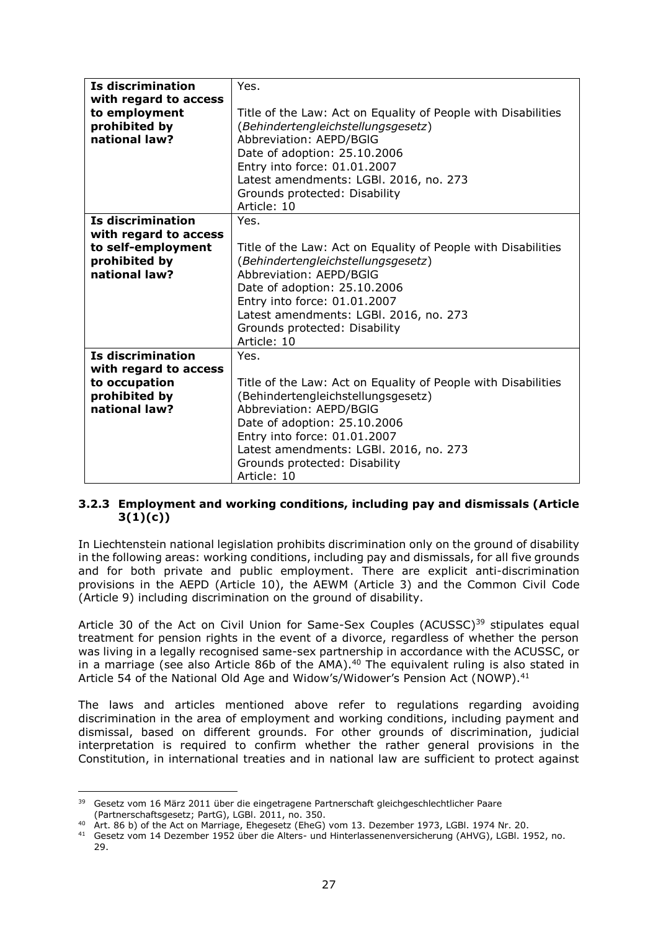| Is discrimination                                                                                  | Yes.                                                                                                                                                                                                                                                                                             |
|----------------------------------------------------------------------------------------------------|--------------------------------------------------------------------------------------------------------------------------------------------------------------------------------------------------------------------------------------------------------------------------------------------------|
| with regard to access<br>to employment<br>prohibited by<br>national law?                           | Title of the Law: Act on Equality of People with Disabilities<br>(Behindertengleichstellungsgesetz)<br>Abbreviation: AEPD/BGIG<br>Date of adoption: 25.10.2006<br>Entry into force: 01.01.2007<br>Latest amendments: LGBI. 2016, no. 273<br>Grounds protected: Disability<br>Article: 10         |
| Is discrimination<br>with regard to access<br>to self-employment<br>prohibited by<br>national law? | Yes.<br>Title of the Law: Act on Equality of People with Disabilities<br>(Behindertengleichstellungsgesetz)<br>Abbreviation: AEPD/BGIG<br>Date of adoption: 25.10.2006<br>Entry into force: 01.01.2007<br>Latest amendments: LGBI. 2016, no. 273<br>Grounds protected: Disability<br>Article: 10 |
| Is discrimination<br>with regard to access<br>to occupation<br>prohibited by<br>national law?      | Yes.<br>Title of the Law: Act on Equality of People with Disabilities<br>(Behindertengleichstellungsgesetz)<br>Abbreviation: AEPD/BGIG<br>Date of adoption: 25.10.2006<br>Entry into force: 01.01.2007<br>Latest amendments: LGBI. 2016, no. 273<br>Grounds protected: Disability<br>Article: 10 |

### <span id="page-27-0"></span>**3.2.3 Employment and working conditions, including pay and dismissals (Article 3(1)(c))**

In Liechtenstein national legislation prohibits discrimination only on the ground of disability in the following areas: working conditions, including pay and dismissals, for all five grounds and for both private and public employment. There are explicit anti-discrimination provisions in the AEPD (Article 10), the AEWM (Article 3) and the Common Civil Code (Article 9) including discrimination on the ground of disability.

Article 30 of the Act on Civil Union for Same-Sex Couples (ACUSSC)<sup>39</sup> stipulates equal treatment for pension rights in the event of a divorce, regardless of whether the person was living in a legally recognised same-sex partnership in accordance with the ACUSSC, or in a marriage (see also Article 86b of the AMA). $40$  The equivalent ruling is also stated in Article 54 of the National Old Age and Widow's/Widower's Pension Act (NOWP).<sup>41</sup>

The laws and articles mentioned above refer to regulations regarding avoiding discrimination in the area of employment and working conditions, including payment and dismissal, based on different grounds. For other grounds of discrimination, judicial interpretation is required to confirm whether the rather general provisions in the Constitution, in international treaties and in national law are sufficient to protect against

<sup>&</sup>lt;sup>39</sup> Gesetz vom 16 März 2011 über die eingetragene Partnerschaft gleichgeschlechtlicher Paare (Partnerschaftsgesetz; PartG), LGBl. 2011, no. 350.

Art. 86 b) of the Act on Marriage, Ehegesetz (EheG) vom 13. Dezember 1973, LGBI. 1974 Nr. 20.

<sup>41</sup> Gesetz vom 14 Dezember 1952 über die Alters- und Hinterlassenenversicherung (AHVG), LGBl. 1952, no.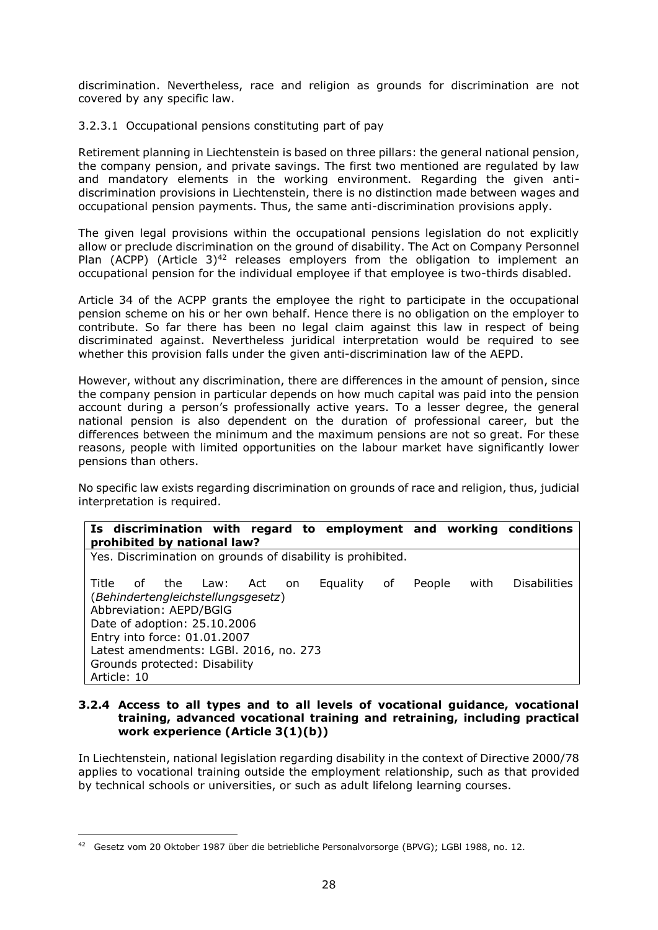discrimination. Nevertheless, race and religion as grounds for discrimination are not covered by any specific law.

### 3.2.3.1 Occupational pensions constituting part of pay

Retirement planning in Liechtenstein is based on three pillars: the general national pension, the company pension, and private savings. The first two mentioned are regulated by law and mandatory elements in the working environment. Regarding the given antidiscrimination provisions in Liechtenstein, there is no distinction made between wages and occupational pension payments. Thus, the same anti-discrimination provisions apply.

The given legal provisions within the occupational pensions legislation do not explicitly allow or preclude discrimination on the ground of disability. The Act on Company Personnel Plan (ACPP) (Article  $3)^{42}$  releases employers from the obligation to implement an occupational pension for the individual employee if that employee is two-thirds disabled.

Article 34 of the ACPP grants the employee the right to participate in the occupational pension scheme on his or her own behalf. Hence there is no obligation on the employer to contribute. So far there has been no legal claim against this law in respect of being discriminated against. Nevertheless juridical interpretation would be required to see whether this provision falls under the given anti-discrimination law of the AEPD.

However, without any discrimination, there are differences in the amount of pension, since the company pension in particular depends on how much capital was paid into the pension account during a person's professionally active years. To a lesser degree, the general national pension is also dependent on the duration of professional career, but the differences between the minimum and the maximum pensions are not so great. For these reasons, people with limited opportunities on the labour market have significantly lower pensions than others.

No specific law exists regarding discrimination on grounds of race and religion, thus, judicial interpretation is required.

| Is discrimination with regard to employment and working conditions<br>prohibited by national law?                                                                                                                                                     |            |                 |    |        |      |                     |
|-------------------------------------------------------------------------------------------------------------------------------------------------------------------------------------------------------------------------------------------------------|------------|-----------------|----|--------|------|---------------------|
| Yes. Discrimination on grounds of disability is prohibited.                                                                                                                                                                                           |            |                 |    |        |      |                     |
| Title<br>of<br>the<br>Law:<br>(Behindertengleichstellungsgesetz)<br>Abbreviation: AEPD/BGIG<br>Date of adoption: 25.10.2006<br>Entry into force: 01.01.2007<br>Latest amendments: LGBI. 2016, no. 273<br>Grounds protected: Disability<br>Article: 10 | Act<br>on. | <b>Equality</b> | оf | People | with | <b>Disabilities</b> |

#### <span id="page-28-0"></span>**3.2.4 Access to all types and to all levels of vocational guidance, vocational training, advanced vocational training and retraining, including practical work experience (Article 3(1)(b))**

In Liechtenstein, national legislation regarding disability in the context of Directive 2000/78 applies to vocational training outside the employment relationship, such as that provided by technical schools or universities, or such as adult lifelong learning courses.

<sup>42</sup> Gesetz vom 20 Oktober 1987 über die betriebliche Personalvorsorge (BPVG); LGBl 1988, no. 12.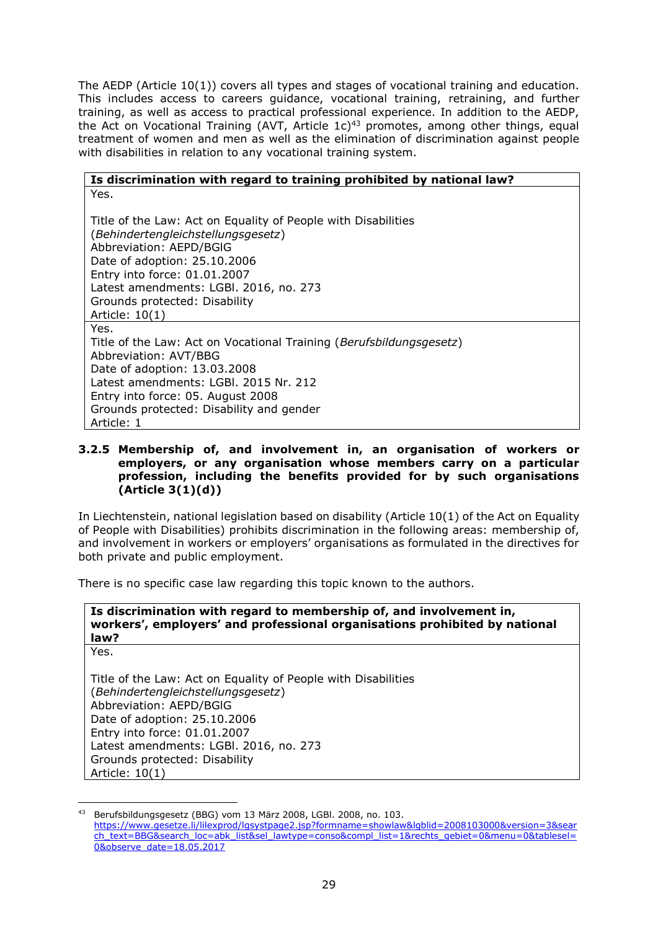The AEDP (Article 10(1)) covers all types and stages of vocational training and education. This includes access to careers guidance, vocational training, retraining, and further training, as well as access to practical professional experience. In addition to the AEDP, the Act on Vocational Training (AVT, Article  $1c$ )<sup>43</sup> promotes, among other things, equal treatment of women and men as well as the elimination of discrimination against people with disabilities in relation to any vocational training system.

#### **Is discrimination with regard to training prohibited by national law?** Yes.

Title of the Law: Act on Equality of People with Disabilities (*Behindertengleichstellungsgesetz*) Abbreviation: AEPD/BGlG Date of adoption: 25.10.2006 Entry into force: 01.01.2007 Latest amendments: LGBl. 2016, no. 273 Grounds protected: Disability Article: 10(1) Yes. Title of the Law: Act on Vocational Training (*Berufsbildungsgesetz*) Abbreviation: AVT/BBG Date of adoption: 13.03.2008 Latest amendments: LGBl. 2015 Nr. 212 Entry into force: 05. August 2008 Grounds protected: Disability and gender Article: 1

#### <span id="page-29-0"></span>**3.2.5 Membership of, and involvement in, an organisation of workers or employers, or any organisation whose members carry on a particular profession, including the benefits provided for by such organisations (Article 3(1)(d))**

In Liechtenstein, national legislation based on disability (Article 10(1) of the Act on Equality of People with Disabilities) prohibits discrimination in the following areas: membership of, and involvement in workers or employers' organisations as formulated in the directives for both private and public employment.

There is no specific case law regarding this topic known to the authors.

| Is discrimination with regard to membership of, and involvement in,        |  |  |
|----------------------------------------------------------------------------|--|--|
| workers', employers' and professional organisations prohibited by national |  |  |
| law?                                                                       |  |  |
| Yes.                                                                       |  |  |

Title of the Law: Act on Equality of People with Disabilities (*Behindertengleichstellungsgesetz*) Abbreviation: AEPD/BGlG Date of adoption: 25.10.2006 Entry into force: 01.01.2007 Latest amendments: LGBl. 2016, no. 273 Grounds protected: Disability Article: 10(1)

<sup>43</sup> Berufsbildungsgesetz (BBG) vom 13 März 2008, LGBl. 2008, no. 103. [https://www.gesetze.li/lilexprod/lgsystpage2.jsp?formname=showlaw&lgblid=2008103000&version=3&sear](https://www.gesetze.li/lilexprod/lgsystpage2.jsp?formname=showlaw&lgblid=2008103000&version=3&search_text=BBG&search_loc=abk_list&sel_lawtype=conso&compl_list=1&rechts_gebiet=0&menu=0&tablesel=0&observe_date=18.05.2017) [ch\\_text=BBG&search\\_loc=abk\\_list&sel\\_lawtype=conso&compl\\_list=1&rechts\\_gebiet=0&menu=0&tablesel=](https://www.gesetze.li/lilexprod/lgsystpage2.jsp?formname=showlaw&lgblid=2008103000&version=3&search_text=BBG&search_loc=abk_list&sel_lawtype=conso&compl_list=1&rechts_gebiet=0&menu=0&tablesel=0&observe_date=18.05.2017) [0&observe\\_date=18.05.2017](https://www.gesetze.li/lilexprod/lgsystpage2.jsp?formname=showlaw&lgblid=2008103000&version=3&search_text=BBG&search_loc=abk_list&sel_lawtype=conso&compl_list=1&rechts_gebiet=0&menu=0&tablesel=0&observe_date=18.05.2017)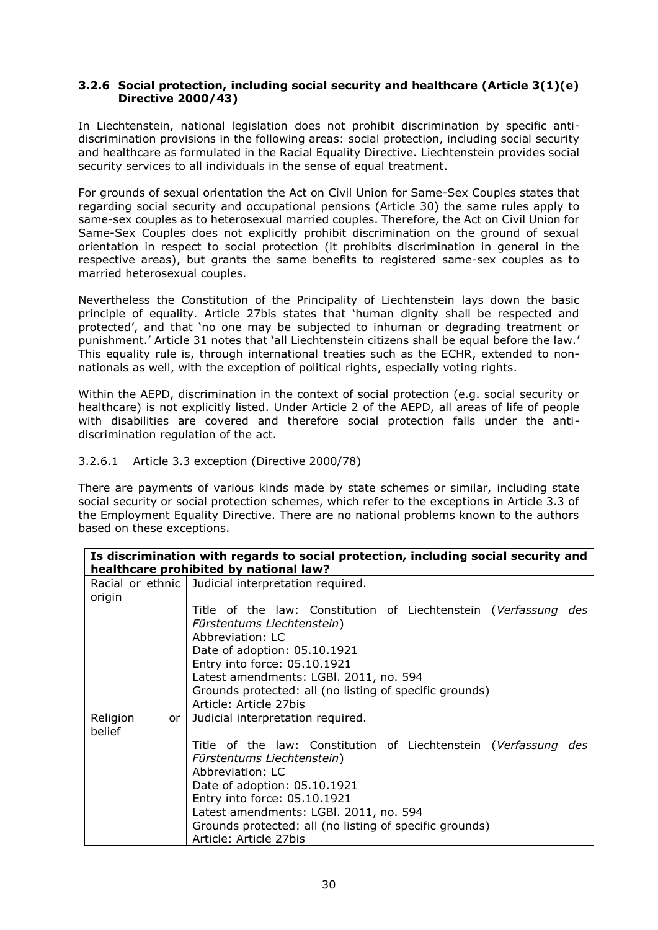### <span id="page-30-0"></span>**3.2.6 Social protection, including social security and healthcare (Article 3(1)(e) Directive 2000/43)**

In Liechtenstein, national legislation does not prohibit discrimination by specific antidiscrimination provisions in the following areas: social protection, including social security and healthcare as formulated in the Racial Equality Directive. Liechtenstein provides social security services to all individuals in the sense of equal treatment.

For grounds of sexual orientation the Act on Civil Union for Same-Sex Couples states that regarding social security and occupational pensions (Article 30) the same rules apply to same-sex couples as to heterosexual married couples. Therefore, the Act on Civil Union for Same-Sex Couples does not explicitly prohibit discrimination on the ground of sexual orientation in respect to social protection (it prohibits discrimination in general in the respective areas), but grants the same benefits to registered same-sex couples as to married heterosexual couples.

Nevertheless the Constitution of the Principality of Liechtenstein lays down the basic principle of equality. Article 27bis states that 'human dignity shall be respected and protected', and that 'no one may be subjected to inhuman or degrading treatment or punishment.' Article 31 notes that 'all Liechtenstein citizens shall be equal before the law.' This equality rule is, through international treaties such as the ECHR, extended to nonnationals as well, with the exception of political rights, especially voting rights.

Within the AEPD, discrimination in the context of social protection (e.g. social security or healthcare) is not explicitly listed. Under Article 2 of the AEPD, all areas of life of people with disabilities are covered and therefore social protection falls under the antidiscrimination regulation of the act.

#### 3.2.6.1 Article 3.3 exception (Directive 2000/78)

There are payments of various kinds made by state schemes or similar, including state social security or social protection schemes, which refer to the exceptions in Article 3.3 of the Employment Equality Directive. There are no national problems known to the authors based on these exceptions.

|                             | Is discrimination with regards to social protection, including social security and |
|-----------------------------|------------------------------------------------------------------------------------|
|                             | healthcare prohibited by national law?                                             |
|                             | Racial or ethnic   Judicial interpretation required.                               |
| origin                      |                                                                                    |
|                             | Title of the law: Constitution of Liechtenstein (Verfassung des                    |
|                             | Fürstentums Liechtenstein)                                                         |
|                             | Abbreviation: LC                                                                   |
|                             | Date of adoption: 05.10.1921                                                       |
|                             | Entry into force: 05.10.1921                                                       |
|                             | Latest amendments: LGBI. 2011, no. 594                                             |
|                             | Grounds protected: all (no listing of specific grounds)                            |
|                             | Article: Article 27bis                                                             |
| Religion<br>or <sub>l</sub> | Judicial interpretation required.                                                  |
| belief                      |                                                                                    |
|                             | Title of the law: Constitution of Liechtenstein (Verfassung des                    |
|                             | Fürstentums Liechtenstein)                                                         |
|                             | Abbreviation: LC                                                                   |
|                             | Date of adoption: 05.10.1921                                                       |
|                             | Entry into force: 05.10.1921                                                       |
|                             | Latest amendments: LGBI. 2011, no. 594                                             |
|                             | Grounds protected: all (no listing of specific grounds)                            |
|                             | Article: Article 27bis                                                             |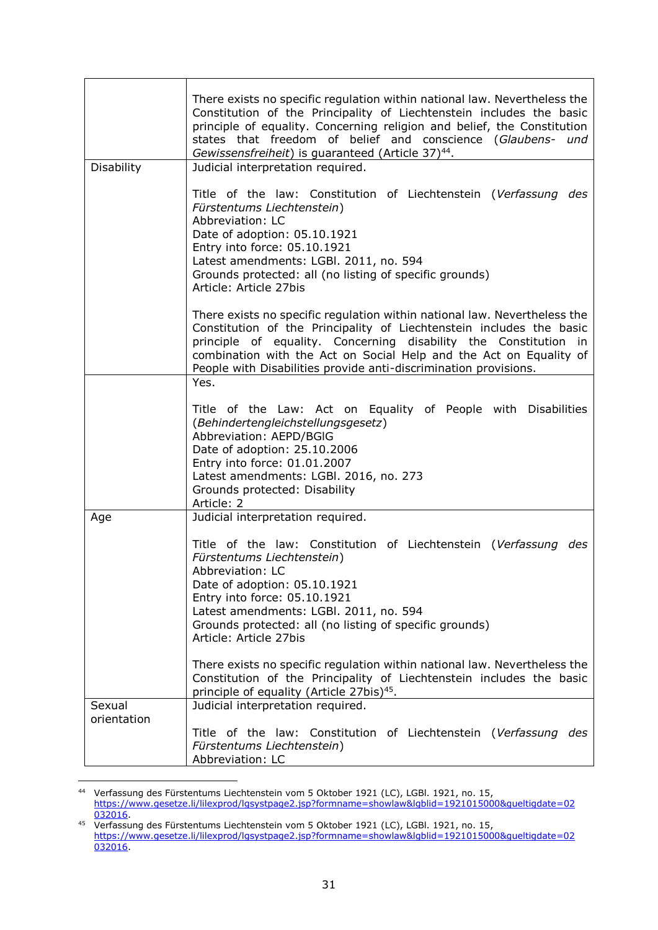| Disability  | There exists no specific regulation within national law. Nevertheless the<br>Constitution of the Principality of Liechtenstein includes the basic<br>principle of equality. Concerning religion and belief, the Constitution<br>states that freedom of belief and conscience (Glaubens- und<br>Gewissensfreiheit) is guaranteed (Article 37) <sup>44</sup> .<br>Judicial interpretation required. |
|-------------|---------------------------------------------------------------------------------------------------------------------------------------------------------------------------------------------------------------------------------------------------------------------------------------------------------------------------------------------------------------------------------------------------|
|             |                                                                                                                                                                                                                                                                                                                                                                                                   |
|             | Title of the law: Constitution of Liechtenstein (Verfassung des<br>Fürstentums Liechtenstein)<br>Abbreviation: LC<br>Date of adoption: 05.10.1921<br>Entry into force: 05.10.1921<br>Latest amendments: LGBI. 2011, no. 594<br>Grounds protected: all (no listing of specific grounds)<br>Article: Article 27bis                                                                                  |
|             | There exists no specific regulation within national law. Nevertheless the<br>Constitution of the Principality of Liechtenstein includes the basic<br>principle of equality. Concerning disability the Constitution in<br>combination with the Act on Social Help and the Act on Equality of<br>People with Disabilities provide anti-discrimination provisions.                                   |
|             | Yes.                                                                                                                                                                                                                                                                                                                                                                                              |
|             | Title of the Law: Act on Equality of People with Disabilities<br>(Behindertengleichstellungsgesetz)<br>Abbreviation: AEPD/BGIG<br>Date of adoption: 25.10.2006<br>Entry into force: 01.01.2007<br>Latest amendments: LGBI. 2016, no. 273<br>Grounds protected: Disability<br>Article: 2                                                                                                           |
| Age         | Judicial interpretation required.                                                                                                                                                                                                                                                                                                                                                                 |
|             | Title of the law: Constitution of Liechtenstein (Verfassung des<br>Fürstentums Liechtenstein)<br>Abbreviation: LC<br>Date of adoption: 05.10.1921<br>Entry into force: 05.10.1921<br>Latest amendments: LGBI. 2011, no. 594<br>Grounds protected: all (no listing of specific grounds)<br>Article: Article 27bis                                                                                  |
|             | There exists no specific regulation within national law. Nevertheless the<br>Constitution of the Principality of Liechtenstein includes the basic<br>principle of equality (Article 27bis) <sup>45</sup> .                                                                                                                                                                                        |
| Sexual      | Judicial interpretation required.                                                                                                                                                                                                                                                                                                                                                                 |
| orientation | Title of the law: Constitution of Liechtenstein (Verfassung des<br>Fürstentums Liechtenstein)<br>Abbreviation: LC                                                                                                                                                                                                                                                                                 |

 $44$ <sup>44</sup> Verfassung des Fürstentums Liechtenstein vom 5 Oktober 1921 (LC), LGBl. 1921, no. 15, [https://www.gesetze.li/lilexprod/lgsystpage2.jsp?formname=showlaw&lgblid=1921015000&gueltigdate=02](https://www.gesetze.li/lilexprod/lgsystpage2.jsp?formname=showlaw&lgblid=1921015000&gueltigdate=02032016) [032016.](https://www.gesetze.li/lilexprod/lgsystpage2.jsp?formname=showlaw&lgblid=1921015000&gueltigdate=02032016)

<sup>&</sup>lt;sup>45</sup> Verfassung des Fürstentums Liechtenstein vom 5 Oktober 1921 (LC), LGBI. 1921, no. 15, [https://www.gesetze.li/lilexprod/lgsystpage2.jsp?formname=showlaw&lgblid=1921015000&gueltigdate=02](https://www.gesetze.li/lilexprod/lgsystpage2.jsp?formname=showlaw&lgblid=1921015000&gueltigdate=02032016) [032016.](https://www.gesetze.li/lilexprod/lgsystpage2.jsp?formname=showlaw&lgblid=1921015000&gueltigdate=02032016)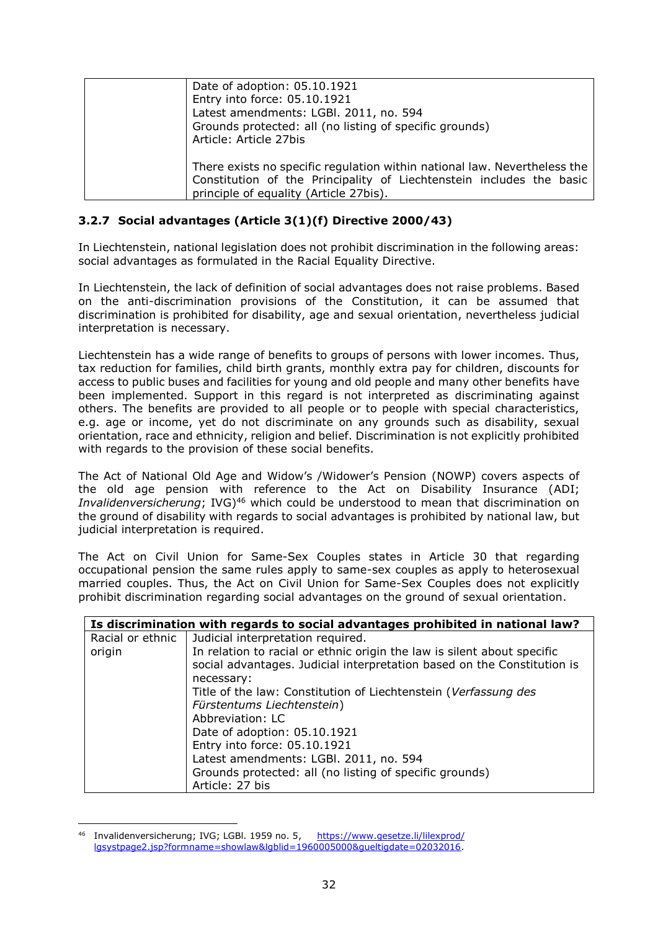| Date of adoption: 05.10.1921                                                                                                                      |
|---------------------------------------------------------------------------------------------------------------------------------------------------|
| Entry into force: 05.10.1921                                                                                                                      |
| Latest amendments: LGBI. 2011, no. 594                                                                                                            |
| Grounds protected: all (no listing of specific grounds)                                                                                           |
| Article: Article 27bis                                                                                                                            |
| There exists no specific regulation within national law. Nevertheless the<br>Constitution of the Principality of Liechtenstein includes the basic |
| principle of equality (Article 27bis).                                                                                                            |

# <span id="page-32-0"></span>**3.2.7 Social advantages (Article 3(1)(f) Directive 2000/43)**

In Liechtenstein, national legislation does not prohibit discrimination in the following areas: social advantages as formulated in the Racial Equality Directive.

In Liechtenstein, the lack of definition of social advantages does not raise problems. Based on the anti-discrimination provisions of the Constitution, it can be assumed that discrimination is prohibited for disability, age and sexual orientation, nevertheless judicial interpretation is necessary.

Liechtenstein has a wide range of benefits to groups of persons with lower incomes. Thus, tax reduction for families, child birth grants, monthly extra pay for children, discounts for access to public buses and facilities for young and old people and many other benefits have been implemented. Support in this regard is not interpreted as discriminating against others. The benefits are provided to all people or to people with special characteristics, e.g. age or income, yet do not discriminate on any grounds such as disability, sexual orientation, race and ethnicity, religion and belief. Discrimination is not explicitly prohibited with regards to the provision of these social benefits.

The Act of National Old Age and Widow's /Widower's Pension (NOWP) covers aspects of the old age pension with reference to the Act on Disability Insurance (ADI; *Invalidenversicherung*; IVG)<sup>46</sup> which could be understood to mean that discrimination on the ground of disability with regards to social advantages is prohibited by national law, but judicial interpretation is required.

The Act on Civil Union for Same-Sex Couples states in Article 30 that regarding occupational pension the same rules apply to same-sex couples as apply to heterosexual married couples. Thus, the Act on Civil Union for Same-Sex Couples does not explicitly prohibit discrimination regarding social advantages on the ground of sexual orientation.

| Is discrimination with regards to social advantages prohibited in national law? |                                                                                                                                                    |
|---------------------------------------------------------------------------------|----------------------------------------------------------------------------------------------------------------------------------------------------|
| Racial or ethnic                                                                | Judicial interpretation required.                                                                                                                  |
| origin                                                                          | In relation to racial or ethnic origin the law is silent about specific<br>social advantages. Judicial interpretation based on the Constitution is |
|                                                                                 | necessary:                                                                                                                                         |
|                                                                                 | Title of the law: Constitution of Liechtenstein (Verfassung des                                                                                    |
|                                                                                 | Fürstentums Liechtenstein)                                                                                                                         |
|                                                                                 | Abbreviation: LC                                                                                                                                   |
|                                                                                 | Date of adoption: 05.10.1921                                                                                                                       |
|                                                                                 | Entry into force: 05.10.1921                                                                                                                       |
|                                                                                 | Latest amendments: LGBI. 2011, no. 594                                                                                                             |
|                                                                                 | Grounds protected: all (no listing of specific grounds)                                                                                            |
|                                                                                 | Article: 27 bis                                                                                                                                    |

<sup>46</sup> Invalidenversicherung; IVG; LGBI. 1959 no. 5, [https://www.gesetze.li/lilexprod/](https://www.gesetze.li/lilexprod/lgsystpage2.jsp?formname=showlaw&lgblid=1960005000&gueltigdate=02032016) [lgsystpage2.jsp?formname=showlaw&lgblid=1960005000&gueltigdate=02032016.](https://www.gesetze.li/lilexprod/lgsystpage2.jsp?formname=showlaw&lgblid=1960005000&gueltigdate=02032016)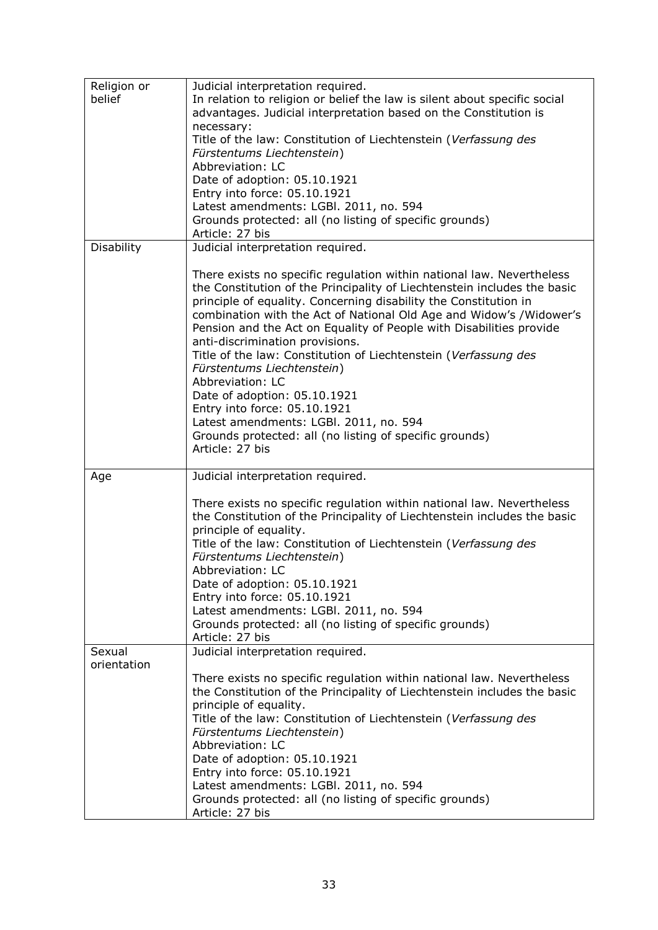| Religion or<br>belief | Judicial interpretation required.<br>In relation to religion or belief the law is silent about specific social<br>advantages. Judicial interpretation based on the Constitution is<br>necessary:<br>Title of the law: Constitution of Liechtenstein (Verfassung des<br>Fürstentums Liechtenstein)<br>Abbreviation: LC<br>Date of adoption: 05.10.1921<br>Entry into force: 05.10.1921<br>Latest amendments: LGBI. 2011, no. 594<br>Grounds protected: all (no listing of specific grounds)<br>Article: 27 bis                                                                                                                                                                                                       |
|-----------------------|---------------------------------------------------------------------------------------------------------------------------------------------------------------------------------------------------------------------------------------------------------------------------------------------------------------------------------------------------------------------------------------------------------------------------------------------------------------------------------------------------------------------------------------------------------------------------------------------------------------------------------------------------------------------------------------------------------------------|
| Disability            | Judicial interpretation required.                                                                                                                                                                                                                                                                                                                                                                                                                                                                                                                                                                                                                                                                                   |
|                       | There exists no specific regulation within national law. Nevertheless<br>the Constitution of the Principality of Liechtenstein includes the basic<br>principle of equality. Concerning disability the Constitution in<br>combination with the Act of National Old Age and Widow's /Widower's<br>Pension and the Act on Equality of People with Disabilities provide<br>anti-discrimination provisions.<br>Title of the law: Constitution of Liechtenstein (Verfassung des<br>Fürstentums Liechtenstein)<br>Abbreviation: LC<br>Date of adoption: 05.10.1921<br>Entry into force: 05.10.1921<br>Latest amendments: LGBI. 2011, no. 594<br>Grounds protected: all (no listing of specific grounds)<br>Article: 27 bis |
| Age                   | Judicial interpretation required.                                                                                                                                                                                                                                                                                                                                                                                                                                                                                                                                                                                                                                                                                   |
| Sexual                | There exists no specific regulation within national law. Nevertheless<br>the Constitution of the Principality of Liechtenstein includes the basic<br>principle of equality.<br>Title of the law: Constitution of Liechtenstein (Verfassung des<br>Fürstentums Liechtenstein)<br>Abbreviation: LC<br>Date of adoption: 05.10.1921<br>Entry into force: 05.10.1921<br>Latest amendments: LGBI. 2011, no. 594<br>Grounds protected: all (no listing of specific grounds)<br>Article: 27 bis                                                                                                                                                                                                                            |
| orientation           | Judicial interpretation required.                                                                                                                                                                                                                                                                                                                                                                                                                                                                                                                                                                                                                                                                                   |
|                       | There exists no specific regulation within national law. Nevertheless<br>the Constitution of the Principality of Liechtenstein includes the basic<br>principle of equality.<br>Title of the law: Constitution of Liechtenstein (Verfassung des<br>Fürstentums Liechtenstein)<br>Abbreviation: LC<br>Date of adoption: 05.10.1921<br>Entry into force: 05.10.1921<br>Latest amendments: LGBI. 2011, no. 594<br>Grounds protected: all (no listing of specific grounds)<br>Article: 27 bis                                                                                                                                                                                                                            |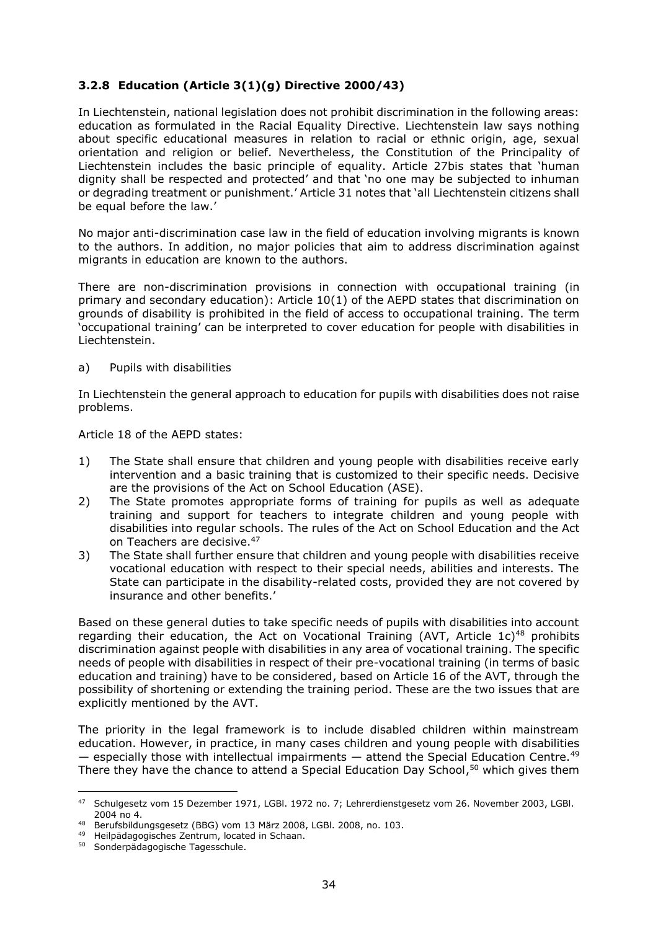# <span id="page-34-0"></span>**3.2.8 Education (Article 3(1)(g) Directive 2000/43)**

In Liechtenstein, national legislation does not prohibit discrimination in the following areas: education as formulated in the Racial Equality Directive. Liechtenstein law says nothing about specific educational measures in relation to racial or ethnic origin, age, sexual orientation and religion or belief. Nevertheless, the Constitution of the Principality of Liechtenstein includes the basic principle of equality. Article 27bis states that 'human dignity shall be respected and protected' and that 'no one may be subjected to inhuman or degrading treatment or punishment.' Article 31 notes that 'all Liechtenstein citizens shall be equal before the law.'

No major anti-discrimination case law in the field of education involving migrants is known to the authors. In addition, no major policies that aim to address discrimination against migrants in education are known to the authors.

There are non-discrimination provisions in connection with occupational training (in primary and secondary education): Article 10(1) of the AEPD states that discrimination on grounds of disability is prohibited in the field of access to occupational training. The term 'occupational training' can be interpreted to cover education for people with disabilities in Liechtenstein.

a) Pupils with disabilities

In Liechtenstein the general approach to education for pupils with disabilities does not raise problems.

Article 18 of the AEPD states:

- 1) The State shall ensure that children and young people with disabilities receive early intervention and a basic training that is customized to their specific needs. Decisive are the provisions of the Act on School Education (ASE).
- 2) The State promotes appropriate forms of training for pupils as well as adequate training and support for teachers to integrate children and young people with disabilities into regular schools. The rules of the Act on School Education and the Act on Teachers are decisive. 47
- 3) The State shall further ensure that children and young people with disabilities receive vocational education with respect to their special needs, abilities and interests. The State can participate in the disability-related costs, provided they are not covered by insurance and other benefits.'

Based on these general duties to take specific needs of pupils with disabilities into account regarding their education, the Act on Vocational Training (AVT, Article  $1c$ )<sup>48</sup> prohibits discrimination against people with disabilities in any area of vocational training. The specific needs of people with disabilities in respect of their pre-vocational training (in terms of basic education and training) have to be considered, based on Article 16 of the AVT, through the possibility of shortening or extending the training period. These are the two issues that are explicitly mentioned by the AVT.

The priority in the legal framework is to include disabled children within mainstream education. However, in practice, in many cases children and young people with disabilities  $-$  especially those with intellectual impairments  $-$  attend the Special Education Centre.<sup>49</sup> There they have the chance to attend a Special Education Day School,<sup>50</sup> which gives them

<sup>47</sup> Schulgesetz vom 15 Dezember 1971, LGBl. 1972 no. 7; Lehrerdienstgesetz vom 26. November 2003, LGBl. 2004 no 4.

<sup>48</sup> Berufsbildungsgesetz (BBG) vom 13 März 2008, LGBl. 2008, no. 103.

<sup>49</sup> Heilpädagogisches Zentrum, located in Schaan.

<sup>&</sup>lt;sup>50</sup> Sonderpädagogische Tagesschule.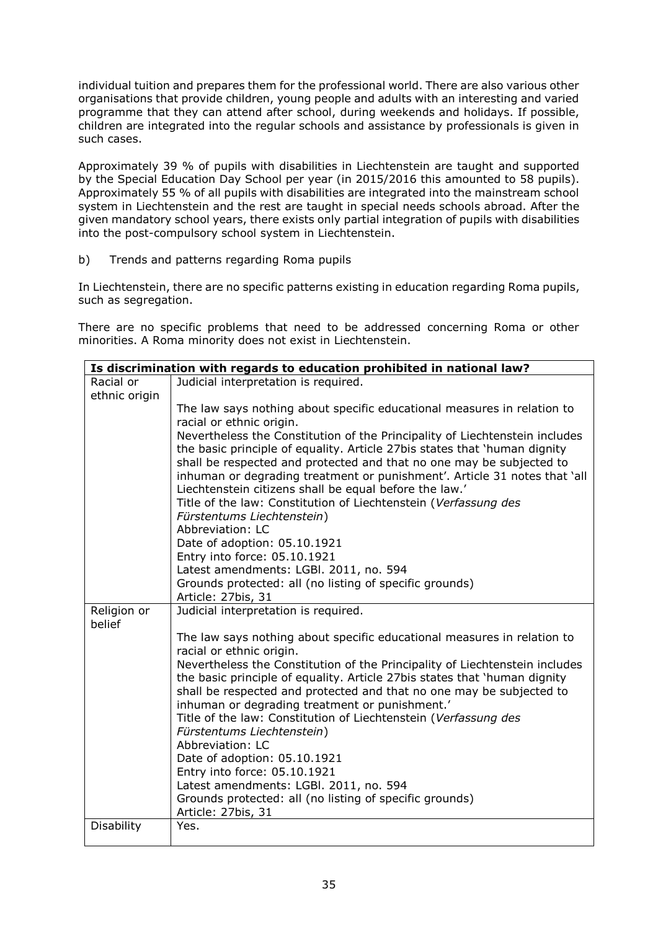individual tuition and prepares them for the professional world. There are also various other organisations that provide children, young people and adults with an interesting and varied programme that they can attend after school, during weekends and holidays. If possible, children are integrated into the regular schools and assistance by professionals is given in such cases.

Approximately 39 % of pupils with disabilities in Liechtenstein are taught and supported by the Special Education Day School per year (in 2015/2016 this amounted to 58 pupils). Approximately 55 % of all pupils with disabilities are integrated into the mainstream school system in Liechtenstein and the rest are taught in special needs schools abroad. After the given mandatory school years, there exists only partial integration of pupils with disabilities into the post-compulsory school system in Liechtenstein.

b) Trends and patterns regarding Roma pupils

In Liechtenstein, there are no specific patterns existing in education regarding Roma pupils, such as segregation.

There are no specific problems that need to be addressed concerning Roma or other minorities. A Roma minority does not exist in Liechtenstein.

| Is discrimination with regards to education prohibited in national law? |                                                                                                                                                   |  |
|-------------------------------------------------------------------------|---------------------------------------------------------------------------------------------------------------------------------------------------|--|
| Racial or                                                               | Judicial interpretation is required.                                                                                                              |  |
| ethnic origin                                                           |                                                                                                                                                   |  |
|                                                                         | The law says nothing about specific educational measures in relation to                                                                           |  |
|                                                                         | racial or ethnic origin.                                                                                                                          |  |
|                                                                         | Nevertheless the Constitution of the Principality of Liechtenstein includes                                                                       |  |
|                                                                         | the basic principle of equality. Article 27bis states that 'human dignity<br>shall be respected and protected and that no one may be subjected to |  |
|                                                                         | inhuman or degrading treatment or punishment'. Article 31 notes that 'all                                                                         |  |
|                                                                         | Liechtenstein citizens shall be equal before the law.'<br>Title of the law: Constitution of Liechtenstein (Verfassung des                         |  |
|                                                                         | Fürstentums Liechtenstein)                                                                                                                        |  |
|                                                                         | Abbreviation: LC                                                                                                                                  |  |
|                                                                         | Date of adoption: 05.10.1921                                                                                                                      |  |
|                                                                         | Entry into force: 05.10.1921                                                                                                                      |  |
|                                                                         | Latest amendments: LGBI. 2011, no. 594                                                                                                            |  |
|                                                                         | Grounds protected: all (no listing of specific grounds)                                                                                           |  |
|                                                                         | Article: 27bis, 31                                                                                                                                |  |
| Religion or<br>belief                                                   | Judicial interpretation is required.                                                                                                              |  |
|                                                                         | The law says nothing about specific educational measures in relation to                                                                           |  |
|                                                                         | racial or ethnic origin.                                                                                                                          |  |
|                                                                         | Nevertheless the Constitution of the Principality of Liechtenstein includes                                                                       |  |
|                                                                         | the basic principle of equality. Article 27bis states that 'human dignity                                                                         |  |
|                                                                         | shall be respected and protected and that no one may be subjected to                                                                              |  |
|                                                                         | inhuman or degrading treatment or punishment.'                                                                                                    |  |
|                                                                         | Title of the law: Constitution of Liechtenstein (Verfassung des                                                                                   |  |
|                                                                         | Fürstentums Liechtenstein)                                                                                                                        |  |
|                                                                         | Abbreviation: LC<br>Date of adoption: 05.10.1921                                                                                                  |  |
|                                                                         | Entry into force: 05.10.1921                                                                                                                      |  |
|                                                                         | Latest amendments: LGBI. 2011, no. 594                                                                                                            |  |
|                                                                         | Grounds protected: all (no listing of specific grounds)                                                                                           |  |
|                                                                         | Article: 27bis, 31                                                                                                                                |  |
| Disability                                                              | Yes.                                                                                                                                              |  |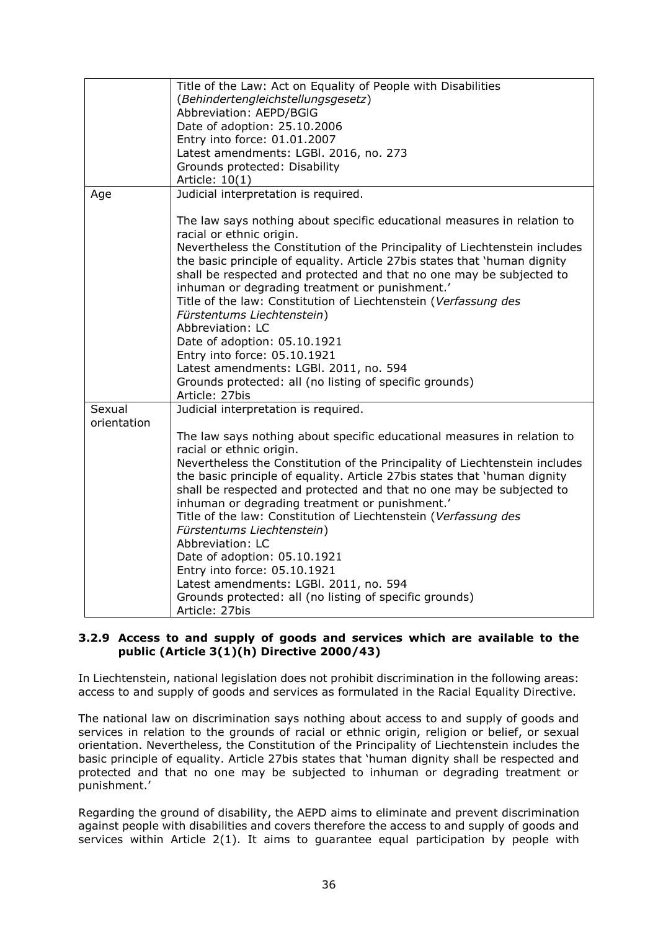|             | Title of the Law: Act on Equality of People with Disabilities                                                                                                                                                                                                                      |
|-------------|------------------------------------------------------------------------------------------------------------------------------------------------------------------------------------------------------------------------------------------------------------------------------------|
|             | (Behindertengleichstellungsgesetz)                                                                                                                                                                                                                                                 |
|             | Abbreviation: AEPD/BGIG                                                                                                                                                                                                                                                            |
|             | Date of adoption: 25.10.2006                                                                                                                                                                                                                                                       |
|             | Entry into force: 01.01.2007                                                                                                                                                                                                                                                       |
|             | Latest amendments: LGBI. 2016, no. 273                                                                                                                                                                                                                                             |
|             | Grounds protected: Disability                                                                                                                                                                                                                                                      |
|             | Article: 10(1)                                                                                                                                                                                                                                                                     |
| Age         | Judicial interpretation is required.                                                                                                                                                                                                                                               |
|             |                                                                                                                                                                                                                                                                                    |
|             | The law says nothing about specific educational measures in relation to<br>racial or ethnic origin.                                                                                                                                                                                |
|             | Nevertheless the Constitution of the Principality of Liechtenstein includes<br>the basic principle of equality. Article 27bis states that 'human dignity<br>shall be respected and protected and that no one may be subjected to                                                   |
|             | inhuman or degrading treatment or punishment.'                                                                                                                                                                                                                                     |
|             | Title of the law: Constitution of Liechtenstein (Verfassung des                                                                                                                                                                                                                    |
|             | Fürstentums Liechtenstein)                                                                                                                                                                                                                                                         |
|             | Abbreviation: LC                                                                                                                                                                                                                                                                   |
|             | Date of adoption: 05.10.1921                                                                                                                                                                                                                                                       |
|             | Entry into force: 05.10.1921                                                                                                                                                                                                                                                       |
|             | Latest amendments: LGBI. 2011, no. 594                                                                                                                                                                                                                                             |
|             | Grounds protected: all (no listing of specific grounds)                                                                                                                                                                                                                            |
|             | Article: 27bis                                                                                                                                                                                                                                                                     |
| Sexual      | Judicial interpretation is required.                                                                                                                                                                                                                                               |
| orientation |                                                                                                                                                                                                                                                                                    |
|             | The law says nothing about specific educational measures in relation to<br>racial or ethnic origin.                                                                                                                                                                                |
|             | Nevertheless the Constitution of the Principality of Liechtenstein includes<br>the basic principle of equality. Article 27bis states that 'human dignity<br>shall be respected and protected and that no one may be subjected to<br>inhuman or degrading treatment or punishment.' |
|             | Title of the law: Constitution of Liechtenstein (Verfassung des                                                                                                                                                                                                                    |
|             | Fürstentums Liechtenstein)                                                                                                                                                                                                                                                         |
|             | Abbreviation: LC                                                                                                                                                                                                                                                                   |
|             | Date of adoption: 05.10.1921                                                                                                                                                                                                                                                       |
|             | Entry into force: 05.10.1921                                                                                                                                                                                                                                                       |
|             | Latest amendments: LGBI. 2011, no. 594                                                                                                                                                                                                                                             |
|             | Grounds protected: all (no listing of specific grounds)                                                                                                                                                                                                                            |
|             | Article: 27bis                                                                                                                                                                                                                                                                     |
|             |                                                                                                                                                                                                                                                                                    |

## **3.2.9 Access to and supply of goods and services which are available to the public (Article 3(1)(h) Directive 2000/43)**

In Liechtenstein, national legislation does not prohibit discrimination in the following areas: access to and supply of goods and services as formulated in the Racial Equality Directive.

The national law on discrimination says nothing about access to and supply of goods and services in relation to the grounds of racial or ethnic origin, religion or belief, or sexual orientation. Nevertheless, the Constitution of the Principality of Liechtenstein includes the basic principle of equality. Article 27bis states that 'human dignity shall be respected and protected and that no one may be subjected to inhuman or degrading treatment or punishment.'

Regarding the ground of disability, the AEPD aims to eliminate and prevent discrimination against people with disabilities and covers therefore the access to and supply of goods and services within Article 2(1). It aims to guarantee equal participation by people with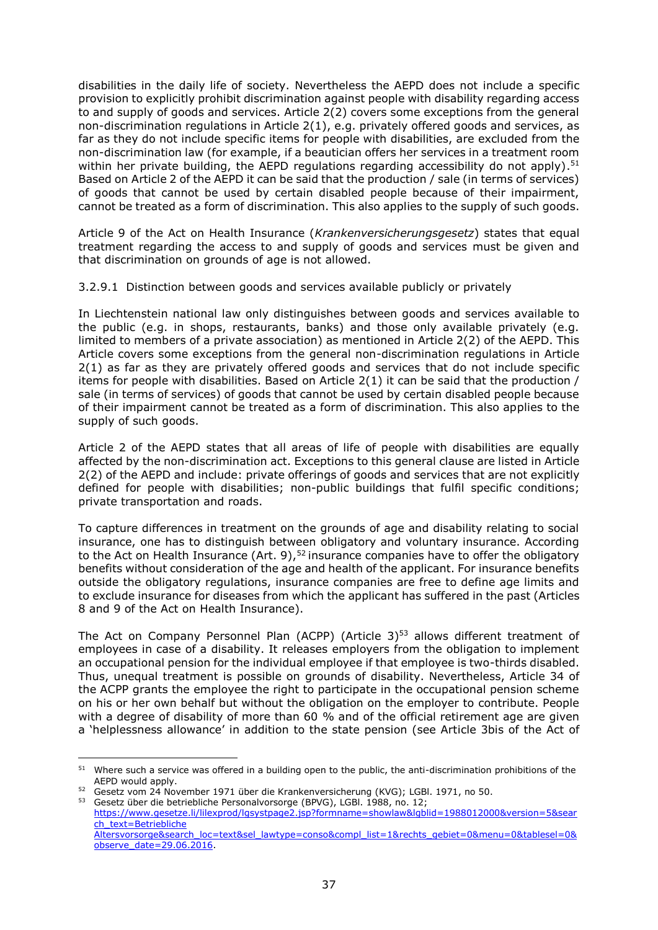disabilities in the daily life of society. Nevertheless the AEPD does not include a specific provision to explicitly prohibit discrimination against people with disability regarding access to and supply of goods and services. Article 2(2) covers some exceptions from the general non-discrimination regulations in Article 2(1), e.g. privately offered goods and services, as far as they do not include specific items for people with disabilities, are excluded from the non-discrimination law (for example, if a beautician offers her services in a treatment room within her private building, the AEPD regulations regarding accessibility do not apply).<sup>51</sup> Based on Article 2 of the AEPD it can be said that the production / sale (in terms of services) of goods that cannot be used by certain disabled people because of their impairment, cannot be treated as a form of discrimination. This also applies to the supply of such goods.

Article 9 of the Act on Health Insurance (*Krankenversicherungsgesetz*) states that equal treatment regarding the access to and supply of goods and services must be given and that discrimination on grounds of age is not allowed.

3.2.9.1 Distinction between goods and services available publicly or privately

In Liechtenstein national law only distinguishes between goods and services available to the public (e.g. in shops, restaurants, banks) and those only available privately (e.g. limited to members of a private association) as mentioned in Article 2(2) of the AEPD. This Article covers some exceptions from the general non-discrimination regulations in Article 2(1) as far as they are privately offered goods and services that do not include specific items for people with disabilities. Based on Article 2(1) it can be said that the production / sale (in terms of services) of goods that cannot be used by certain disabled people because of their impairment cannot be treated as a form of discrimination. This also applies to the supply of such goods.

Article 2 of the AEPD states that all areas of life of people with disabilities are equally affected by the non-discrimination act. Exceptions to this general clause are listed in Article 2(2) of the AEPD and include: private offerings of goods and services that are not explicitly defined for people with disabilities; non-public buildings that fulfil specific conditions; private transportation and roads.

To capture differences in treatment on the grounds of age and disability relating to social insurance, one has to distinguish between obligatory and voluntary insurance. According to the Act on Health Insurance (Art. 9),  $52$  insurance companies have to offer the obligatory benefits without consideration of the age and health of the applicant. For insurance benefits outside the obligatory regulations, insurance companies are free to define age limits and to exclude insurance for diseases from which the applicant has suffered in the past (Articles 8 and 9 of the Act on Health Insurance).

The Act on Company Personnel Plan (ACPP) (Article  $3$ )<sup>53</sup> allows different treatment of employees in case of a disability. It releases employers from the obligation to implement an occupational pension for the individual employee if that employee is two-thirds disabled. Thus, unequal treatment is possible on grounds of disability. Nevertheless, Article 34 of the ACPP grants the employee the right to participate in the occupational pension scheme on his or her own behalf but without the obligation on the employer to contribute. People with a degree of disability of more than 60 % and of the official retirement age are given a 'helplessness allowance' in addition to the state pension (see Article 3bis of the Act of

<sup>&</sup>lt;sup>51</sup> Where such a service was offered in a building open to the public, the anti-discrimination prohibitions of the AEPD would apply.

<sup>&</sup>lt;sup>52</sup> Gesetz vom 24 November 1971 über die Krankenversicherung (KVG); LGBl. 1971, no 50.

<sup>53</sup> Gesetz über die betriebliche Personalvorsorge (BPVG), LGBl. 1988, no. 12;

[https://www.gesetze.li/lilexprod/lgsystpage2.jsp?formname=showlaw&lgblid=1988012000&version=5&sear](https://www.gesetze.li/lilexprod/lgsystpage2.jsp?formname=showlaw&lgblid=1988012000&version=5&search_text=Betriebliche%20Altersvorsorge&search_loc=text&sel_lawtype=conso&compl_list=1&rechts_gebiet=0&menu=0&tablesel=0&observe_date=29.06.2016) [ch\\_text=Betriebliche](https://www.gesetze.li/lilexprod/lgsystpage2.jsp?formname=showlaw&lgblid=1988012000&version=5&search_text=Betriebliche%20Altersvorsorge&search_loc=text&sel_lawtype=conso&compl_list=1&rechts_gebiet=0&menu=0&tablesel=0&observe_date=29.06.2016)  [Altersvorsorge&search\\_loc=text&sel\\_lawtype=conso&compl\\_list=1&rechts\\_gebiet=0&menu=0&tablesel=0&](https://www.gesetze.li/lilexprod/lgsystpage2.jsp?formname=showlaw&lgblid=1988012000&version=5&search_text=Betriebliche%20Altersvorsorge&search_loc=text&sel_lawtype=conso&compl_list=1&rechts_gebiet=0&menu=0&tablesel=0&observe_date=29.06.2016)

[observe\\_date=29.06.2016.](https://www.gesetze.li/lilexprod/lgsystpage2.jsp?formname=showlaw&lgblid=1988012000&version=5&search_text=Betriebliche%20Altersvorsorge&search_loc=text&sel_lawtype=conso&compl_list=1&rechts_gebiet=0&menu=0&tablesel=0&observe_date=29.06.2016)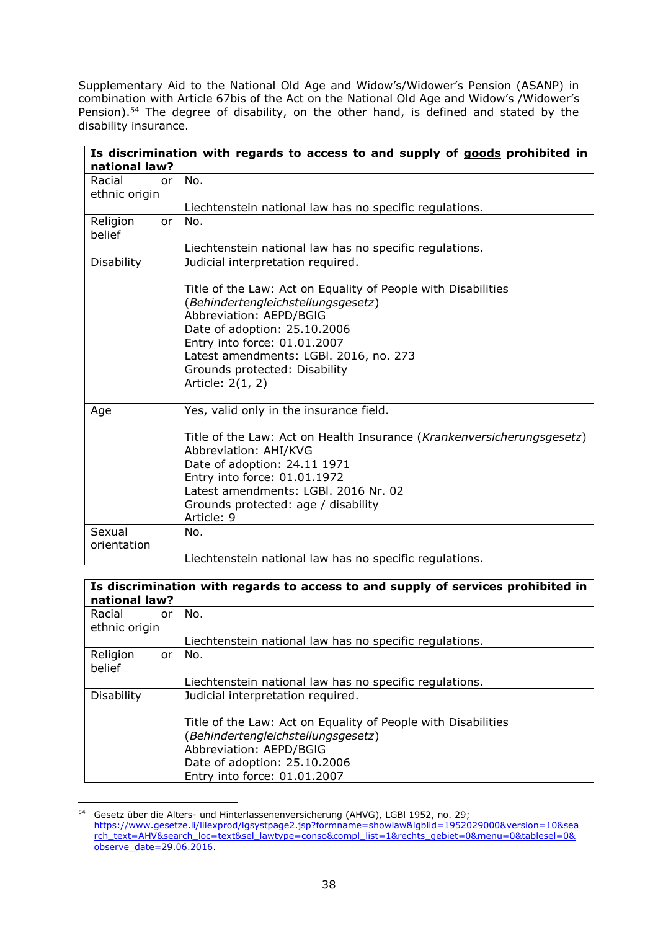Supplementary Aid to the National Old Age and Widow's/Widower's Pension (ASANP) in combination with Article 67bis of the Act on the National Old Age and Widow's /Widower's Pension).<sup>54</sup> The degree of disability, on the other hand, is defined and stated by the disability insurance.

|                               | Is discrimination with regards to access to and supply of goods prohibited in                       |
|-------------------------------|-----------------------------------------------------------------------------------------------------|
| national law?                 |                                                                                                     |
| Racial<br>or<br>ethnic origin | No.                                                                                                 |
|                               | Liechtenstein national law has no specific regulations.                                             |
| Religion<br>or<br>belief      | No.                                                                                                 |
|                               | Liechtenstein national law has no specific regulations.                                             |
| <b>Disability</b>             | Judicial interpretation required.                                                                   |
|                               | Title of the Law: Act on Equality of People with Disabilities<br>(Behindertengleichstellungsgesetz) |
|                               | Abbreviation: AEPD/BGIG<br>Date of adoption: 25.10.2006                                             |
|                               | Entry into force: 01.01.2007                                                                        |
|                               | Latest amendments: LGBI. 2016, no. 273                                                              |
|                               | Grounds protected: Disability                                                                       |
|                               | Article: 2(1, 2)                                                                                    |
| Age                           | Yes, valid only in the insurance field.                                                             |
|                               | Title of the Law: Act on Health Insurance (Krankenversicherungsgesetz)<br>Abbreviation: AHI/KVG     |
|                               | Date of adoption: 24.11 1971                                                                        |
|                               | Entry into force: 01.01.1972                                                                        |
|                               | Latest amendments: LGBI, 2016 Nr. 02                                                                |
|                               | Grounds protected: age / disability                                                                 |
|                               | Article: 9                                                                                          |
| Sexual                        | No.                                                                                                 |
| orientation                   |                                                                                                     |
|                               | Liechtenstein national law has no specific regulations.                                             |

| Is discrimination with regards to access to and supply of services prohibited in<br>national law? |    |                                                               |  |  |
|---------------------------------------------------------------------------------------------------|----|---------------------------------------------------------------|--|--|
| Racial<br>ethnic origin                                                                           | or | No.                                                           |  |  |
|                                                                                                   |    | Liechtenstein national law has no specific regulations.       |  |  |
| Religion<br>belief                                                                                | or | No.                                                           |  |  |
|                                                                                                   |    | Liechtenstein national law has no specific regulations.       |  |  |
| Disability                                                                                        |    | Judicial interpretation required.                             |  |  |
|                                                                                                   |    | Title of the Law: Act on Equality of People with Disabilities |  |  |
|                                                                                                   |    | (Behindertengleichstellungsgesetz)                            |  |  |
|                                                                                                   |    | Abbreviation: AEPD/BGIG                                       |  |  |
|                                                                                                   |    | Date of adoption: 25.10.2006                                  |  |  |
|                                                                                                   |    | Entry into force: 01.01.2007                                  |  |  |

<sup>54</sup> Gesetz über die Alters- und Hinterlassenenversicherung (AHVG), LGBl 1952, no. 29; [https://www.gesetze.li/lilexprod/lgsystpage2.jsp?formname=showlaw&lgblid=1952029000&version=10&sea](https://www.gesetze.li/lilexprod/lgsystpage2.jsp?formname=showlaw&lgblid=1952029000&version=10&search_text=AHV&search_loc=text&sel_lawtype=conso&compl_list=1&rechts_gebiet=0&menu=0&tablesel=0&observe_date=29.06.2016) [rch\\_text=AHV&search\\_loc=text&sel\\_lawtype=conso&compl\\_list=1&rechts\\_gebiet=0&menu=0&tablesel=0&](https://www.gesetze.li/lilexprod/lgsystpage2.jsp?formname=showlaw&lgblid=1952029000&version=10&search_text=AHV&search_loc=text&sel_lawtype=conso&compl_list=1&rechts_gebiet=0&menu=0&tablesel=0&observe_date=29.06.2016) [observe\\_date=29.06.2016.](https://www.gesetze.li/lilexprod/lgsystpage2.jsp?formname=showlaw&lgblid=1952029000&version=10&search_text=AHV&search_loc=text&sel_lawtype=conso&compl_list=1&rechts_gebiet=0&menu=0&tablesel=0&observe_date=29.06.2016)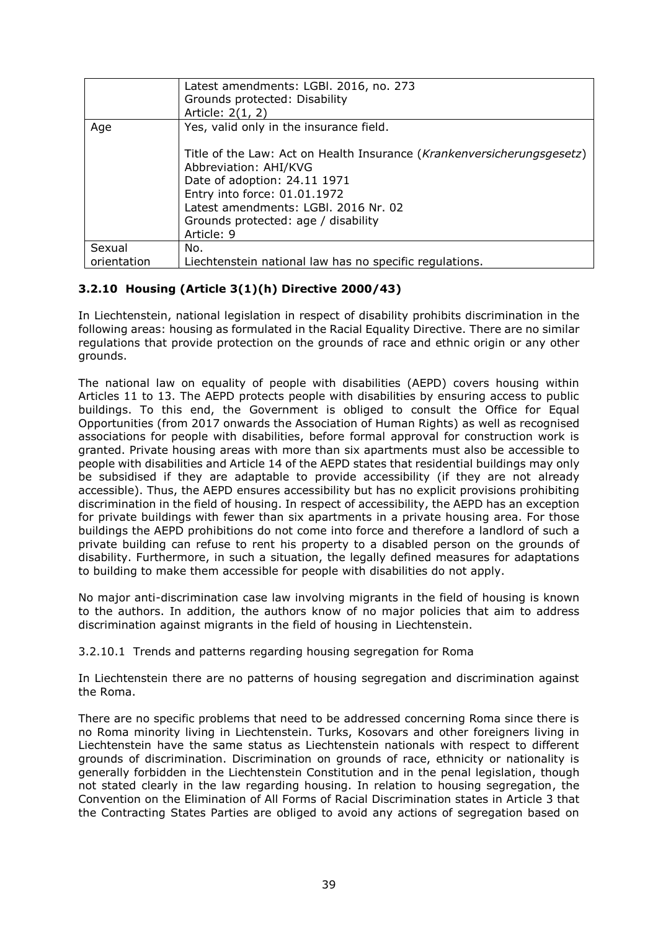|             | Latest amendments: LGBI. 2016, no. 273<br>Grounds protected: Disability<br>Article: 2(1, 2)                                                                                                                                                                  |
|-------------|--------------------------------------------------------------------------------------------------------------------------------------------------------------------------------------------------------------------------------------------------------------|
| Age         | Yes, valid only in the insurance field.                                                                                                                                                                                                                      |
|             | Title of the Law: Act on Health Insurance (Krankenversicherungsgesetz)<br>Abbreviation: AHI/KVG<br>Date of adoption: 24.11 1971<br>Entry into force: 01.01.1972<br>Latest amendments: LGBI. 2016 Nr. 02<br>Grounds protected: age / disability<br>Article: 9 |
| Sexual      | No.                                                                                                                                                                                                                                                          |
| orientation | Liechtenstein national law has no specific regulations.                                                                                                                                                                                                      |

# **3.2.10 Housing (Article 3(1)(h) Directive 2000/43)**

In Liechtenstein, national legislation in respect of disability prohibits discrimination in the following areas: housing as formulated in the Racial Equality Directive. There are no similar regulations that provide protection on the grounds of race and ethnic origin or any other grounds.

The national law on equality of people with disabilities (AEPD) covers housing within Articles 11 to 13. The AEPD protects people with disabilities by ensuring access to public buildings. To this end, the Government is obliged to consult the Office for Equal Opportunities (from 2017 onwards the Association of Human Rights) as well as recognised associations for people with disabilities, before formal approval for construction work is granted. Private housing areas with more than six apartments must also be accessible to people with disabilities and Article 14 of the AEPD states that residential buildings may only be subsidised if they are adaptable to provide accessibility (if they are not already accessible). Thus, the AEPD ensures accessibility but has no explicit provisions prohibiting discrimination in the field of housing. In respect of accessibility, the AEPD has an exception for private buildings with fewer than six apartments in a private housing area. For those buildings the AEPD prohibitions do not come into force and therefore a landlord of such a private building can refuse to rent his property to a disabled person on the grounds of disability. Furthermore, in such a situation, the legally defined measures for adaptations to building to make them accessible for people with disabilities do not apply.

No major anti-discrimination case law involving migrants in the field of housing is known to the authors. In addition, the authors know of no major policies that aim to address discrimination against migrants in the field of housing in Liechtenstein.

3.2.10.1 Trends and patterns regarding housing segregation for Roma

In Liechtenstein there are no patterns of housing segregation and discrimination against the Roma.

There are no specific problems that need to be addressed concerning Roma since there is no Roma minority living in Liechtenstein. Turks, Kosovars and other foreigners living in Liechtenstein have the same status as Liechtenstein nationals with respect to different grounds of discrimination. Discrimination on grounds of race, ethnicity or nationality is generally forbidden in the Liechtenstein Constitution and in the penal legislation, though not stated clearly in the law regarding housing. In relation to housing segregation, the Convention on the Elimination of All Forms of Racial Discrimination states in Article 3 that the Contracting States Parties are obliged to avoid any actions of segregation based on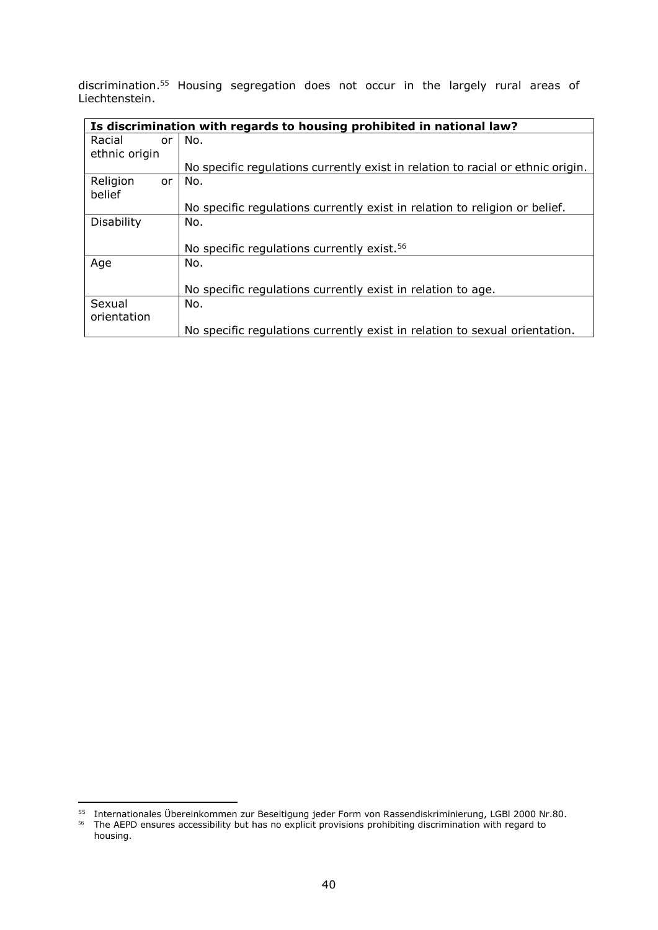discrimination.<sup>55</sup> Housing segregation does not occur in the largely rural areas of Liechtenstein.

|               |    | Is discrimination with regards to housing prohibited in national law?           |
|---------------|----|---------------------------------------------------------------------------------|
| Racial        | or | No.                                                                             |
| ethnic origin |    |                                                                                 |
|               |    | No specific regulations currently exist in relation to racial or ethnic origin. |
| Religion      | or | No.                                                                             |
| belief        |    |                                                                                 |
|               |    | No specific regulations currently exist in relation to religion or belief.      |
| Disability    |    | No.                                                                             |
|               |    |                                                                                 |
|               |    | No specific regulations currently exist. <sup>56</sup>                          |
| Age           |    | No.                                                                             |
|               |    |                                                                                 |
|               |    | No specific regulations currently exist in relation to age.                     |
| Sexual        |    | No.                                                                             |
| orientation   |    |                                                                                 |
|               |    | No specific regulations currently exist in relation to sexual orientation.      |

 $\overline{a}$ 

<sup>&</sup>lt;sup>55</sup> Internationales Übereinkommen zur Beseitigung jeder Form von Rassendiskriminierung, LGBI 2000 Nr.80.<br><sup>56</sup> The AEPD ensures accessibility but has no explicit provisions prohibiting discrimination with regard to housing.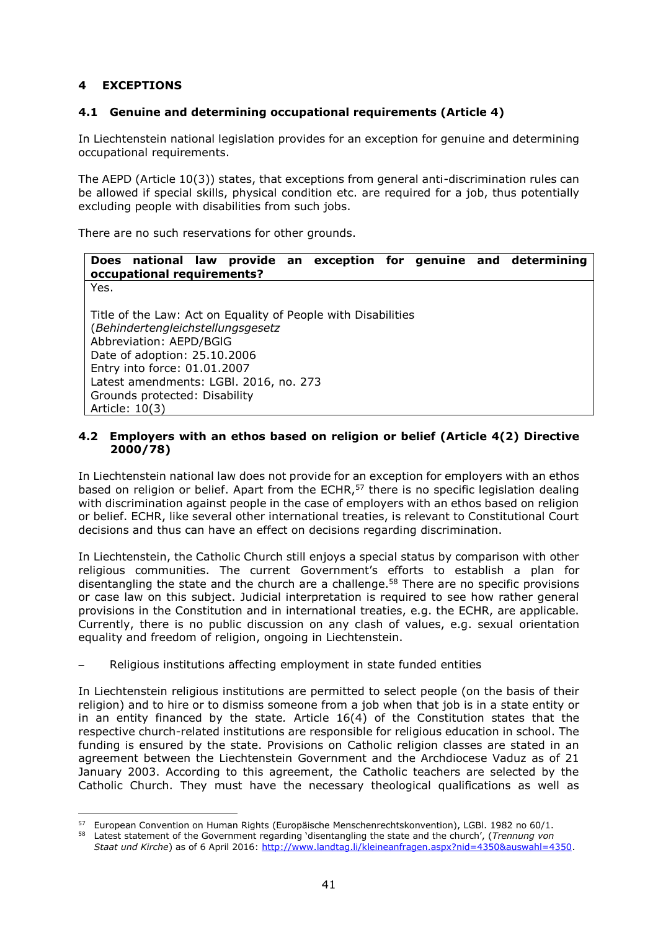# **4 EXCEPTIONS**

# **4.1 Genuine and determining occupational requirements (Article 4)**

In Liechtenstein national legislation provides for an exception for genuine and determining occupational requirements.

The AEPD (Article 10(3)) states, that exceptions from general anti-discrimination rules can be allowed if special skills, physical condition etc. are required for a job, thus potentially excluding people with disabilities from such jobs.

There are no such reservations for other grounds.

|      | occupational requirements?                                                                                                                                                                                                |  |                                                               |  | Does national law provide an exception for genuine and determining |
|------|---------------------------------------------------------------------------------------------------------------------------------------------------------------------------------------------------------------------------|--|---------------------------------------------------------------|--|--------------------------------------------------------------------|
| Yes. |                                                                                                                                                                                                                           |  |                                                               |  |                                                                    |
|      | (Behindertengleichstellungsgesetz<br>Abbreviation: AEPD/BGIG<br>Date of adoption: 25.10.2006<br>Entry into force: 01.01.2007<br>Latest amendments: LGBI. 2016, no. 273<br>Grounds protected: Disability<br>Article: 10(3) |  | Title of the Law: Act on Equality of People with Disabilities |  |                                                                    |

## **4.2 Employers with an ethos based on religion or belief (Article 4(2) Directive 2000/78)**

In Liechtenstein national law does not provide for an exception for employers with an ethos based on religion or belief. Apart from the ECHR,<sup>57</sup> there is no specific legislation dealing with discrimination against people in the case of employers with an ethos based on religion or belief. ECHR, like several other international treaties, is relevant to Constitutional Court decisions and thus can have an effect on decisions regarding discrimination.

In Liechtenstein, the Catholic Church still enjoys a special status by comparison with other religious communities. The current Government's efforts to establish a plan for disentangling the state and the church are a challenge. $58$  There are no specific provisions or case law on this subject. Judicial interpretation is required to see how rather general provisions in the Constitution and in international treaties, e.g. the ECHR, are applicable. Currently, there is no public discussion on any clash of values, e.g. sexual orientation equality and freedom of religion, ongoing in Liechtenstein.

#### Religious institutions affecting employment in state funded entities

In Liechtenstein religious institutions are permitted to select people (on the basis of their religion) and to hire or to dismiss someone from a job when that job is in a state entity or in an entity financed by the state*.* Article 16(4) of the Constitution states that the respective church-related institutions are responsible for religious education in school. The funding is ensured by the state. Provisions on Catholic religion classes are stated in an agreement between the Liechtenstein Government and the Archdiocese Vaduz as of 21 January 2003. According to this agreement, the Catholic teachers are selected by the Catholic Church. They must have the necessary theological qualifications as well as

 $\overline{a}$ <sup>57</sup> European Convention on Human Rights (Europäische Menschenrechtskonvention), LGBl. 1982 no 60/1.

<sup>58</sup> Latest statement of the Government regarding 'disentangling the state and the church', (*Trennung von Staat und Kirche*) as of 6 April 2016: [http://www.landtag.li/kleineanfragen.aspx?nid=4350&auswahl=4350.](http://www.landtag.li/kleineanfragen.aspx?nid=4350&auswahl=4350)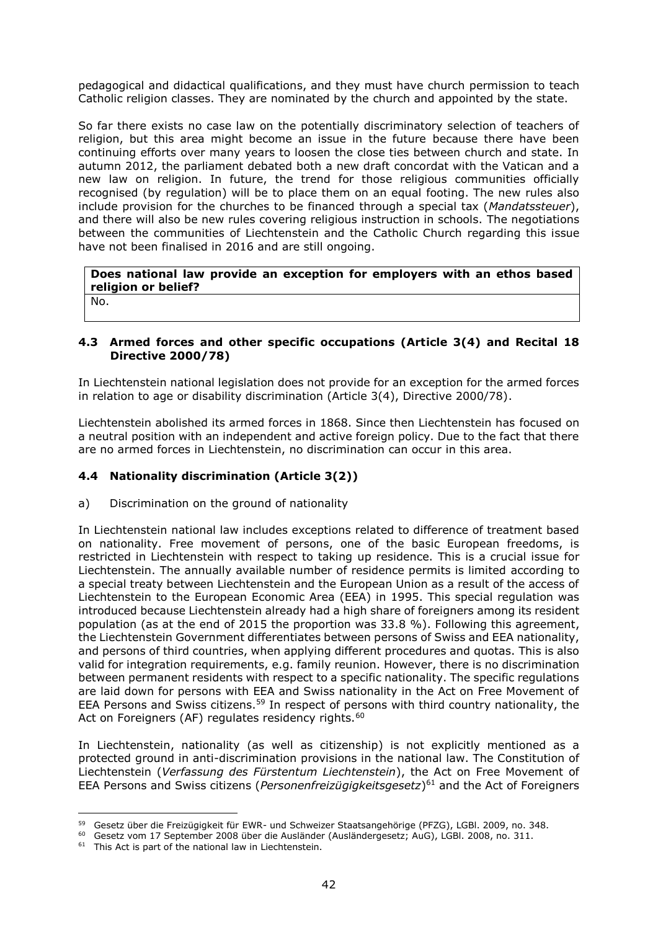pedagogical and didactical qualifications, and they must have church permission to teach Catholic religion classes. They are nominated by the church and appointed by the state.

So far there exists no case law on the potentially discriminatory selection of teachers of religion, but this area might become an issue in the future because there have been continuing efforts over many years to loosen the close ties between church and state. In autumn 2012, the parliament debated both a new draft concordat with the Vatican and a new law on religion. In future, the trend for those religious communities officially recognised (by regulation) will be to place them on an equal footing. The new rules also include provision for the churches to be financed through a special tax (*Mandatssteuer*), and there will also be new rules covering religious instruction in schools. The negotiations between the communities of Liechtenstein and the Catholic Church regarding this issue have not been finalised in 2016 and are still ongoing.

**Does national law provide an exception for employers with an ethos based religion or belief?** 

No.

 $\overline{a}$ 

## **4.3 Armed forces and other specific occupations (Article 3(4) and Recital 18 Directive 2000/78)**

In Liechtenstein national legislation does not provide for an exception for the armed forces in relation to age or disability discrimination (Article 3(4), Directive 2000/78).

Liechtenstein abolished its armed forces in 1868. Since then Liechtenstein has focused on a neutral position with an independent and active foreign policy. Due to the fact that there are no armed forces in Liechtenstein, no discrimination can occur in this area.

# **4.4 Nationality discrimination (Article 3(2))**

# a) Discrimination on the ground of nationality

In Liechtenstein national law includes exceptions related to difference of treatment based on nationality. Free movement of persons, one of the basic European freedoms, is restricted in Liechtenstein with respect to taking up residence. This is a crucial issue for Liechtenstein. The annually available number of residence permits is limited according to a special treaty between Liechtenstein and the European Union as a result of the access of Liechtenstein to the European Economic Area (EEA) in 1995. This special regulation was introduced because Liechtenstein already had a high share of foreigners among its resident population (as at the end of 2015 the proportion was 33.8 %). Following this agreement, the Liechtenstein Government differentiates between persons of Swiss and EEA nationality, and persons of third countries, when applying different procedures and quotas. This is also valid for integration requirements, e.g. family reunion. However, there is no discrimination between permanent residents with respect to a specific nationality. The specific regulations are laid down for persons with EEA and Swiss nationality in the Act on Free Movement of EEA Persons and Swiss citizens.<sup>59</sup> In respect of persons with third country nationality, the Act on Foreigners (AF) regulates residency rights.<sup>60</sup>

In Liechtenstein, nationality (as well as citizenship) is not explicitly mentioned as a protected ground in anti-discrimination provisions in the national law. The Constitution of Liechtenstein (*Verfassung des Fürstentum Liechtenstein*), the Act on Free Movement of EEA Persons and Swiss citizens (*Personenfreizügigkeitsgesetz*) <sup>61</sup> and the Act of Foreigners

<sup>59</sup> Gesetz über die Freizügigkeit für EWR- und Schweizer Staatsangehörige (PFZG), LGBl. 2009, no. 348.

<sup>60</sup> Gesetz vom 17 September 2008 über die Ausländer (Ausländergesetz; AuG), LGBl. 2008, no. 311.

 $61$  This Act is part of the national law in Liechtenstein.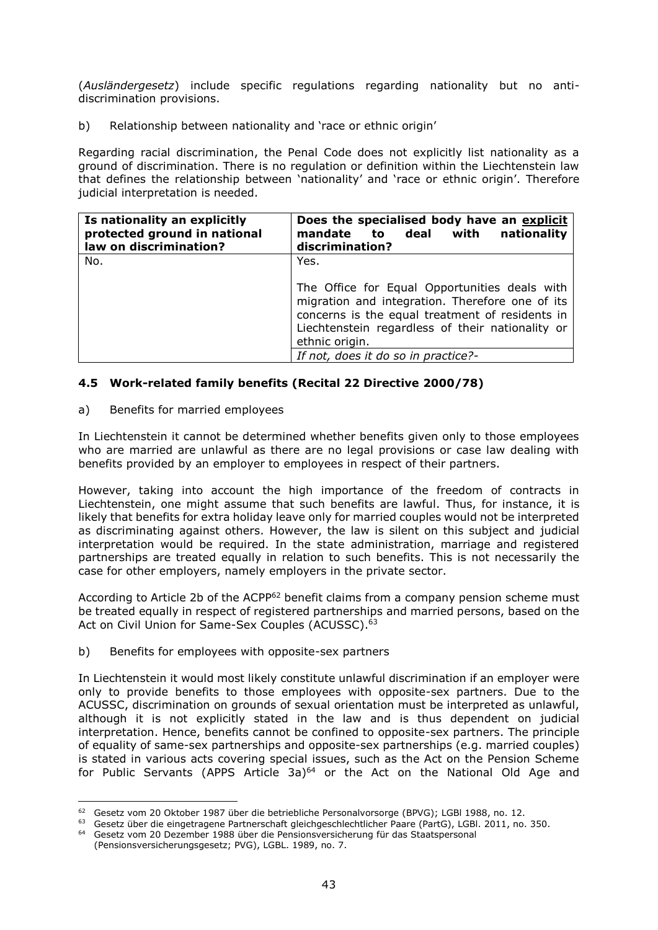(*Ausländergesetz*) include specific regulations regarding nationality but no antidiscrimination provisions.

b) Relationship between nationality and 'race or ethnic origin'

Regarding racial discrimination, the Penal Code does not explicitly list nationality as a ground of discrimination. There is no regulation or definition within the Liechtenstein law that defines the relationship between 'nationality' and 'race or ethnic origin'. Therefore judicial interpretation is needed.

| Is nationality an explicitly<br>protected ground in national<br>law on discrimination? | Does the specialised body have an explicit<br>mandate to deal with<br>nationality<br>discrimination?                                                                                                                                                                     |
|----------------------------------------------------------------------------------------|--------------------------------------------------------------------------------------------------------------------------------------------------------------------------------------------------------------------------------------------------------------------------|
| No.                                                                                    | Yes.<br>The Office for Equal Opportunities deals with<br>migration and integration. Therefore one of its<br>concerns is the equal treatment of residents in<br>Liechtenstein regardless of their nationality or<br>ethnic origin.<br>If not, does it do so in practice?- |

# **4.5 Work-related family benefits (Recital 22 Directive 2000/78)**

# a) Benefits for married employees

In Liechtenstein it cannot be determined whether benefits given only to those employees who are married are unlawful as there are no legal provisions or case law dealing with benefits provided by an employer to employees in respect of their partners.

However, taking into account the high importance of the freedom of contracts in Liechtenstein, one might assume that such benefits are lawful. Thus, for instance, it is likely that benefits for extra holiday leave only for married couples would not be interpreted as discriminating against others. However, the law is silent on this subject and judicial interpretation would be required. In the state administration, marriage and registered partnerships are treated equally in relation to such benefits. This is not necessarily the case for other employers, namely employers in the private sector.

According to Article 2b of the ACPP<sup>62</sup> benefit claims from a [company](http://dict.leo.org/ende?lp=ende&p=DOKJAA&search=company&trestr=0x8001) [pension](http://dict.leo.org/ende?lp=ende&p=DOKJAA&search=pension&trestr=0x8001) [scheme](http://dict.leo.org/ende?lp=ende&p=DOKJAA&search=scheme&trestr=0x8001) must be treated equally in respect of registered partnerships and married persons, based on the Act on Civil Union for Same-Sex Couples (ACUSSC). 63

#### b) Benefits for employees with opposite-sex partners

In Liechtenstein it would most likely constitute unlawful discrimination if an employer were only to provide benefits to those employees with opposite-sex partners. Due to the ACUSSC, discrimination on grounds of sexual orientation must be interpreted as unlawful, although it is not explicitly stated in the law and is thus dependent on judicial interpretation. Hence, benefits cannot be confined to opposite-sex partners. The principle of equality of same-sex partnerships and opposite-sex partnerships (e.g. married couples) is stated in various acts covering special issues, such as the Act on the Pension Scheme for Public Servants (APPS Article 3a) $64$  or the Act on the National Old Age and

 $\overline{a}$ <sup>62</sup> Gesetz vom 20 Oktober 1987 über die betriebliche Personalvorsorge (BPVG); LGBl 1988, no. 12.

<sup>63</sup> Gesetz über die eingetragene Partnerschaft gleichgeschlechtlicher Paare (PartG), LGBl. 2011, no. 350.

<sup>64</sup> Gesetz vom 20 Dezember 1988 über die Pensionsversicherung für das Staatspersonal

<sup>(</sup>Pensionsversicherungsgesetz; PVG), LGBL. 1989, no. 7.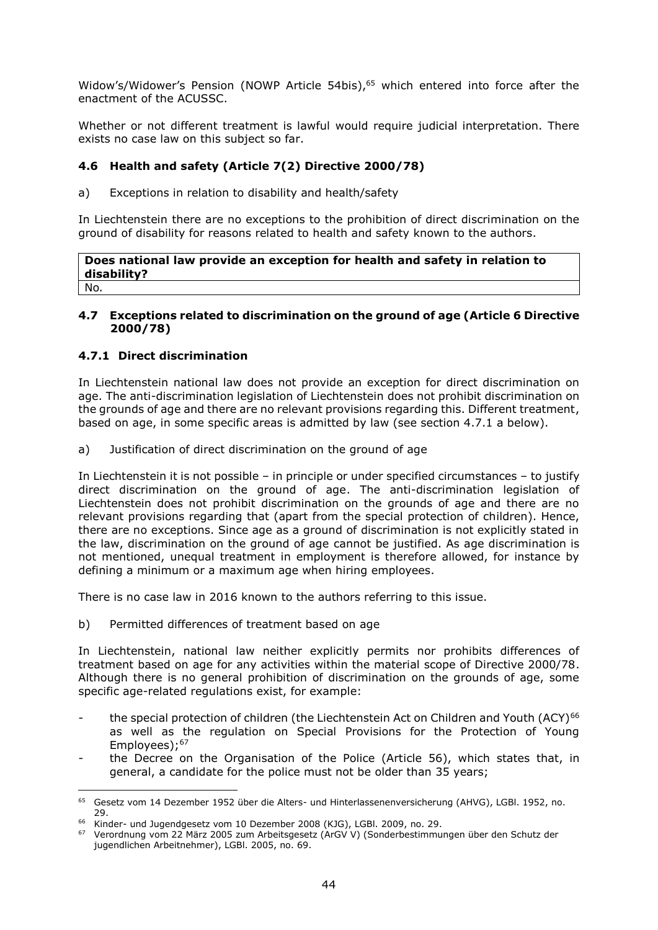Widow's/Widower's Pension (NOWP Article 54bis),<sup>65</sup> which entered into force after the enactment of the ACUSSC.

Whether or not different treatment is lawful would require judicial interpretation. There exists no case law on this subject so far.

# **4.6 Health and safety (Article 7(2) Directive 2000/78)**

a) Exceptions in relation to disability and health/safety

In Liechtenstein there are no exceptions to the prohibition of direct discrimination on the ground of disability for reasons related to health and safety known to the authors.

**Does national law provide an exception for health and safety in relation to disability?**  No*.*

### **4.7 Exceptions related to discrimination on the ground of age (Article 6 Directive 2000/78)**

# **4.7.1 Direct discrimination**

 $\overline{a}$ 

In Liechtenstein national law does not provide an exception for direct discrimination on age. The anti-discrimination legislation of Liechtenstein does not prohibit discrimination on the grounds of age and there are no relevant provisions regarding this. Different treatment, based on age, in some specific areas is admitted by law (see section 4.7.1 a below).

a) Justification of direct discrimination on the ground of age

In Liechtenstein it is not possible – in principle or under specified circumstances – to justify direct discrimination on the ground of age. The anti-discrimination legislation of Liechtenstein does not prohibit discrimination on the grounds of age and there are no relevant provisions regarding that (apart from the special protection of children). Hence, there are no exceptions. Since age as a ground of discrimination is not explicitly stated in the law, discrimination on the ground of age cannot be justified. As age discrimination is not mentioned, unequal treatment in employment is therefore allowed, for instance by defining a minimum or a maximum age when hiring employees.

There is no case law in 2016 known to the authors referring to this issue.

b) Permitted differences of treatment based on age

In Liechtenstein, national law neither explicitly permits nor prohibits differences of treatment based on age for any activities within the material scope of Directive 2000/78. Although there is no general prohibition of discrimination on the grounds of age, some specific age-related regulations exist, for example:

- the special protection of children (the Liechtenstein Act on Children and Youth (ACY)<sup>66</sup> as well as the regulation on Special Provisions for the Protection of Young Employees);<sup>67</sup>
- the Decree on the Organisation of the Police (Article 56), which states that, in general, a candidate for the police must not be older than 35 years;

<sup>&</sup>lt;sup>65</sup> Gesetz vom 14 Dezember 1952 über die Alters- und Hinterlassenenversicherung (AHVG), LGBl. 1952, no. 29.

<sup>66</sup> Kinder- und Jugendgesetz vom 10 Dezember 2008 (KJG), LGBl. 2009, no. 29.

<sup>67</sup> Verordnung vom 22 März 2005 zum Arbeitsgesetz (ArGV V) (Sonderbestimmungen über den Schutz der jugendlichen Arbeitnehmer), LGBl. 2005, no. 69.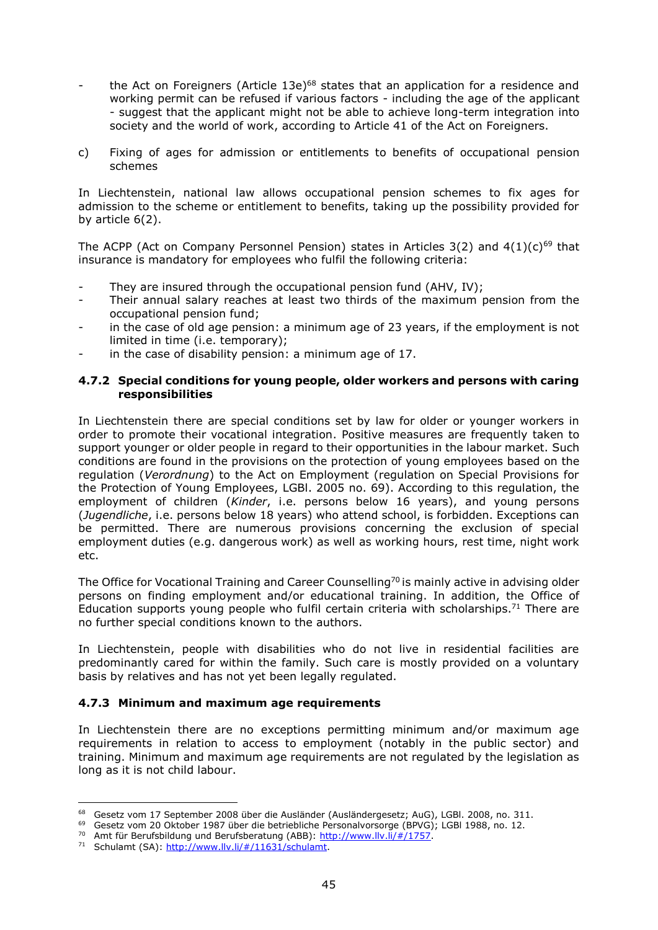- the Act on Foreigners (Article  $13e$ )<sup>68</sup> states that an application for a residence and working permit can be refused if various factors - including the age of the applicant - suggest that the applicant might not be able to achieve long-term integration into society and the world of work, according to Article 41 of the Act on Foreigners.
- c) Fixing of ages for admission or entitlements to benefits of occupational pension schemes

In Liechtenstein, national law allows occupational pension schemes to fix ages for admission to the scheme or entitlement to benefits, taking up the possibility provided for by article 6(2).

The ACPP (Act on Company Personnel Pension) states in Articles  $3(2)$  and  $4(1)(c)^{69}$  that insurance is mandatory for employees who fulfil the following criteria:

- They are insured through the occupational pension fund (AHV, IV);
- Their annual salary reaches at least two thirds of the maximum pension from the occupational pension fund;
- in the case of old age pension: a minimum age of 23 years, if the employment is not limited in time (i.e. temporary);
- in the case of disability pension: a minimum age of 17.

### **4.7.2 Special conditions for young people, older workers and persons with caring responsibilities**

In Liechtenstein there are special conditions set by law for older or younger workers in order to promote their vocational integration. Positive measures are frequently taken to support younger or older people in regard to their opportunities in the labour market. Such conditions are found in the provisions on the protection of young employees based on the regulation (*Verordnung*) to the Act on Employment (regulation on Special Provisions for the Protection of Young Employees, LGBl. 2005 no. 69). According to this regulation, the employment of children (*Kinder*, i.e. persons below 16 years), and young persons (*Jugendliche*, i.e. persons below 18 years) who attend school, is forbidden. Exceptions can be permitted. There are numerous provisions concerning the exclusion of special employment duties (e.g. dangerous work) as well as working hours, rest time, night work etc.

The Office for Vocational Training and Career Counselling<sup>70</sup> is mainly active in advising older persons on finding employment and/or educational training. In addition, the Office of Education supports young people who fulfil certain criteria with scholarships.<sup>71</sup> There are no further special conditions known to the authors.

In Liechtenstein, people with disabilities who do not live in residential facilities are predominantly cared for within the family. Such care is mostly provided on a voluntary basis by relatives and has not yet been legally regulated.

# **4.7.3 Minimum and maximum age requirements**

In Liechtenstein there are no exceptions permitting minimum and/or maximum age requirements in relation to access to employment (notably in the public sector) and training. Minimum and maximum age requirements are not regulated by the legislation as long as it is not child labour.

<sup>&</sup>lt;sup>68</sup> Gesetz vom 17 September 2008 über die Ausländer (Ausländergesetz; AuG), LGBl. 2008, no. 311.

<sup>&</sup>lt;sup>69</sup> Gesetz vom 20 Oktober 1987 über die betriebliche Personalvorsorge (BPVG); LGBI 1988, no. 12.

<sup>70</sup> Amt für Berufsbildung und Berufsberatung (ABB): [http://www.llv.li/#/1757.](http://www.llv.li/#/1757)

<sup>71</sup> Schulamt (SA): [http://www.llv.li/#/11631/schulamt.](http://www.llv.li/#/11631/schulamt)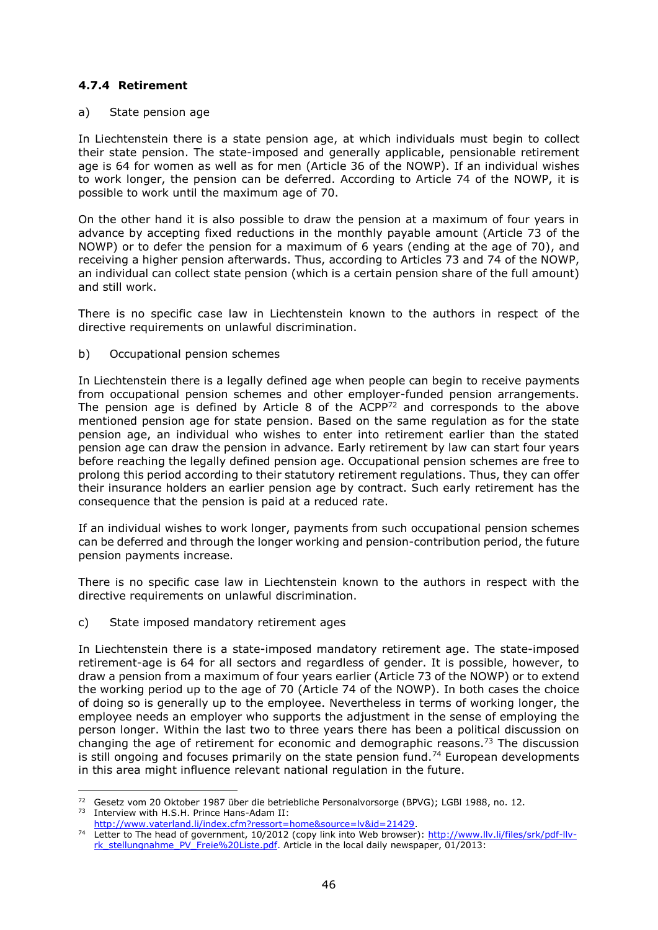# **4.7.4 Retirement**

### a) State pension age

In Liechtenstein there is a state pension age, at which individuals must begin to collect their state pension. The state-imposed and generally applicable, pensionable retirement age is 64 for women as well as for men (Article 36 of the NOWP). If an individual wishes to work longer, the pension can be deferred. According to Article 74 of the NOWP, it is possible to work until the maximum age of 70.

On the other hand it is also possible to draw the pension at a maximum of four years in advance by accepting fixed reductions in the monthly payable amount (Article 73 of the NOWP) or to defer the pension for a maximum of 6 years (ending at the age of 70), and receiving a higher pension afterwards. Thus, according to Articles 73 and 74 of the NOWP, an individual can collect state pension (which is a certain pension share of the full amount) and still work.

There is no specific case law in Liechtenstein known to the authors in respect of the directive requirements on unlawful discrimination.

b) Occupational pension schemes

In Liechtenstein there is a legally defined age when people can begin to receive payments from occupational pension schemes and other employer-funded pension arrangements. The pension age is defined by Article 8 of the ACPP<sup>72</sup> and corresponds to the above mentioned pension age for state pension. Based on the same regulation as for the state pension age, an individual who wishes to enter into retirement earlier than the stated pension age can draw the pension in advance. Early retirement by law can start four years before reaching the legally defined pension age. Occupational pension schemes are free to prolong this period according to their statutory retirement regulations. Thus, they can offer their insurance holders an earlier pension age by contract. Such early retirement has the consequence that the pension is paid at a reduced rate.

If an individual wishes to work longer, payments from such occupational pension schemes can be deferred and through the longer working and pension-contribution period, the future pension payments increase.

There is no specific case law in Liechtenstein known to the authors in respect with the directive requirements on unlawful discrimination.

# c) State imposed mandatory retirement ages

 $\overline{a}$ 

In Liechtenstein there is a state-imposed mandatory retirement age. The state-imposed retirement-age is 64 for all sectors and regardless of gender. It is possible, however, to draw a pension from a maximum of four years earlier (Article 73 of the NOWP) or to extend the working period up to the age of 70 (Article 74 of the NOWP). In both cases the choice of doing so is generally up to the employee. Nevertheless in terms of working longer, the employee needs an employer who supports the adjustment in the sense of employing the person longer. Within the last two to three years there has been a political discussion on changing the age of retirement for economic and demographic reasons.<sup>73</sup> The discussion is still ongoing and focuses primarily on the state pension fund.<sup>74</sup> European developments in this area might influence relevant national regulation in the future.

<sup>72</sup> Gesetz vom 20 Oktober 1987 über die betriebliche Personalvorsorge (BPVG); LGBl 1988, no. 12. <sup>73</sup> Interview with H.S.H. Prince Hans-Adam II:

[http://www.vaterland.li/index.cfm?ressort=home&source=lv&id=21429.](http://www.vaterland.li/index.cfm?ressort=home&source=lv&id=21429)

<sup>74</sup> Letter to The head of government, 10/2012 (copy link into Web browser): [http://www.llv.li/files/srk/pdf-llv](http://www.llv.li/files/srk/pdf-llv-rk_stellungnahme_PV_Freie%20Liste.pdf)[rk\\_stellungnahme\\_PV\\_Freie%20Liste.pdf.](http://www.llv.li/files/srk/pdf-llv-rk_stellungnahme_PV_Freie%20Liste.pdf) Article in the local daily newspaper, 01/2013: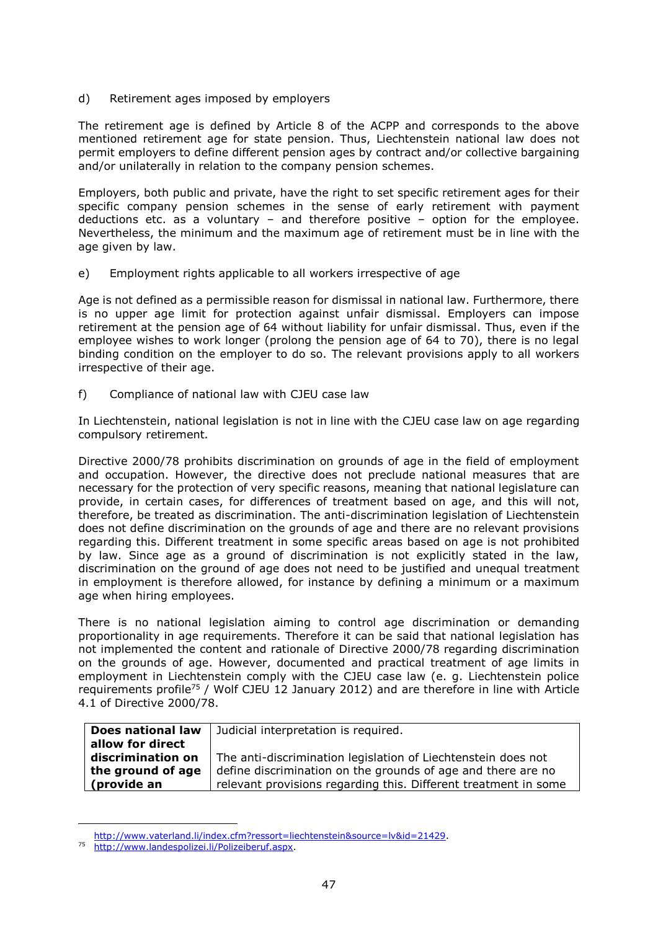d) Retirement ages imposed by employers

The retirement age is defined by Article 8 of the ACPP and corresponds to the above mentioned retirement age for state pension. Thus, Liechtenstein national law does not permit employers to define different pension ages by contract and/or collective bargaining and/or unilaterally in relation to the company pension schemes.

Employers, both public and private, have the right to set specific retirement ages for their specific company pension schemes in the sense of early retirement with payment deductions etc. as a voluntary – and therefore positive – option for the employee. Nevertheless, the minimum and the maximum age of retirement must be in line with the age given by law.

e) Employment rights applicable to all workers irrespective of age

Age is not defined as a permissible reason for dismissal in national law. Furthermore, there is no upper age limit for protection against unfair dismissal. Employers can impose retirement at the pension age of 64 without liability for unfair dismissal. Thus, even if the employee wishes to work longer (prolong the pension age of 64 to 70), there is no legal binding condition on the employer to do so. The relevant provisions apply to all workers irrespective of their age.

f) Compliance of national law with CJEU case law

In Liechtenstein, national legislation is not in line with the CJEU case law on age regarding compulsory retirement*.*

Directive 2000/78 prohibits discrimination on grounds of age in the field of employment and occupation. However, the directive does not preclude national measures that are necessary for the protection of very specific reasons, meaning that national legislature can provide, in certain cases, for differences of treatment based on age, and this will not, therefore, be treated as discrimination. The anti-discrimination legislation of Liechtenstein does not define discrimination on the grounds of age and there are no relevant provisions regarding this. Different treatment in some specific areas based on age is not prohibited by law. Since age as a ground of discrimination is not explicitly stated in the law, discrimination on the ground of age does not need to be justified and unequal treatment in employment is therefore allowed, for instance by defining a minimum or a maximum age when hiring employees.

There is no national legislation aiming to control age discrimination or demanding proportionality in age requirements. Therefore it can be said that national legislation has not implemented the content and rationale of Directive 2000/78 regarding discrimination on the grounds of age. However, documented and practical treatment of age limits in employment in Liechtenstein comply with the CJEU case law (e. g. Liechtenstein police requirements profile<sup>75</sup> / Wolf CJEU 12 January 2012) and are therefore in line with Article 4.1 of Directive 2000/78.

| Does national law | Judicial interpretation is required.                            |
|-------------------|-----------------------------------------------------------------|
| allow for direct  |                                                                 |
| discrimination on | The anti-discrimination legislation of Liechtenstein does not   |
| the ground of age | define discrimination on the grounds of age and there are no    |
| (provide an       | relevant provisions regarding this. Different treatment in some |

[http://www.vaterland.li/index.cfm?ressort=liechtenstein&source=lv&id=21429.](http://www.vaterland.li/index.cfm?ressort=liechtenstein&source=lv&id=21429)

<sup>75</sup> [http://www.landespolizei.li/Polizeiberuf.aspx.](http://www.landespolizei.li/Polizeiberuf.aspx)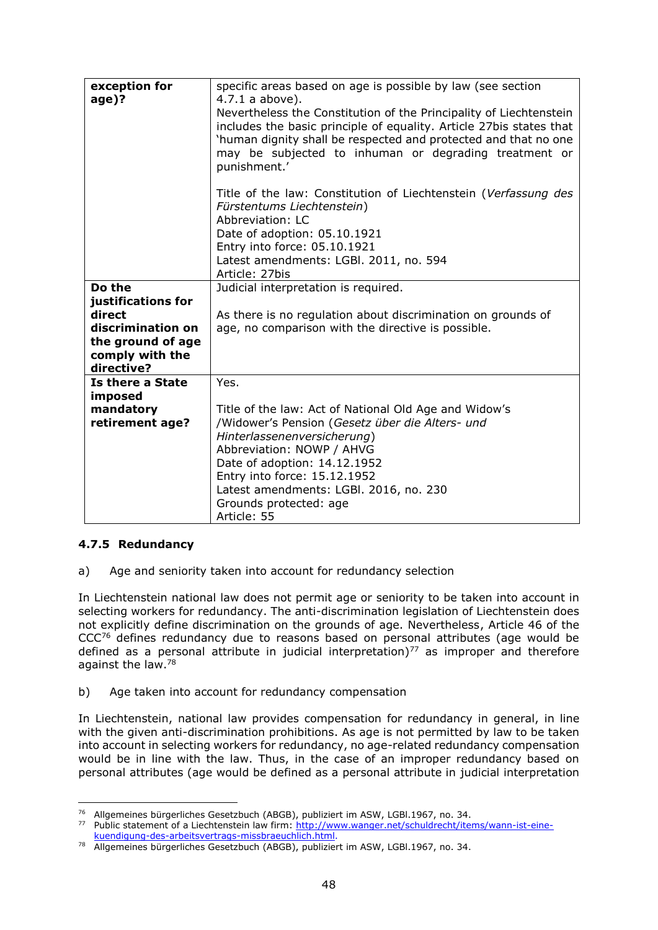| exception for<br>age)? | specific areas based on age is possible by law (see section<br>4.7.1 a above).                                                                                                                                                                                                        |
|------------------------|---------------------------------------------------------------------------------------------------------------------------------------------------------------------------------------------------------------------------------------------------------------------------------------|
|                        | Nevertheless the Constitution of the Principality of Liechtenstein<br>includes the basic principle of equality. Article 27bis states that<br>'human dignity shall be respected and protected and that no one<br>may be subjected to inhuman or degrading treatment or<br>punishment.' |
|                        | Title of the law: Constitution of Liechtenstein (Verfassung des<br>Fürstentums Liechtenstein)<br>Abbreviation: LC<br>Date of adoption: 05.10.1921<br>Entry into force: 05.10.1921<br>Latest amendments: LGBI. 2011, no. 594                                                           |
|                        | Article: 27bis                                                                                                                                                                                                                                                                        |
| Do the                 | Judicial interpretation is required.                                                                                                                                                                                                                                                  |
| justifications for     |                                                                                                                                                                                                                                                                                       |
| direct                 | As there is no regulation about discrimination on grounds of                                                                                                                                                                                                                          |
| discrimination on      | age, no comparison with the directive is possible.                                                                                                                                                                                                                                    |
| the ground of age      |                                                                                                                                                                                                                                                                                       |
| comply with the        |                                                                                                                                                                                                                                                                                       |
| directive?             |                                                                                                                                                                                                                                                                                       |
| Is there a State       | Yes.                                                                                                                                                                                                                                                                                  |
| imposed                |                                                                                                                                                                                                                                                                                       |
| mandatory              | Title of the law: Act of National Old Age and Widow's                                                                                                                                                                                                                                 |
| retirement age?        | /Widower's Pension (Gesetz über die Alters- und                                                                                                                                                                                                                                       |
|                        | Hinterlassenenversicherung)                                                                                                                                                                                                                                                           |
|                        | Abbreviation: NOWP / AHVG                                                                                                                                                                                                                                                             |
|                        | Date of adoption: 14.12.1952                                                                                                                                                                                                                                                          |
|                        | Entry into force: 15.12.1952                                                                                                                                                                                                                                                          |
|                        | Latest amendments: LGBI. 2016, no. 230                                                                                                                                                                                                                                                |
|                        | Grounds protected: age                                                                                                                                                                                                                                                                |
|                        | Article: 55                                                                                                                                                                                                                                                                           |

# **4.7.5 Redundancy**

a) Age and seniority taken into account for redundancy selection

In Liechtenstein national law does not permit age or seniority to be taken into account in selecting workers for redundancy. The anti-discrimination legislation of Liechtenstein does not explicitly define discrimination on the grounds of age. Nevertheless, Article 46 of the CCC<sup>76</sup> defines redundancy due to reasons based on personal attributes (age would be defined as a personal attribute in judicial interpretation) $77$  as improper and therefore against the law.<sup>78</sup>

b) Age taken into account for redundancy compensation

In Liechtenstein, national law provides compensation for redundancy in general, in line with the given anti-discrimination prohibitions. As age is not permitted by law to be taken into account in selecting workers for redundancy, no age-related redundancy compensation would be in line with the law. Thus, in the case of an improper redundancy based on personal attributes (age would be defined as a personal attribute in judicial interpretation

 $\overline{a}$ <sup>76</sup> Allgemeines bürgerliches Gesetzbuch (ABGB), publiziert im ASW, LGBl.1967, no. 34.

<sup>&</sup>lt;sup>77</sup> Public statement of a Liechtenstein law firm: [http://www.wanger.net/schuldrecht/items/wann-ist-eine](http://www.wanger.net/schuldrecht/items/wann-ist-eine-kuendigung-des-arbeitsvertrags-missbraeuchlich.html)[kuendigung-des-arbeitsvertrags-missbraeuchlich.html.](http://www.wanger.net/schuldrecht/items/wann-ist-eine-kuendigung-des-arbeitsvertrags-missbraeuchlich.html)

<sup>78</sup> Allgemeines bürgerliches Gesetzbuch (ABGB), publiziert im ASW, LGBl.1967, no. 34.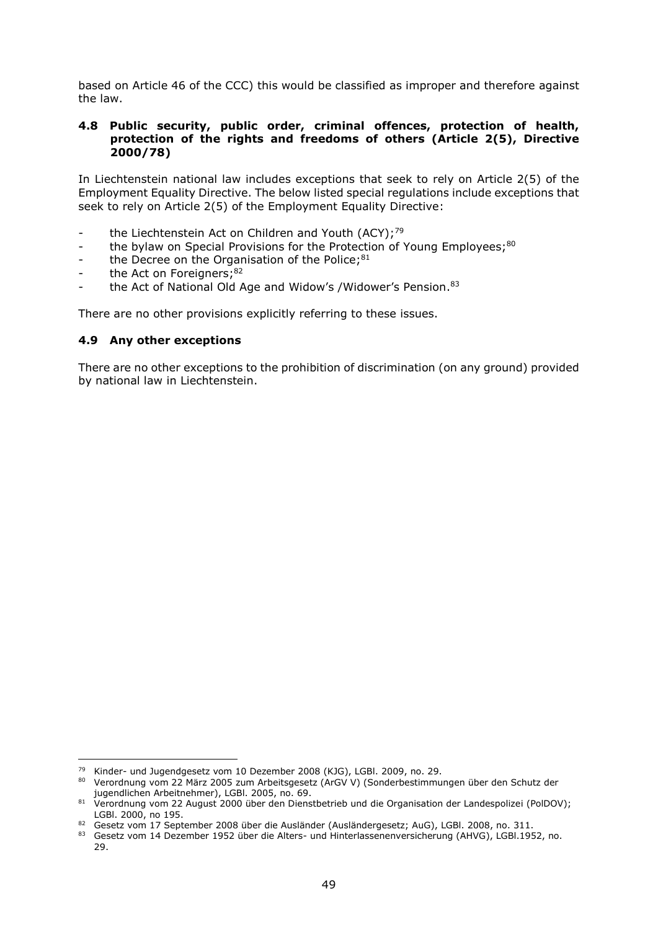based on Article 46 of the CCC) this would be classified as improper and therefore against the law.

#### **4.8 Public security, public order, criminal offences, protection of health, protection of the rights and freedoms of others (Article 2(5), Directive 2000/78)**

In Liechtenstein national law includes exceptions that seek to rely on Article 2(5) of the Employment Equality Directive. The below listed special regulations include exceptions that seek to rely on Article 2(5) of the Employment Equality Directive:

- the Liechtenstein Act on Children and Youth (ACY);<sup>79</sup>
- the bylaw on Special Provisions for the Protection of Young Employees;<sup>80</sup>
- the Decree on the Organisation of the Police;<sup>81</sup>
- the Act on Foreigners;<sup>82</sup>
- the Act of National Old Age and Widow's /Widower's Pension.<sup>83</sup>

There are no other provisions explicitly referring to these issues.

#### **4.9 Any other exceptions**

 $\overline{a}$ 

There are no other exceptions to the prohibition of discrimination (on any ground) provided by national law in Liechtenstein.

<sup>79</sup> Kinder- und Jugendgesetz vom 10 Dezember 2008 (KJG), LGBl. 2009, no. 29.

<sup>80</sup> Verordnung vom 22 März 2005 zum Arbeitsgesetz (ArGVV) (Sonderbestimmungen über den Schutz der jugendlichen Arbeitnehmer), LGBl. 2005, no. 69.

<sup>81</sup> Verordnung vom 22 August 2000 über den Dienstbetrieb und die Organisation der Landespolizei (PolDOV); LGBl. 2000, no 195.

<sup>82</sup> Gesetz vom 17 September 2008 über die Ausländer (Ausländergesetz; AuG), LGBl. 2008, no. 311.

<sup>83</sup> Gesetz vom 14 Dezember 1952 über die Alters- und Hinterlassenenversicherung (AHVG), LGBI 1952, no. 29.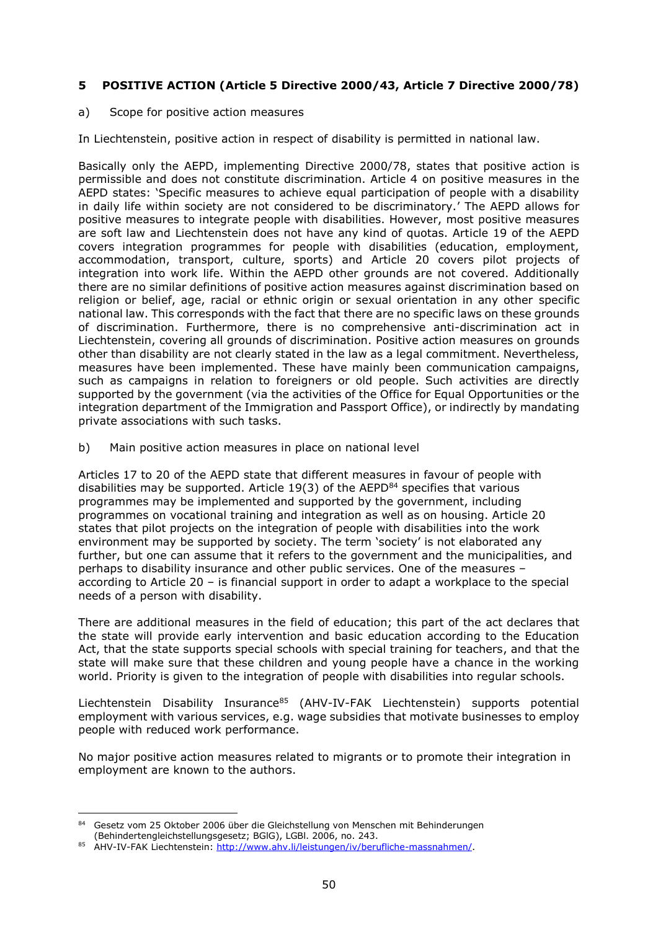# **5 POSITIVE ACTION (Article 5 Directive 2000/43, Article 7 Directive 2000/78)**

## a) Scope for positive action measures

In Liechtenstein, positive action in respect of disability is permitted in national law.

Basically only the AEPD, implementing Directive 2000/78, states that positive action is permissible and does not constitute discrimination. Article 4 on positive measures in the AEPD states: 'Specific measures to achieve equal participation of people with a disability in daily life within society are not considered to be discriminatory.' The AEPD allows for positive measures to integrate people with disabilities. However, most positive measures are soft law and Liechtenstein does not have any kind of quotas. Article 19 of the AEPD covers integration programmes for people with disabilities (education, employment, accommodation, transport, culture, sports) and Article 20 covers pilot projects of integration into work life. Within the AEPD other grounds are not covered. Additionally there are no similar definitions of positive action measures against discrimination based on religion or belief, age, racial or ethnic origin or sexual orientation in any other specific national law. This corresponds with the fact that there are no specific laws on these grounds of discrimination. Furthermore, there is no comprehensive anti-discrimination act in Liechtenstein, covering all grounds of discrimination. Positive action measures on grounds other than disability are not clearly stated in the law as a legal commitment. Nevertheless, measures have been implemented. These have mainly been communication campaigns, such as campaigns in relation to foreigners or old people. Such activities are directly supported by the government (via the activities of the Office for Equal Opportunities or the integration department of the Immigration and Passport Office), or indirectly by mandating private associations with such tasks.

b) Main positive action measures in place on national level

Articles 17 to 20 of the AEPD state that different measures in favour of people with disabilities may be supported. Article 19(3) of the AEPD $^{84}$  specifies that various programmes may be implemented and supported by the government, including programmes on vocational training and integration as well as on housing. Article 20 states that pilot projects on the integration of people with disabilities into the work environment may be supported by society. The term 'society' is not elaborated any further, but one can assume that it refers to the government and the municipalities, and perhaps to disability insurance and other public services. One of the measures – according to Article 20 – is financial support in order to adapt a workplace to the special needs of a person with disability.

There are additional measures in the field of education; this part of the act declares that the state will provide early intervention and basic education according to the Education Act, that the state supports special schools with special training for teachers, and that the state will make sure that these children and young people have a chance in the working world. Priority is given to the integration of people with disabilities into regular schools.

Liechtenstein Disability Insurance<sup>85</sup> (AHV-IV-FAK Liechtenstein) supports potential employment with various services, e.g. wage subsidies that motivate businesses to employ people with reduced work performance.

No major positive action measures related to migrants or to promote their integration in employment are known to the authors.

 $\overline{a}$ 84 Gesetz vom 25 Oktober 2006 über die Gleichstellung von Menschen mit Behinderungen (Behindertengleichstellungsgesetz; BGlG), LGBl. 2006, no. 243.

<sup>85</sup> AHV-IV-FAK Liechtenstein: http://www.ahv.li/leistungen/iv/berufliche-massnahmen/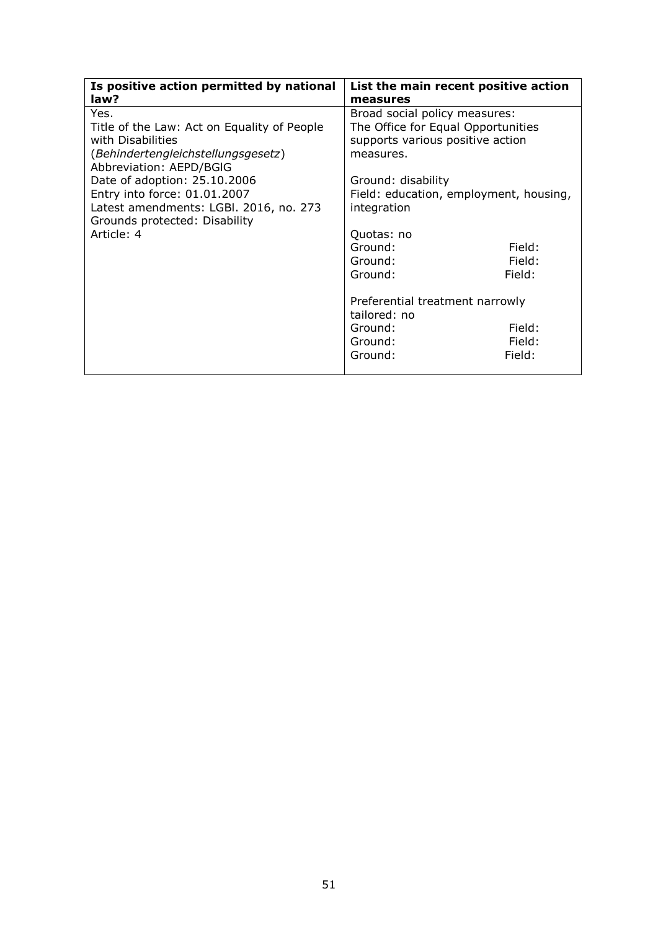| Is positive action permitted by national    | List the main recent positive action   |                                  |  |
|---------------------------------------------|----------------------------------------|----------------------------------|--|
| law?                                        | measures                               |                                  |  |
| Yes.                                        | Broad social policy measures:          |                                  |  |
| Title of the Law: Act on Equality of People | The Office for Equal Opportunities     |                                  |  |
| with Disabilities                           |                                        | supports various positive action |  |
| (Behindertengleichstellungsgesetz)          | measures.                              |                                  |  |
| Abbreviation: AEPD/BGIG                     |                                        |                                  |  |
| Date of adoption: 25.10.2006                | Ground: disability                     |                                  |  |
| Entry into force: 01.01.2007                | Field: education, employment, housing, |                                  |  |
| Latest amendments: LGBI. 2016, no. 273      | integration                            |                                  |  |
| Grounds protected: Disability               |                                        |                                  |  |
| Article: 4                                  | Quotas: no                             |                                  |  |
|                                             | Ground:                                | Field:                           |  |
|                                             | Ground:                                | Field:                           |  |
|                                             | Ground:                                | Field:                           |  |
|                                             |                                        |                                  |  |
|                                             | Preferential treatment narrowly        |                                  |  |
|                                             | tailored: no                           |                                  |  |
|                                             | Ground:                                | Field:                           |  |
|                                             | Ground:                                | Field:                           |  |
|                                             | Ground:                                | Field:                           |  |
|                                             |                                        |                                  |  |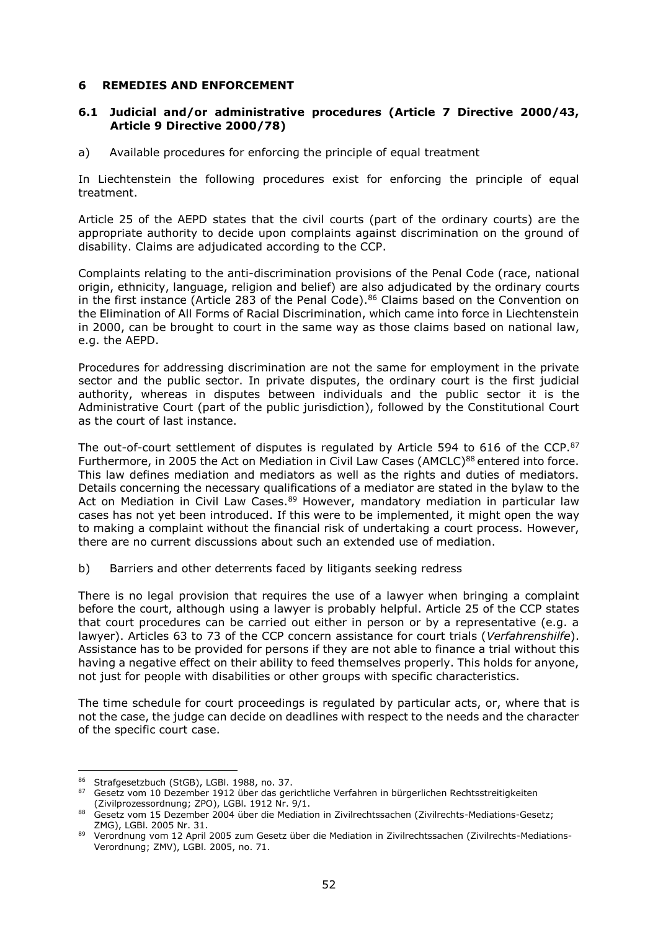### **6 REMEDIES AND ENFORCEMENT**

## **6.1 Judicial and/or administrative procedures (Article 7 Directive 2000/43, Article 9 Directive 2000/78)**

a) Available procedures for enforcing the principle of equal treatment

In Liechtenstein the following procedures exist for enforcing the principle of equal treatment.

Article 25 of the AEPD states that the civil courts (part of the ordinary courts) are the appropriate authority to decide upon complaints against discrimination on the ground of disability. Claims are adjudicated according to the CCP.

Complaints relating to the anti-discrimination provisions of the Penal Code (race, national origin, ethnicity, language, religion and belief) are also adjudicated by the ordinary courts in the first instance (Article 283 of the Penal Code).<sup>86</sup> Claims based on the Convention on the Elimination of All Forms of Racial Discrimination, which came into force in Liechtenstein in 2000, can be brought to court in the same way as those claims based on national law, e.g. the AEPD.

Procedures for addressing discrimination are not the same for employment in the private sector and the public sector. In private disputes, the ordinary court is the first judicial authority, whereas in disputes between individuals and the public sector it is the Administrative Court (part of the public jurisdiction), followed by the Constitutional Court as the court of last instance.

The out-of-court settlement of disputes is regulated by Article 594 to 616 of the CCP.<sup>87</sup> Furthermore, in 2005 the Act on Mediation in Civil Law Cases (AMCLC)<sup>88</sup> entered into force. This law defines mediation and mediators as well as the rights and duties of mediators. Details concerning the necessary qualifications of a mediator are stated in the bylaw to the Act on Mediation in Civil Law Cases.<sup>89</sup> However, mandatory mediation in particular law cases has not yet been introduced. If this were to be implemented, it might open the way to making a complaint without the financial risk of undertaking a court process. However, there are no current discussions about such an extended use of mediation.

b) Barriers and other deterrents faced by litigants seeking redress

There is no legal provision that requires the use of a lawyer when bringing a complaint before the court, although using a lawyer is probably helpful. Article 25 of the CCP states that court procedures can be carried out either in person or by a representative (e.g. a lawyer). Articles 63 to 73 of the CCP concern assistance for court trials (*Verfahrenshilfe*). Assistance has to be provided for persons if they are not able to finance a trial without this having a negative effect on their ability to feed themselves properly. This holds for anyone, not just for people with disabilities or other groups with specific characteristics.

The time schedule for court proceedings is regulated by particular acts, or, where that is not the case, the judge can decide on deadlines with respect to the needs and the character of the specific court case.

<sup>86</sup> Strafgesetzbuch (StGB), LGBI. 1988, no. 37.

<sup>87</sup> Gesetz vom 10 Dezember 1912 über das gerichtliche Verfahren in bürgerlichen Rechtsstreitigkeiten (Zivilprozessordnung; ZPO), LGBl. 1912 Nr. 9/1.

<sup>88</sup> Gesetz vom 15 Dezember 2004 über die Mediation in Zivilrechtssachen (Zivilrechts-Mediations-Gesetz; ZMG), LGBl. 2005 Nr. 31.

<sup>89</sup> Verordnung vom 12 April 2005 zum Gesetz über die Mediation in Zivilrechtssachen (Zivilrechts-Mediations-Verordnung; ZMV), LGBl. 2005, no. 71.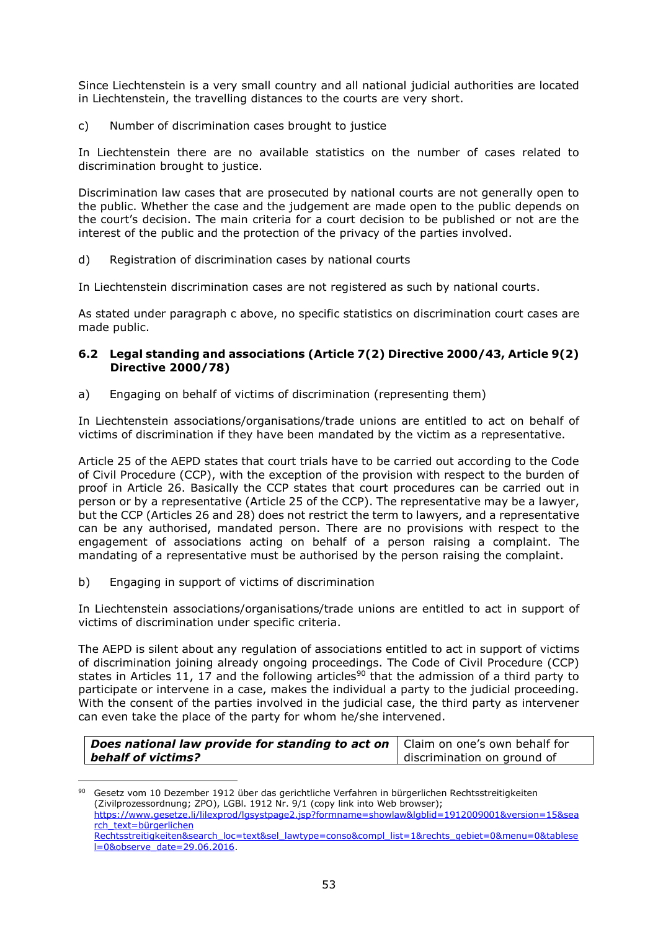Since Liechtenstein is a very small country and all national judicial authorities are located in Liechtenstein, the travelling distances to the courts are very short.

c) Number of discrimination cases brought to justice

In Liechtenstein there are no available statistics on the number of cases related to discrimination brought to justice.

Discrimination law cases that are prosecuted by national courts are not generally open to the public. Whether the case and the judgement are made open to the public depends on the court's decision. The main criteria for a court decision to be published or not are the interest of the public and the protection of the privacy of the parties involved.

d) Registration of discrimination cases by national courts

In Liechtenstein discrimination cases are not registered as such by national courts.

As stated under paragraph c above, no specific statistics on discrimination court cases are made public.

## **6.2 Legal standing and associations (Article 7(2) Directive 2000/43, Article 9(2) Directive 2000/78)**

a) Engaging on behalf of victims of discrimination (representing them)

In Liechtenstein associations/organisations/trade unions are entitled to act on behalf of victims of discrimination if they have been mandated by the victim as a representative.

Article 25 of the AEPD states that court trials have to be carried out according to the Code of Civil Procedure (CCP), with the exception of the provision with respect to the burden of proof in Article 26. Basically the CCP states that court procedures can be carried out in person or by a representative (Article 25 of the CCP). The representative may be a lawyer, but the CCP (Articles 26 and 28) does not restrict the term to lawyers, and a representative can be any authorised, mandated person. There are no provisions with respect to the engagement of associations acting on behalf of a person raising a complaint. The mandating of a representative must be authorised by the person raising the complaint.

b) Engaging in support of victims of discrimination

 $\overline{a}$ 

In Liechtenstein associations/organisations/trade unions are entitled to act in support of victims of discrimination under specific criteria.

The AEPD is silent about any regulation of associations entitled to act in support of victims of discrimination joining already ongoing proceedings. The Code of Civil Procedure (CCP) states in Articles 11, 17 and the following articles<sup>90</sup> that the admission of a third party to participate or intervene in a case, makes the individual a party to the judicial proceeding. With the consent of the parties involved in the judicial case, the third party as intervener can even take the place of the party for whom he/she intervened.

| Does national law provide for standing to act on   Claim on one's own behalf for |                             |
|----------------------------------------------------------------------------------|-----------------------------|
| $\blacksquare$ behalf of victims?                                                | discrimination on ground of |

<sup>90</sup> Gesetz vom 10 Dezember 1912 über das gerichtliche Verfahren in bürgerlichen Rechtsstreitigkeiten (Zivilprozessordnung; ZPO), LGBl. 1912 Nr. 9/1 (copy link into Web browser); [https://www.gesetze.li/lilexprod/lgsystpage2.jsp?formname=showlaw&lgblid=1912009001&version=15&sea](https://www.gesetze.li/lilexprod/lgsystpage2.jsp?formname=showlaw&lgblid=1912009001&version=15&search_text=bürgerlichen%20Rechtsstreitigkeiten&search_loc=text&sel_lawtype=conso&compl_list=1&rechts_gebiet=0&menu=0&tablesel=0&observe_date=29.06.2016%20) rch\_text=bürgerlichen [Rechtsstreitigkeiten&search\\_loc=text&sel\\_lawtype=conso&compl\\_list=1&rechts\\_gebiet=0&menu=0&tablese](https://www.gesetze.li/lilexprod/lgsystpage2.jsp?formname=showlaw&lgblid=1912009001&version=15&search_text=bürgerlichen%20Rechtsstreitigkeiten&search_loc=text&sel_lawtype=conso&compl_list=1&rechts_gebiet=0&menu=0&tablesel=0&observe_date=29.06.2016%20) [l=0&observe\\_date=29.06.2016.](https://www.gesetze.li/lilexprod/lgsystpage2.jsp?formname=showlaw&lgblid=1912009001&version=15&search_text=bürgerlichen%20Rechtsstreitigkeiten&search_loc=text&sel_lawtype=conso&compl_list=1&rechts_gebiet=0&menu=0&tablesel=0&observe_date=29.06.2016%20)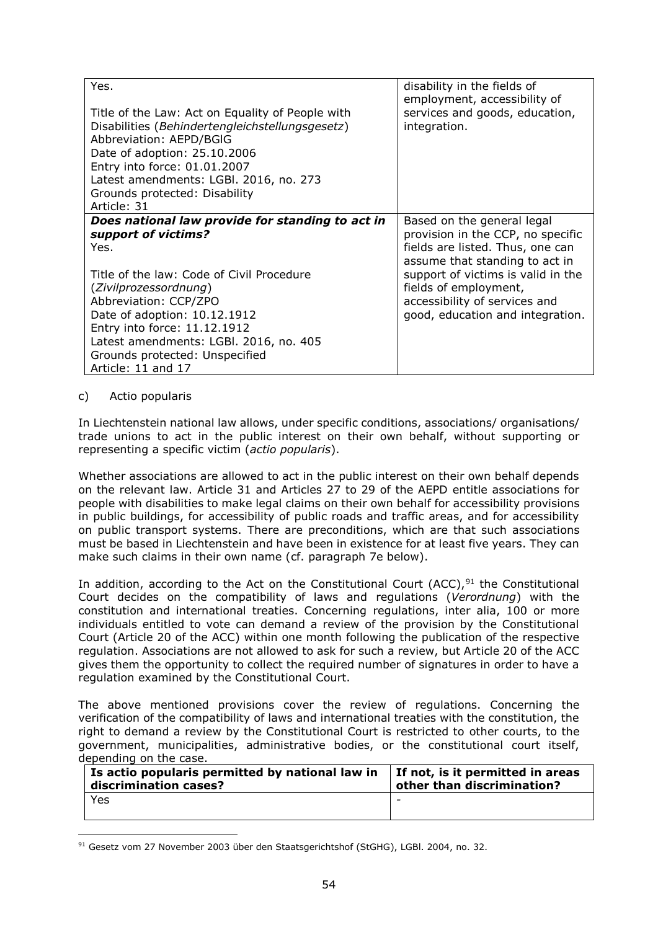| Yes.<br>Title of the Law: Act on Equality of People with<br>Disabilities (Behindertengleichstellungsgesetz)<br>Abbreviation: AEPD/BGIG<br>Date of adoption: 25.10.2006<br>Entry into force: 01.01.2007<br>Latest amendments: LGBI. 2016, no. 273<br>Grounds protected: Disability                                                                | disability in the fields of<br>employment, accessibility of<br>services and goods, education,<br>integration.                                                                                                                                                             |
|--------------------------------------------------------------------------------------------------------------------------------------------------------------------------------------------------------------------------------------------------------------------------------------------------------------------------------------------------|---------------------------------------------------------------------------------------------------------------------------------------------------------------------------------------------------------------------------------------------------------------------------|
| Article: 31                                                                                                                                                                                                                                                                                                                                      |                                                                                                                                                                                                                                                                           |
| Does national law provide for standing to act in<br>support of victims?<br>Yes.<br>Title of the law: Code of Civil Procedure<br>(Zivilprozessordnung)<br>Abbreviation: CCP/ZPO<br>Date of adoption: 10.12.1912<br>Entry into force: 11.12.1912<br>Latest amendments: LGBI. 2016, no. 405<br>Grounds protected: Unspecified<br>Article: 11 and 17 | Based on the general legal<br>provision in the CCP, no specific<br>fields are listed. Thus, one can<br>assume that standing to act in<br>support of victims is valid in the<br>fields of employment,<br>accessibility of services and<br>good, education and integration. |

#### c) Actio popularis

 $\overline{a}$ 

In Liechtenstein national law allows, under specific conditions, associations/ organisations/ trade unions to act in the public interest on their own behalf, without supporting or representing a specific victim (*actio popularis*).

Whether associations are allowed to act in the public interest on their own behalf depends on the relevant law. Article 31 and Articles 27 to 29 of the AEPD entitle associations for people with disabilities to make legal claims on their own behalf for accessibility provisions in public buildings, for accessibility of public roads and traffic areas, and for accessibility on public transport systems. There are preconditions, which are that such associations must be based in Liechtenstein and have been in existence for at least five years. They can make such claims in their own name (cf. paragraph 7e below).

In addition, according to the Act on the Constitutional Court (ACC),  $91$  the Constitutional Court decides on the compatibility of laws and regulations (*Verordnung*) with the constitution and international treaties. Concerning regulations, inter alia, 100 or more individuals entitled to vote can demand a review of the provision by the Constitutional Court (Article 20 of the ACC) within one month following the publication of the respective regulation. Associations are not allowed to ask for such a review, but Article 20 of the ACC gives them the opportunity to collect the required number of signatures in order to have a regulation examined by the Constitutional Court.

The above mentioned provisions cover the review of regulations. Concerning the verification of the compatibility of laws and international treaties with the constitution, the right to demand a review by the Constitutional Court is restricted to other courts, to the government, municipalities, administrative bodies, or the constitutional court itself, depending on the case.

| Is actio popularis permitted by national law in | If not, is it permitted in areas |
|-------------------------------------------------|----------------------------------|
| discrimination cases?                           | other than discrimination?       |
| Yes                                             | $\overline{\phantom{0}}$         |

<sup>91</sup> Gesetz vom 27 November 2003 über den Staatsgerichtshof (StGHG), LGBl. 2004, no. 32.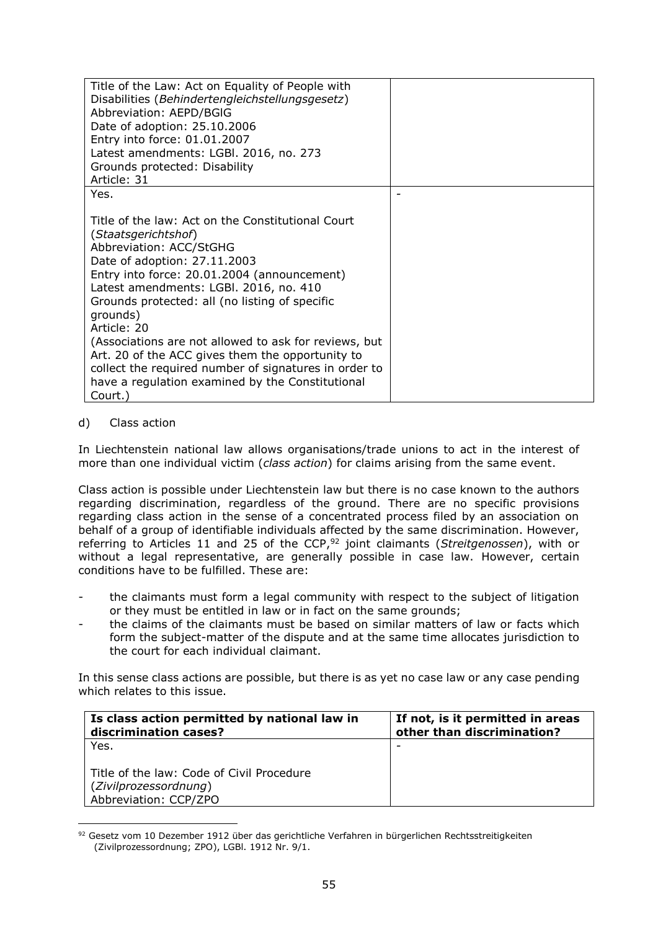| Title of the Law: Act on Equality of People with<br>Disabilities (Behindertengleichstellungsgesetz)<br>Abbreviation: AEPD/BGIG<br>Date of adoption: 25.10.2006<br>Entry into force: 01.01.2007<br>Latest amendments: LGBI. 2016, no. 273<br>Grounds protected: Disability<br>Article: 31                                                                                                                                                                                                                                                       |  |
|------------------------------------------------------------------------------------------------------------------------------------------------------------------------------------------------------------------------------------------------------------------------------------------------------------------------------------------------------------------------------------------------------------------------------------------------------------------------------------------------------------------------------------------------|--|
| Yes.                                                                                                                                                                                                                                                                                                                                                                                                                                                                                                                                           |  |
| Title of the law: Act on the Constitutional Court<br>(Staatsgerichtshof)<br>Abbreviation: ACC/StGHG<br>Date of adoption: 27.11.2003<br>Entry into force: 20.01.2004 (announcement)<br>Latest amendments: LGBI. 2016, no. 410<br>Grounds protected: all (no listing of specific<br>grounds)<br>Article: 20<br>(Associations are not allowed to ask for reviews, but<br>Art. 20 of the ACC gives them the opportunity to<br>collect the required number of signatures in order to<br>have a regulation examined by the Constitutional<br>Court.) |  |

# d) Class action

 $\overline{a}$ 

In Liechtenstein national law allows organisations/trade unions to act in the interest of more than one individual victim (*class action*) for claims arising from the same event.

Class action is possible under Liechtenstein law but there is no case known to the authors regarding discrimination, regardless of the ground. There are no specific provisions regarding class action in the sense of a concentrated process filed by an association on behalf of a group of identifiable individuals affected by the same discrimination. However, referring to Articles 11 and 25 of the CCP, <sup>92</sup> joint claimants (*Streitgenossen*), with or without a legal representative, are generally possible in case law. However, certain conditions have to be fulfilled. These are:

- the claimants must form a legal community with respect to the subject of litigation or they must be entitled in law or in fact on the same grounds;
- the claims of the claimants must be based on similar matters of law or facts which form the subject-matter of the dispute and at the same time allocates jurisdiction to the court for each individual claimant.

In this sense class actions are possible, but there is as yet no case law or any case pending which relates to this issue.

| Is class action permitted by national law in<br>discrimination cases? | If not, is it permitted in areas<br>other than discrimination? |
|-----------------------------------------------------------------------|----------------------------------------------------------------|
| Yes.<br>Title of the law: Code of Civil Procedure                     |                                                                |
| (Zivilprozessordnung)<br>Abbreviation: CCP/ZPO                        |                                                                |

<sup>92</sup> Gesetz vom 10 Dezember 1912 über das gerichtliche Verfahren in bürgerlichen Rechtsstreitigkeiten (Zivilprozessordnung; ZPO), LGBl. 1912 Nr. 9/1.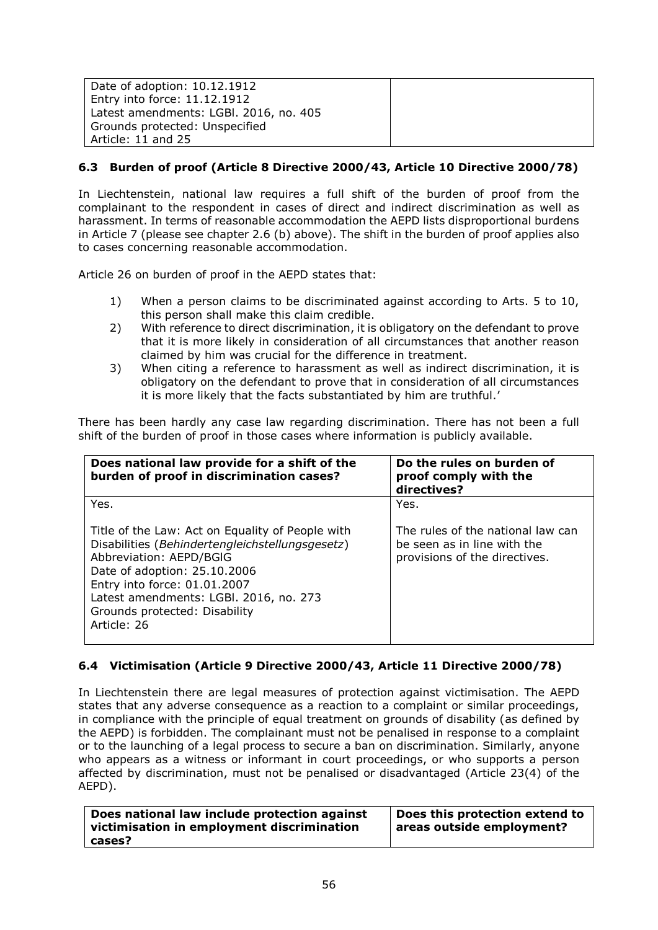| Date of adoption: 10.12.1912           |  |
|----------------------------------------|--|
| Entry into force: 11.12.1912           |  |
| Latest amendments: LGBI. 2016, no. 405 |  |
| Grounds protected: Unspecified         |  |
| Article: 11 and 25                     |  |

# **6.3 Burden of proof (Article 8 Directive 2000/43, Article 10 Directive 2000/78)**

In Liechtenstein, national law requires a full shift of the burden of proof from the complainant to the respondent in cases of direct and indirect discrimination as well as harassment. In terms of reasonable accommodation the AEPD lists disproportional burdens in Article 7 (please see chapter 2.6 (b) above). The shift in the burden of proof applies also to cases concerning reasonable accommodation.

Article 26 on burden of proof in the AEPD states that:

- 1) When a person claims to be discriminated against according to Arts. 5 to 10, this person shall make this claim credible.
- 2) With reference to direct discrimination, it is obligatory on the defendant to prove that it is more likely in consideration of all circumstances that another reason claimed by him was crucial for the difference in treatment.
- 3) When citing a reference to harassment as well as indirect discrimination, it is obligatory on the defendant to prove that in consideration of all circumstances it is more likely that the facts substantiated by him are truthful.'

There has been hardly any case law regarding discrimination. There has not been a full shift of the burden of proof in those cases where information is publicly available.

| Does national law provide for a shift of the<br>burden of proof in discrimination cases?                                                                                                                                                                                                 | Do the rules on burden of<br>proof comply with the<br>directives?                                 |
|------------------------------------------------------------------------------------------------------------------------------------------------------------------------------------------------------------------------------------------------------------------------------------------|---------------------------------------------------------------------------------------------------|
| Yes.                                                                                                                                                                                                                                                                                     | Yes.                                                                                              |
| Title of the Law: Act on Equality of People with<br>Disabilities (Behindertengleichstellungsgesetz)<br>Abbreviation: AEPD/BGIG<br>Date of adoption: 25.10.2006<br>Entry into force: 01.01.2007<br>Latest amendments: LGBI. 2016, no. 273<br>Grounds protected: Disability<br>Article: 26 | The rules of the national law can<br>be seen as in line with the<br>provisions of the directives. |

# **6.4 Victimisation (Article 9 Directive 2000/43, Article 11 Directive 2000/78)**

In Liechtenstein there are legal measures of protection against victimisation. The AEPD states that any adverse consequence as a reaction to a complaint or similar proceedings, in compliance with the principle of equal treatment on grounds of disability (as defined by the AEPD) is forbidden. The complainant must not be penalised in response to a complaint or to the launching of a legal process to secure a ban on discrimination. Similarly, anyone who appears as a witness or informant in court proceedings, or who supports a person affected by discrimination, must not be penalised or disadvantaged (Article 23(4) of the AEPD).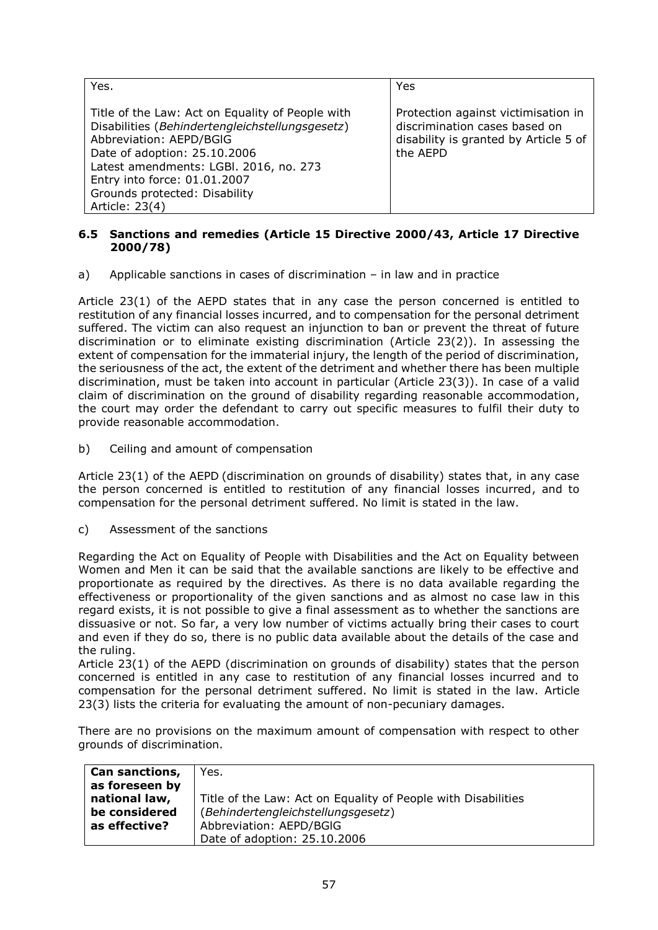| Yes.                                                                                                                                                                                                                                                                                        | Yes                                                                                                                       |
|---------------------------------------------------------------------------------------------------------------------------------------------------------------------------------------------------------------------------------------------------------------------------------------------|---------------------------------------------------------------------------------------------------------------------------|
| Title of the Law: Act on Equality of People with<br>Disabilities (Behindertengleichstellungsgesetz)<br>Abbreviation: AEPD/BGIG<br>Date of adoption: 25.10.2006<br>Latest amendments: LGBI. 2016, no. 273<br>Entry into force: 01.01.2007<br>Grounds protected: Disability<br>Article: 23(4) | Protection against victimisation in<br>discrimination cases based on<br>disability is granted by Article 5 of<br>the AEPD |

## **6.5 Sanctions and remedies (Article 15 Directive 2000/43, Article 17 Directive 2000/78)**

a) Applicable sanctions in cases of discrimination – in law and in practice

Article 23(1) of the AEPD states that in any case the person concerned is entitled to restitution of any financial losses incurred, and to compensation for the personal detriment suffered. The victim can also request an injunction to ban or prevent the threat of future discrimination or to eliminate existing discrimination (Article 23(2)). In assessing the extent of compensation for the immaterial injury, the length of the period of discrimination, the seriousness of the act, the extent of the detriment and whether there has been multiple discrimination, must be taken into account in particular (Article 23(3)). In case of a valid claim of discrimination on the ground of disability regarding reasonable accommodation, the court may order the defendant to carry out specific measures to fulfil their duty to provide reasonable accommodation.

b) Ceiling and amount of compensation

Article 23(1) of the AEPD (discrimination on grounds of disability) states that, in any case the person concerned is entitled to restitution of any financial losses incurred, and to compensation for the personal detriment suffered. No limit is stated in the law.

c) Assessment of the sanctions

Regarding the Act on Equality of People with Disabilities and the Act on Equality between Women and Men it can be said that the available sanctions are likely to be effective and proportionate as required by the directives. As there is no data available regarding the effectiveness or proportionality of the given sanctions and as almost no case law in this regard exists, it is not possible to give a final assessment as to whether the sanctions are dissuasive or not. So far, a very low number of victims actually bring their cases to court and even if they do so, there is no public data available about the details of the case and the ruling.

Article 23(1) of the AEPD (discrimination on grounds of disability) states that the person concerned is entitled in any case to restitution of any financial losses incurred and to compensation for the personal detriment suffered. No limit is stated in the law. Article 23(3) lists the criteria for evaluating the amount of non-pecuniary damages.

There are no provisions on the maximum amount of compensation with respect to other grounds of discrimination.

| <b>Can sanctions,</b> | Yes.                                                          |
|-----------------------|---------------------------------------------------------------|
| as foreseen by        |                                                               |
| national law,         | Title of the Law: Act on Equality of People with Disabilities |
| be considered         | (Behindertengleichstellungsgesetz)                            |
| as effective?         | Abbreviation: AEPD/BGIG                                       |
|                       | Date of adoption: 25.10.2006                                  |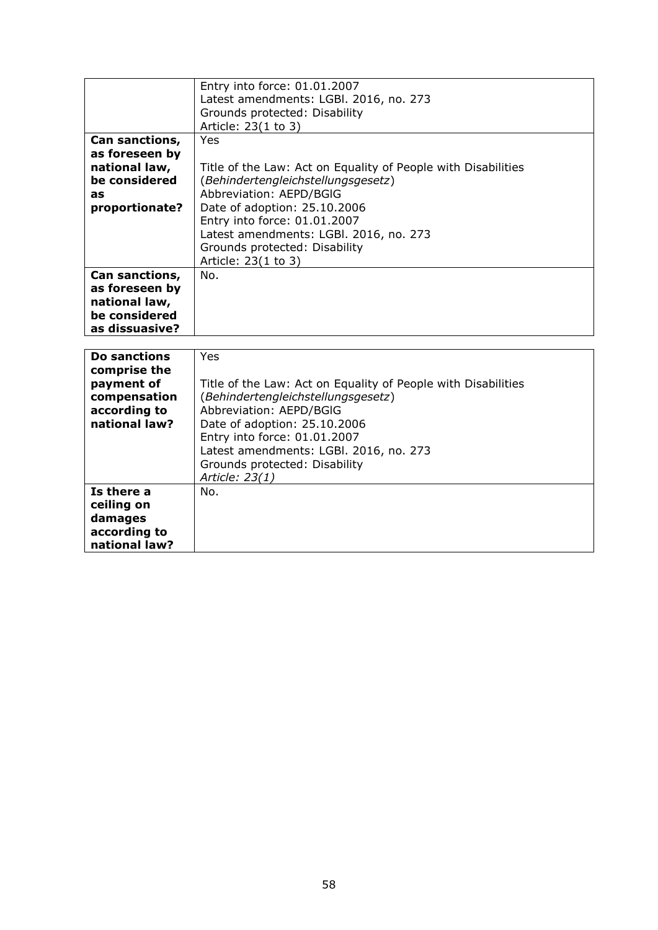|                | Entry into force: 01.01.2007                                  |
|----------------|---------------------------------------------------------------|
|                |                                                               |
|                | Latest amendments: LGBI. 2016, no. 273                        |
|                | Grounds protected: Disability                                 |
|                | Article: 23(1 to 3)                                           |
| Can sanctions, | Yes                                                           |
| as foreseen by |                                                               |
| national law,  | Title of the Law: Act on Equality of People with Disabilities |
| be considered  | (Behindertengleichstellungsgesetz)                            |
| as             | Abbreviation: AEPD/BGIG                                       |
|                |                                                               |
| proportionate? | Date of adoption: 25.10.2006                                  |
|                | Entry into force: 01.01.2007                                  |
|                | Latest amendments: LGBI. 2016, no. 273                        |
|                | Grounds protected: Disability                                 |
|                | Article: 23(1 to 3)                                           |
|                |                                                               |
| Can sanctions, | No.                                                           |
| as foreseen by |                                                               |
| national law,  |                                                               |
| be considered  |                                                               |
| as dissuasive? |                                                               |
|                |                                                               |

| <b>Do sanctions</b><br>comprise the<br>payment of | Yes<br>Title of the Law: Act on Equality of People with Disabilities |
|---------------------------------------------------|----------------------------------------------------------------------|
| compensation                                      | (Behindertengleichstellungsgesetz)                                   |
| according to                                      | Abbreviation: AEPD/BGIG                                              |
| national law?                                     | Date of adoption: 25.10.2006                                         |
|                                                   | Entry into force: 01.01.2007                                         |
|                                                   | Latest amendments: LGBI. 2016, no. 273                               |
|                                                   | Grounds protected: Disability                                        |
|                                                   | Article: 23(1)                                                       |
| Is there a                                        | No.                                                                  |
| ceiling on                                        |                                                                      |
| damages                                           |                                                                      |
| according to                                      |                                                                      |
| national law?                                     |                                                                      |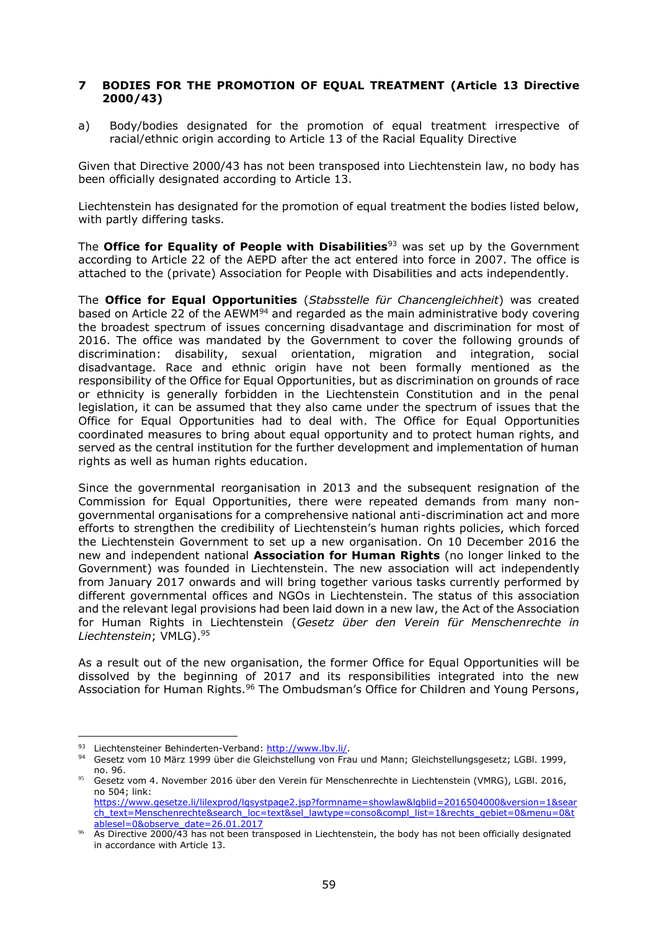## **7 BODIES FOR THE PROMOTION OF EQUAL TREATMENT (Article 13 Directive 2000/43)**

a) Body/bodies designated for the promotion of equal treatment irrespective of racial/ethnic origin according to Article 13 of the Racial Equality Directive

Given that Directive 2000/43 has not been transposed into Liechtenstein law, no body has been officially designated according to Article 13.

Liechtenstein has designated for the promotion of equal treatment the bodies listed below, with partly differing tasks.

The **Office for Equality of People with Disabilities**<sup>93</sup> was set up by the Government according to Article 22 of the AEPD after the act entered into force in 2007. The office is attached to the (private) Association for People with Disabilities and acts independently.

The **Office for Equal Opportunities** (*Stabsstelle für Chancengleichheit*) was created based on Article 22 of the AEWM<sup>94</sup> and regarded as the main administrative body covering the broadest spectrum of issues concerning disadvantage and discrimination for most of 2016. The office was mandated by the Government to cover the following grounds of discrimination: disability, sexual orientation, migration and integration, social disadvantage. Race and ethnic origin have not been formally mentioned as the responsibility of the Office for Equal Opportunities, but as discrimination on grounds of race or ethnicity is generally forbidden in the Liechtenstein Constitution and in the penal legislation, it can be assumed that they also came under the spectrum of issues that the Office for Equal Opportunities had to deal with. The Office for Equal Opportunities coordinated measures to bring about equal opportunity and to protect human rights, and served as the central institution for the further development and implementation of human rights as well as human rights education.

Since the governmental reorganisation in 2013 and the subsequent resignation of the Commission for Equal Opportunities, there were repeated demands from many nongovernmental organisations for a comprehensive national anti-discrimination act and more efforts to strengthen the credibility of Liechtenstein's human rights policies, which forced the Liechtenstein Government to set up a new organisation. On 10 December 2016 the new and independent national **Association for Human Rights** (no longer linked to the Government) was founded in Liechtenstein. The new association will act independently from January 2017 onwards and will bring together various tasks currently performed by different governmental offices and NGOs in Liechtenstein. The status of this association and the relevant legal provisions had been laid down in a new law, the Act of the Association for Human Rights in Liechtenstein (*Gesetz über den Verein für Menschenrechte in Liechtenstein*; VMLG). 95

As a result out of the new organisation, the former Office for Equal Opportunities will be dissolved by the beginning of 2017 and its responsibilities integrated into the new Association for Human Rights.<sup>96</sup> The Ombudsman's Office for Children and Young Persons,

<sup>93</sup> Liechtensteiner Behinderten-Verband: [http://www.lbv.li/.](http://www.lbv.li/)

<sup>94</sup> Gesetz vom 10 März 1999 über die Gleichstellung von Frau und Mann; Gleichstellungsgesetz; LGBI. 1999, no. 96.

<sup>95</sup> Gesetz vom 4. November 2016 über den Verein für Menschenrechte in Liechtenstein (VMRG), LGBl. 2016, no 504; link: [https://www.gesetze.li/lilexprod/lgsystpage2.jsp?formname=showlaw&lgblid=2016504000&version=1&sear](https://www.gesetze.li/lilexprod/lgsystpage2.jsp?formname=showlaw&lgblid=2016504000&version=1&search_text=Menschenrechte&search_loc=text&sel_lawtype=conso&compl_list=1&rechts_gebiet=0&menu=0&tablesel=0&observe_date=26.01.2017)

[ch\\_text=Menschenrechte&search\\_loc=text&sel\\_lawtype=conso&compl\\_list=1&rechts\\_gebiet=0&menu=0&t](https://www.gesetze.li/lilexprod/lgsystpage2.jsp?formname=showlaw&lgblid=2016504000&version=1&search_text=Menschenrechte&search_loc=text&sel_lawtype=conso&compl_list=1&rechts_gebiet=0&menu=0&tablesel=0&observe_date=26.01.2017) [ablesel=0&observe\\_date=26.01.2017](https://www.gesetze.li/lilexprod/lgsystpage2.jsp?formname=showlaw&lgblid=2016504000&version=1&search_text=Menschenrechte&search_loc=text&sel_lawtype=conso&compl_list=1&rechts_gebiet=0&menu=0&tablesel=0&observe_date=26.01.2017)

<sup>96</sup> As Directive 2000/43 has not been transposed in Liechtenstein, the body has not been officially designated in accordance with Article 13.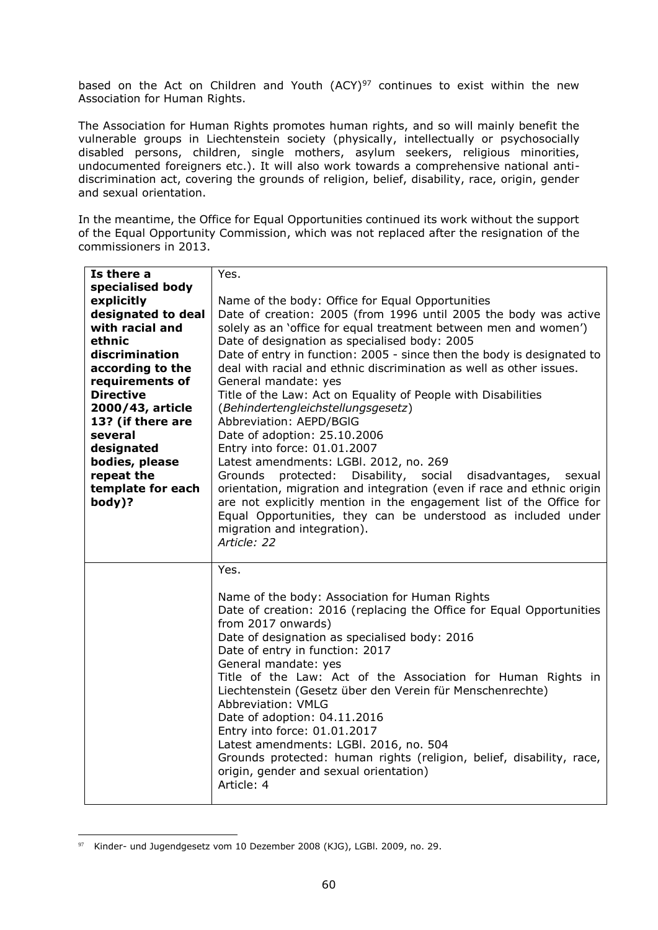based on the Act on Children and Youth  $(ACY)^{97}$  continues to exist within the new Association for Human Rights.

The Association for Human Rights promotes human rights, and so will mainly benefit the vulnerable groups in Liechtenstein society (physically, intellectually or psychosocially disabled persons, children, single mothers, asylum seekers, religious minorities, undocumented foreigners etc.). It will also work towards a comprehensive national antidiscrimination act, covering the grounds of religion, belief, disability, race, origin, gender and sexual orientation.

In the meantime, the Office for Equal Opportunities continued its work without the support of the Equal Opportunity Commission, which was not replaced after the resignation of the commissioners in 2013.

| Is there a         | Yes.                                                                    |
|--------------------|-------------------------------------------------------------------------|
| specialised body   |                                                                         |
| explicitly         | Name of the body: Office for Equal Opportunities                        |
| designated to deal | Date of creation: 2005 (from 1996 until 2005 the body was active        |
| with racial and    | solely as an 'office for equal treatment between men and women')        |
| ethnic             | Date of designation as specialised body: 2005                           |
| discrimination     | Date of entry in function: 2005 - since then the body is designated to  |
| according to the   | deal with racial and ethnic discrimination as well as other issues.     |
| requirements of    | General mandate: yes                                                    |
| <b>Directive</b>   | Title of the Law: Act on Equality of People with Disabilities           |
| 2000/43, article   | (Behindertengleichstellungsgesetz)                                      |
| 13? (if there are  | Abbreviation: AEPD/BGIG                                                 |
| several            | Date of adoption: 25.10.2006                                            |
| designated         | Entry into force: 01.01.2007                                            |
| bodies, please     | Latest amendments: LGBI. 2012, no. 269                                  |
| repeat the         | protected:<br>Disability, social<br>Grounds<br>disadvantages,<br>sexual |
| template for each  | orientation, migration and integration (even if race and ethnic origin  |
| body)?             | are not explicitly mention in the engagement list of the Office for     |
|                    | Equal Opportunities, they can be understood as included under           |
|                    | migration and integration).<br>Article: 22                              |
|                    |                                                                         |
|                    | Yes.                                                                    |
|                    |                                                                         |
|                    | Name of the body: Association for Human Rights                          |
|                    | Date of creation: 2016 (replacing the Office for Equal Opportunities    |
|                    | from 2017 onwards)                                                      |
|                    | Date of designation as specialised body: 2016                           |
|                    | Date of entry in function: 2017                                         |
|                    | General mandate: yes                                                    |
|                    | Title of the Law: Act of the Association for Human Rights in            |
|                    | Liechtenstein (Gesetz über den Verein für Menschenrechte)               |
|                    | Abbreviation: VMLG                                                      |
|                    | Date of adoption: 04.11.2016                                            |
|                    | Entry into force: 01.01.2017                                            |
|                    | Latest amendments: LGBI. 2016, no. 504                                  |
|                    | Grounds protected: human rights (religion, belief, disability, race,    |
|                    | origin, gender and sexual orientation)                                  |
|                    | Article: 4                                                              |
|                    |                                                                         |

<sup>97</sup> Kinder- und Jugendgesetz vom 10 Dezember 2008 (KJG), LGBI. 2009, no. 29.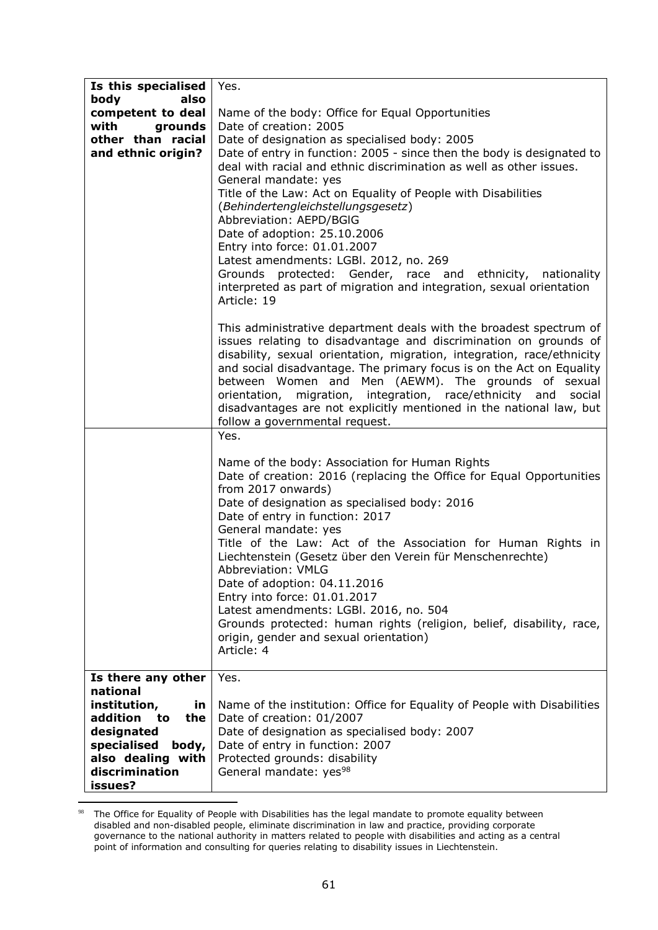| Is this specialised   | Yes.                                                                     |
|-----------------------|--------------------------------------------------------------------------|
| also<br>body          |                                                                          |
| competent to deal     | Name of the body: Office for Equal Opportunities                         |
| grounds<br>with       | Date of creation: 2005                                                   |
| other than racial     | Date of designation as specialised body: 2005                            |
| and ethnic origin?    | Date of entry in function: 2005 - since then the body is designated to   |
|                       | deal with racial and ethnic discrimination as well as other issues.      |
|                       | General mandate: yes                                                     |
|                       | Title of the Law: Act on Equality of People with Disabilities            |
|                       | (Behindertengleichstellungsgesetz)                                       |
|                       | Abbreviation: AEPD/BGIG                                                  |
|                       |                                                                          |
|                       | Date of adoption: 25.10.2006                                             |
|                       | Entry into force: 01.01.2007                                             |
|                       | Latest amendments: LGBI. 2012, no. 269                                   |
|                       | Grounds protected: Gender, race and ethnicity, nationality               |
|                       | interpreted as part of migration and integration, sexual orientation     |
|                       | Article: 19                                                              |
|                       |                                                                          |
|                       | This administrative department deals with the broadest spectrum of       |
|                       | issues relating to disadvantage and discrimination on grounds of         |
|                       | disability, sexual orientation, migration, integration, race/ethnicity   |
|                       | and social disadvantage. The primary focus is on the Act on Equality     |
|                       | between Women and Men (AEWM). The grounds of sexual                      |
|                       | orientation, migration, integration, race/ethnicity and<br>social        |
|                       | disadvantages are not explicitly mentioned in the national law, but      |
|                       | follow a governmental request.                                           |
|                       | Yes.                                                                     |
|                       |                                                                          |
|                       | Name of the body: Association for Human Rights                           |
|                       | Date of creation: 2016 (replacing the Office for Equal Opportunities     |
|                       | from 2017 onwards)                                                       |
|                       | Date of designation as specialised body: 2016                            |
|                       | Date of entry in function: 2017                                          |
|                       | General mandate: yes                                                     |
|                       | Title of the Law: Act of the Association for Human Rights in             |
|                       | Liechtenstein (Gesetz über den Verein für Menschenrechte)                |
|                       | Abbreviation: VMLG                                                       |
|                       | Date of adoption: 04.11.2016                                             |
|                       | Entry into force: 01.01.2017                                             |
|                       | Latest amendments: LGBI. 2016, no. 504                                   |
|                       | Grounds protected: human rights (religion, belief, disability, race,     |
|                       | origin, gender and sexual orientation)                                   |
|                       | Article: 4                                                               |
|                       |                                                                          |
| Is there any other    | Yes.                                                                     |
| national              |                                                                          |
| institution,<br>in.   | Name of the institution: Office for Equality of People with Disabilities |
| addition<br>the<br>to | Date of creation: 01/2007                                                |
| designated            | Date of designation as specialised body: 2007                            |
| specialised<br>body,  | Date of entry in function: 2007                                          |
| also dealing with     | Protected grounds: disability                                            |
| discrimination        | General mandate: yes <sup>98</sup>                                       |
| issues?               |                                                                          |

<sup>98</sup> The Office for Equality of People with Disabilities has the legal mandate to promote equality between disabled and non-disabled people, eliminate discrimination in law and practice, providing corporate governance to the national authority in matters related to people with disabilities and acting as a central point of information and consulting for queries relating to disability issues in Liechtenstein.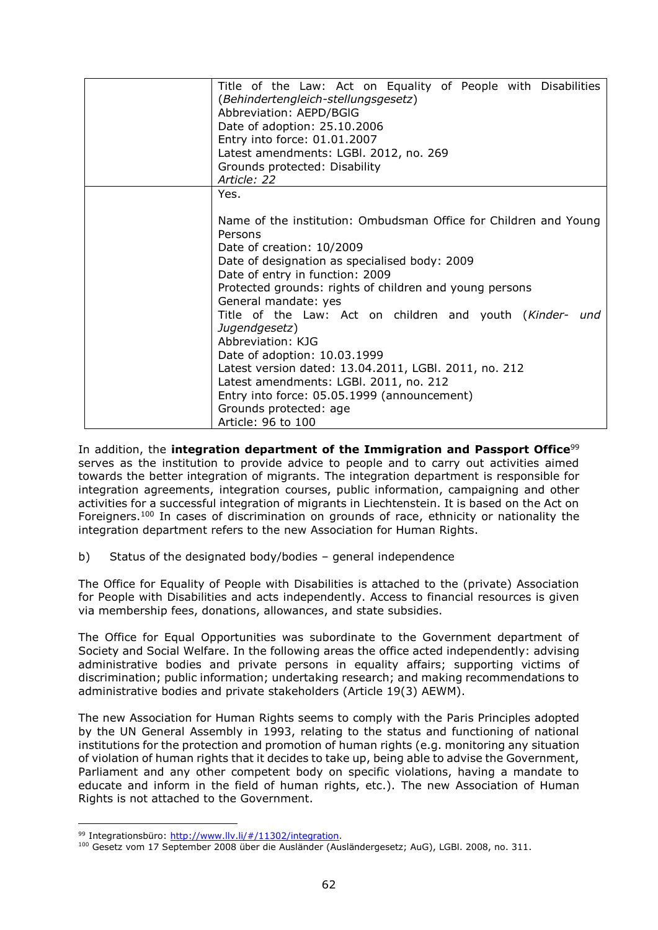| Title of the Law: Act on Equality of People with Disabilities<br>(Behindertengleich-stellungsgesetz)<br>Abbreviation: AEPD/BGIG<br>Date of adoption: 25.10.2006<br>Entry into force: 01.01.2007<br>Latest amendments: LGBI. 2012, no. 269<br>Grounds protected: Disability<br>Article: 22                                                                                                                                                                                                                                                                                                                                   |
|-----------------------------------------------------------------------------------------------------------------------------------------------------------------------------------------------------------------------------------------------------------------------------------------------------------------------------------------------------------------------------------------------------------------------------------------------------------------------------------------------------------------------------------------------------------------------------------------------------------------------------|
| Yes.<br>Name of the institution: Ombudsman Office for Children and Young<br>Persons<br>Date of creation: 10/2009<br>Date of designation as specialised body: 2009<br>Date of entry in function: 2009<br>Protected grounds: rights of children and young persons<br>General mandate: yes<br>Title of the Law: Act on children and youth (Kinder- und<br>Jugendgesetz)<br>Abbreviation: KJG<br>Date of adoption: 10.03.1999<br>Latest version dated: 13.04.2011, LGBI. 2011, no. 212<br>Latest amendments: LGBI. 2011, no. 212<br>Entry into force: 05.05.1999 (announcement)<br>Grounds protected: age<br>Article: 96 to 100 |

In addition, the **integration department of the Immigration and Passport Office**<sup>99</sup> serves as the institution to provide advice to people and to carry out activities aimed towards the better integration of migrants. The integration department is responsible for integration agreements, integration courses, public information, campaigning and other activities for a successful integration of migrants in Liechtenstein. It is based on the Act on Foreigners.<sup>100</sup> In cases of discrimination on grounds of race, ethnicity or nationality the integration department refers to the new Association for Human Rights.

b) Status of the designated body/bodies – general independence

The Office for Equality of People with Disabilities is attached to the (private) Association for People with Disabilities and acts independently. Access to financial resources is given via membership fees, donations, allowances, and state subsidies.

The Office for Equal Opportunities was subordinate to the Government department of Society and Social Welfare. In the following areas the office acted independently: advising administrative bodies and private persons in equality affairs; supporting victims of discrimination; public information; undertaking research; and making recommendations to administrative bodies and private stakeholders (Article 19(3) AEWM).

The new Association for Human Rights seems to comply with the [Paris Principles](http://www.nhri.net/pdf/GAres1993.pdf) adopted by the UN General Assembly in 1993, relating to the status and functioning of national institutions for the protection and promotion of [human rights](https://en.wikipedia.org/wiki/Human_rights) (e.g. monitoring any situation of violation of human rights that it decides to take up, being able to advise the Government, Parliament and any other competent body on specific violations, having a mandate to educate and inform in the field of human rights, etc.). The new Association of Human Rights is not attached to the Government.

<sup>99</sup> Integrationsbüro: [http://www.llv.li/#/11302/integration.](http://www.llv.li/#/11302/integration)

<sup>100</sup> Gesetz vom 17 September 2008 über die Ausländer (Ausländergesetz; AuG), LGBl. 2008, no. 311.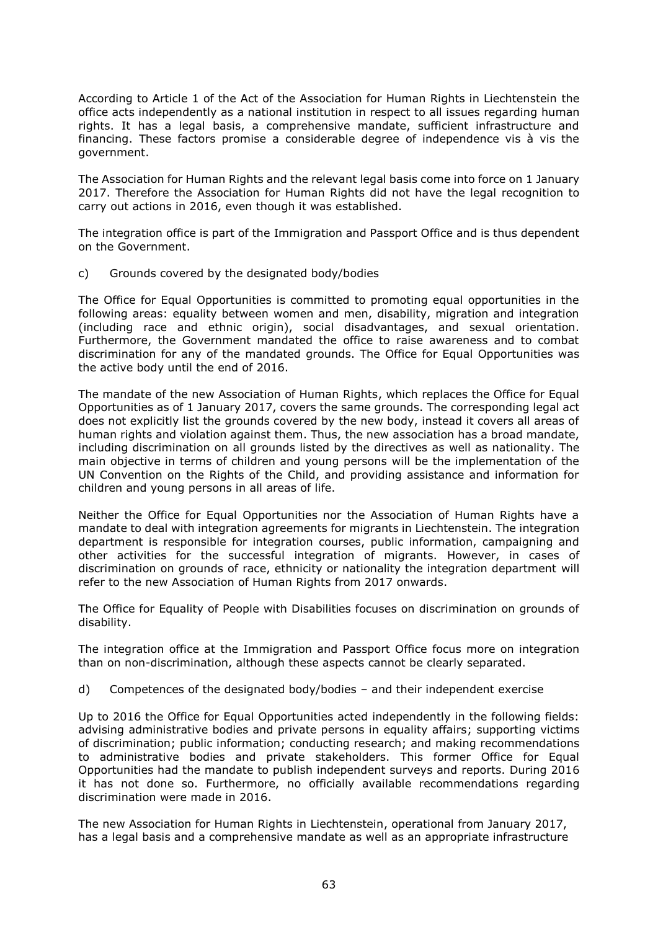According to Article 1 of the Act of the Association for Human Rights in Liechtenstein the office acts independently as a national institution in respect to all issues regarding human rights. It has a legal basis, a comprehensive mandate, sufficient infrastructure and financing. These factors promise a considerable degree of independence vis à vis the government.

The Association for Human Rights and the relevant legal basis come into force on 1 January 2017. Therefore the Association for Human Rights did not have the legal recognition to carry out actions in 2016, even though it was established.

The integration office is part of the Immigration and Passport Office and is thus dependent on the Government.

c) Grounds covered by the designated body/bodies

The Office for Equal Opportunities is committed to promoting equal opportunities in the following areas: equality between women and men, disability, migration and integration (including race and ethnic origin), social disadvantages, and sexual orientation. Furthermore, the Government mandated the office to raise awareness and to combat discrimination for any of the mandated grounds. The Office for Equal Opportunities was the active body until the end of 2016.

The mandate of the new Association of Human Rights, which replaces the Office for Equal Opportunities as of 1 January 2017, covers the same grounds. The corresponding legal act does not explicitly list the grounds covered by the new body, instead it covers all areas of human rights and violation against them. Thus, the new association has a broad mandate, including discrimination on all grounds listed by the directives as well as nationality. The main objective in terms of children and young persons will be the implementation of the UN Convention on the Rights of the Child, and providing assistance and information for children and young persons in all areas of life.

Neither the Office for Equal Opportunities nor the Association of Human Rights have a mandate to deal with integration agreements for migrants in Liechtenstein. The integration department is responsible for integration courses, public information, campaigning and other activities for the successful integration of migrants. However, in cases of discrimination on grounds of race, ethnicity or nationality the integration department will refer to the new Association of Human Rights from 2017 onwards.

The Office for Equality of People with Disabilities focuses on discrimination on grounds of disability.

The integration office at the Immigration and Passport Office focus more on integration than on non-discrimination, although these aspects cannot be clearly separated.

d) Competences of the designated body/bodies – and their independent exercise

Up to 2016 the Office for Equal Opportunities acted independently in the following fields: advising administrative bodies and private persons in equality affairs; supporting victims of discrimination; public information; conducting research; and making recommendations to administrative bodies and private stakeholders. This former Office for Equal Opportunities had the mandate to publish independent surveys and reports. During 2016 it has not done so. Furthermore, no officially available recommendations regarding discrimination were made in 2016.

The new Association for Human Rights in Liechtenstein, operational from January 2017, has a legal basis and a comprehensive mandate as well as an appropriate infrastructure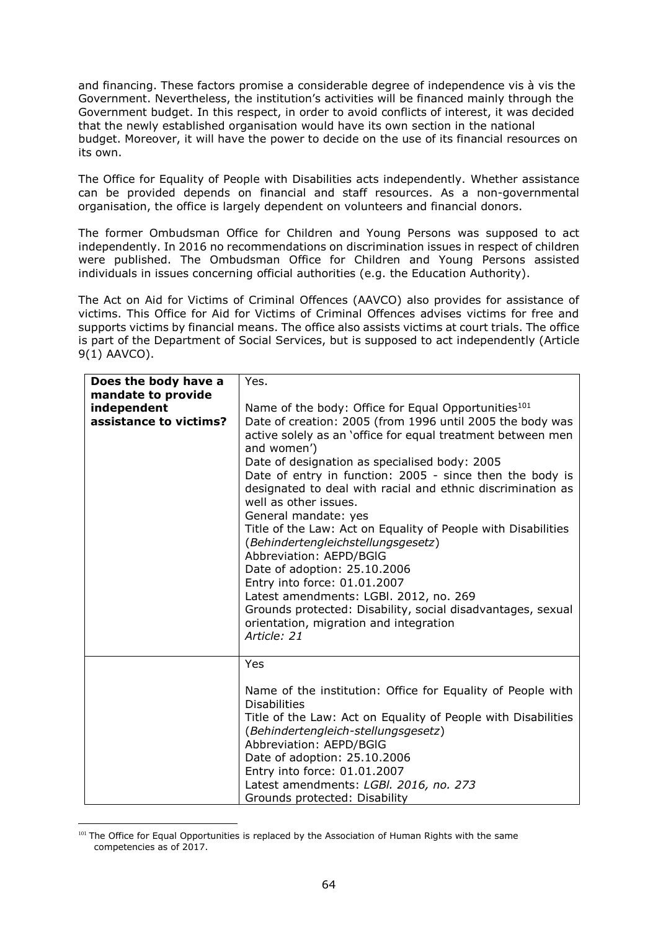and financing. These factors promise a considerable degree of independence vis à vis the Government. Nevertheless, the institution's activities will be financed mainly through the Government budget. In this respect, in order to avoid conflicts of interest, it was decided that the newly established organisation would have its own section in the national budget. Moreover, it will have the power to decide on the use of its financial resources on its own.

The Office for Equality of People with Disabilities acts independently. Whether assistance can be provided depends on financial and staff resources. As a non-governmental organisation, the office is largely dependent on volunteers and financial donors.

The former Ombudsman Office for Children and Young Persons was supposed to act independently. In 2016 no recommendations on discrimination issues in respect of children were published. The Ombudsman Office for Children and Young Persons assisted individuals in issues concerning official authorities (e.g. the Education Authority).

The Act on Aid for Victims of Criminal Offences (AAVCO) also provides for assistance of victims. This Office for Aid for Victims of Criminal Offences advises victims for free and supports victims by financial means. The office also assists victims at court trials. The office is part of the Department of Social Services, but is supposed to act independently (Article 9(1) AAVCO).

| Does the body have a<br>mandate to provide<br>independent<br>assistance to victims? | Yes.<br>Name of the body: Office for Equal Opportunities <sup>101</sup><br>Date of creation: 2005 (from 1996 until 2005 the body was<br>active solely as an 'office for equal treatment between men<br>and women')<br>Date of designation as specialised body: 2005<br>Date of entry in function: 2005 - since then the body is<br>designated to deal with racial and ethnic discrimination as<br>well as other issues.<br>General mandate: yes<br>Title of the Law: Act on Equality of People with Disabilities<br>(Behindertengleichstellungsgesetz)<br>Abbreviation: AEPD/BGIG<br>Date of adoption: 25.10.2006<br>Entry into force: 01.01.2007 |
|-------------------------------------------------------------------------------------|---------------------------------------------------------------------------------------------------------------------------------------------------------------------------------------------------------------------------------------------------------------------------------------------------------------------------------------------------------------------------------------------------------------------------------------------------------------------------------------------------------------------------------------------------------------------------------------------------------------------------------------------------|
|                                                                                     | Latest amendments: LGBI. 2012, no. 269<br>Grounds protected: Disability, social disadvantages, sexual<br>orientation, migration and integration<br>Article: 21                                                                                                                                                                                                                                                                                                                                                                                                                                                                                    |
|                                                                                     | Yes<br>Name of the institution: Office for Equality of People with<br><b>Disabilities</b><br>Title of the Law: Act on Equality of People with Disabilities<br>(Behindertengleich-stellungsgesetz)<br>Abbreviation: AEPD/BGIG<br>Date of adoption: 25.10.2006<br>Entry into force: 01.01.2007<br>Latest amendments: LGBI. 2016, no. 273<br>Grounds protected: Disability                                                                                                                                                                                                                                                                           |

 $\overline{a}$ <sup>101</sup> The Office for Equal Opportunities is replaced by the Association of Human Rights with the same competencies as of 2017.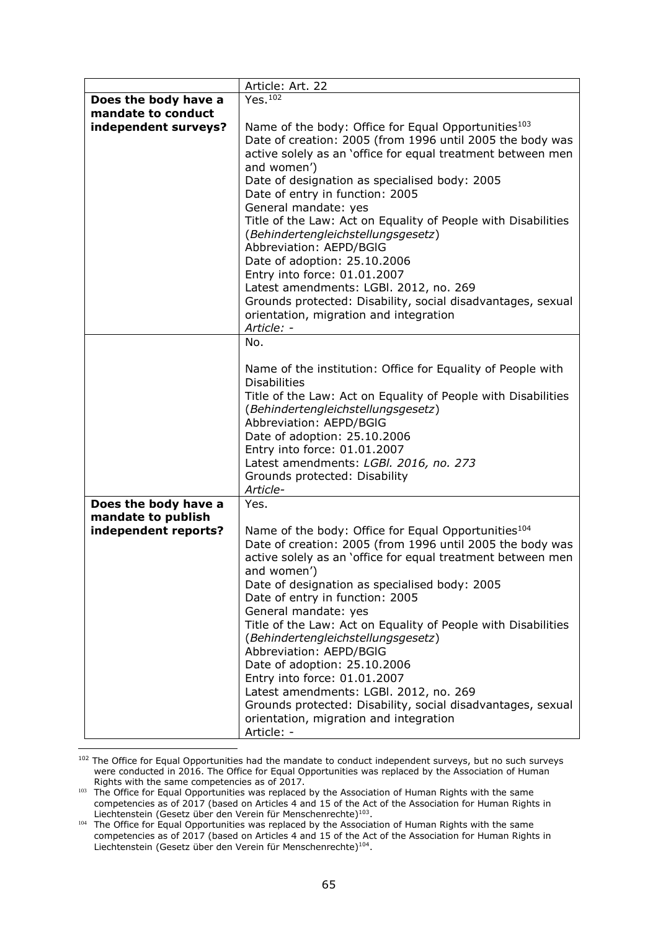|                                            | Article: Art. 22                                                                                                                                                                                                                                            |  |
|--------------------------------------------|-------------------------------------------------------------------------------------------------------------------------------------------------------------------------------------------------------------------------------------------------------------|--|
| Does the body have a                       | Yes. 102                                                                                                                                                                                                                                                    |  |
| mandate to conduct                         |                                                                                                                                                                                                                                                             |  |
| independent surveys?                       | Name of the body: Office for Equal Opportunities <sup>103</sup><br>Date of creation: 2005 (from 1996 until 2005 the body was<br>active solely as an 'office for equal treatment between men<br>and women')<br>Date of designation as specialised body: 2005 |  |
|                                            | Date of entry in function: 2005                                                                                                                                                                                                                             |  |
|                                            | General mandate: yes                                                                                                                                                                                                                                        |  |
|                                            | Title of the Law: Act on Equality of People with Disabilities<br>(Behindertengleichstellungsgesetz)<br>Abbreviation: AEPD/BGIG<br>Date of adoption: 25.10.2006                                                                                              |  |
|                                            | Entry into force: 01.01.2007                                                                                                                                                                                                                                |  |
|                                            | Latest amendments: LGBI. 2012, no. 269                                                                                                                                                                                                                      |  |
|                                            | Grounds protected: Disability, social disadvantages, sexual<br>orientation, migration and integration<br>Article: -                                                                                                                                         |  |
|                                            | No.                                                                                                                                                                                                                                                         |  |
|                                            |                                                                                                                                                                                                                                                             |  |
|                                            | Name of the institution: Office for Equality of People with                                                                                                                                                                                                 |  |
|                                            | <b>Disabilities</b>                                                                                                                                                                                                                                         |  |
|                                            | Title of the Law: Act on Equality of People with Disabilities<br>(Behindertengleichstellungsgesetz)                                                                                                                                                         |  |
|                                            | Abbreviation: AEPD/BGIG                                                                                                                                                                                                                                     |  |
|                                            | Date of adoption: 25.10.2006                                                                                                                                                                                                                                |  |
|                                            | Entry into force: 01.01.2007                                                                                                                                                                                                                                |  |
|                                            | Latest amendments: LGBI. 2016, no. 273                                                                                                                                                                                                                      |  |
|                                            | Grounds protected: Disability                                                                                                                                                                                                                               |  |
|                                            | Article-                                                                                                                                                                                                                                                    |  |
| Does the body have a<br>mandate to publish | Yes.                                                                                                                                                                                                                                                        |  |
| independent reports?                       | Name of the body: Office for Equal Opportunities <sup>104</sup><br>Date of creation: 2005 (from 1996 until 2005 the body was<br>active solely as an 'office for equal treatment between men<br>and women')                                                  |  |
|                                            | Date of designation as specialised body: 2005<br>Date of entry in function: 2005                                                                                                                                                                            |  |
|                                            | General mandate: yes                                                                                                                                                                                                                                        |  |
|                                            | Title of the Law: Act on Equality of People with Disabilities                                                                                                                                                                                               |  |
|                                            | (Behindertengleichstellungsgesetz)                                                                                                                                                                                                                          |  |
|                                            | Abbreviation: AEPD/BGIG                                                                                                                                                                                                                                     |  |
|                                            | Date of adoption: 25.10.2006<br>Entry into force: 01.01.2007                                                                                                                                                                                                |  |
|                                            | Latest amendments: LGBI. 2012, no. 269                                                                                                                                                                                                                      |  |
|                                            | Grounds protected: Disability, social disadvantages, sexual<br>orientation, migration and integration<br>Article: -                                                                                                                                         |  |
|                                            |                                                                                                                                                                                                                                                             |  |

<sup>&</sup>lt;sup>102</sup> The Office for Equal Opportunities had the mandate to conduct independent surveys, but no such surveys were conducted in 2016. The Office for Equal Opportunities was replaced by the Association of Human Rights with the same competencies as of 2017.

<sup>&</sup>lt;sup>103</sup> The Office for Equal Opportunities was replaced by the Association of Human Rights with the same competencies as of 2017 (based on Articles 4 and 15 of the Act of the Association for Human Rights in Liechtenstein (Gesetz über den Verein für Menschenrechte)<sup>103</sup>.

<sup>104</sup> The Office for Equal Opportunities was replaced by the Association of Human Rights with the same competencies as of 2017 (based on Articles 4 and 15 of the Act of the Association for Human Rights in Liechtenstein (Gesetz über den Verein für Menschenrechte)<sup>104</sup>.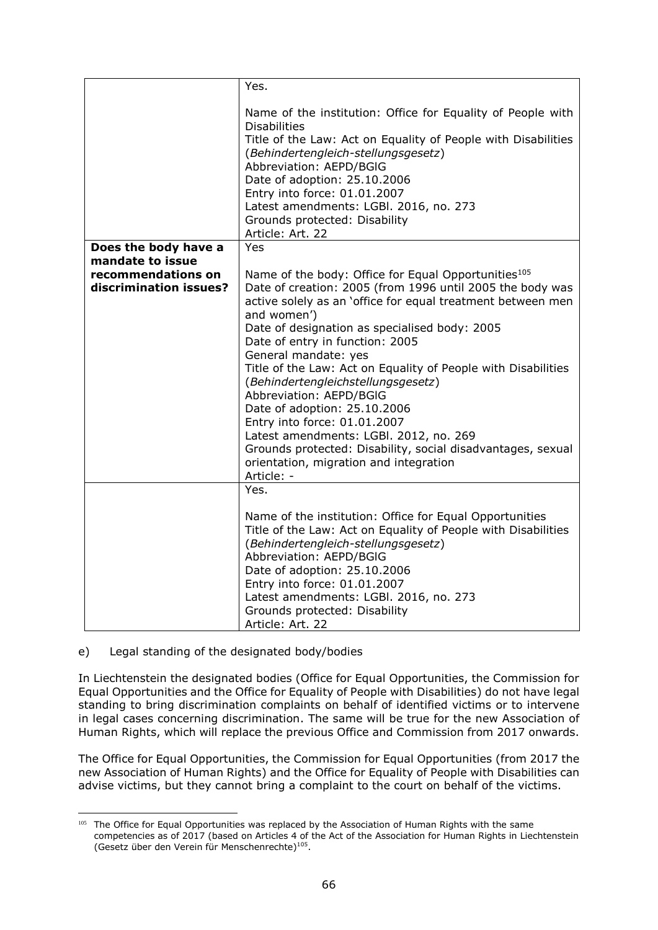|                                                                  | Yes.                                                                                                                                                                                                                                                                                                                                                                                                                                                                                                                                                                                                                                                                                      |
|------------------------------------------------------------------|-------------------------------------------------------------------------------------------------------------------------------------------------------------------------------------------------------------------------------------------------------------------------------------------------------------------------------------------------------------------------------------------------------------------------------------------------------------------------------------------------------------------------------------------------------------------------------------------------------------------------------------------------------------------------------------------|
|                                                                  | Name of the institution: Office for Equality of People with<br><b>Disabilities</b><br>Title of the Law: Act on Equality of People with Disabilities<br>(Behindertengleich-stellungsgesetz)<br>Abbreviation: AEPD/BGIG<br>Date of adoption: 25.10.2006<br>Entry into force: 01.01.2007<br>Latest amendments: LGBI. 2016, no. 273<br>Grounds protected: Disability<br>Article: Art. 22                                                                                                                                                                                                                                                                                                      |
| Does the body have a                                             | Yes                                                                                                                                                                                                                                                                                                                                                                                                                                                                                                                                                                                                                                                                                       |
| mandate to issue<br>recommendations on<br>discrimination issues? | Name of the body: Office for Equal Opportunities <sup>105</sup><br>Date of creation: 2005 (from 1996 until 2005 the body was<br>active solely as an 'office for equal treatment between men<br>and women')<br>Date of designation as specialised body: 2005<br>Date of entry in function: 2005<br>General mandate: yes<br>Title of the Law: Act on Equality of People with Disabilities<br>(Behindertengleichstellungsgesetz)<br>Abbreviation: AEPD/BGIG<br>Date of adoption: 25.10.2006<br>Entry into force: 01.01.2007<br>Latest amendments: LGBI. 2012, no. 269<br>Grounds protected: Disability, social disadvantages, sexual<br>orientation, migration and integration<br>Article: - |
|                                                                  | Yes.<br>Name of the institution: Office for Equal Opportunities<br>Title of the Law: Act on Equality of People with Disabilities<br>(Behindertengleich-stellungsgesetz)<br>Abbreviation: AEPD/BGIG<br>Date of adoption: 25.10.2006<br>Entry into force: 01.01.2007<br>Latest amendments: LGBI. 2016, no. 273<br>Grounds protected: Disability<br>Article: Art. 22                                                                                                                                                                                                                                                                                                                         |

#### e) Legal standing of the designated body/bodies

In Liechtenstein the designated bodies (Office for Equal Opportunities, the Commission for Equal Opportunities and the Office for Equality of People with Disabilities) do not have legal standing to bring discrimination complaints on behalf of identified victims or to intervene in legal cases concerning discrimination. The same will be true for the new Association of Human Rights, which will replace the previous Office and Commission from 2017 onwards.

The Office for Equal Opportunities, the Commission for Equal Opportunities (from 2017 the new Association of Human Rights) and the Office for Equality of People with Disabilities can advise victims, but they cannot bring a complaint to the court on behalf of the victims.

 $\overline{a}$ <sup>105</sup> The Office for Equal Opportunities was replaced by the Association of Human Rights with the same competencies as of 2017 (based on Articles 4 of the Act of the Association for Human Rights in Liechtenstein (Gesetz über den Verein für Menschenrechte)<sup>105</sup>.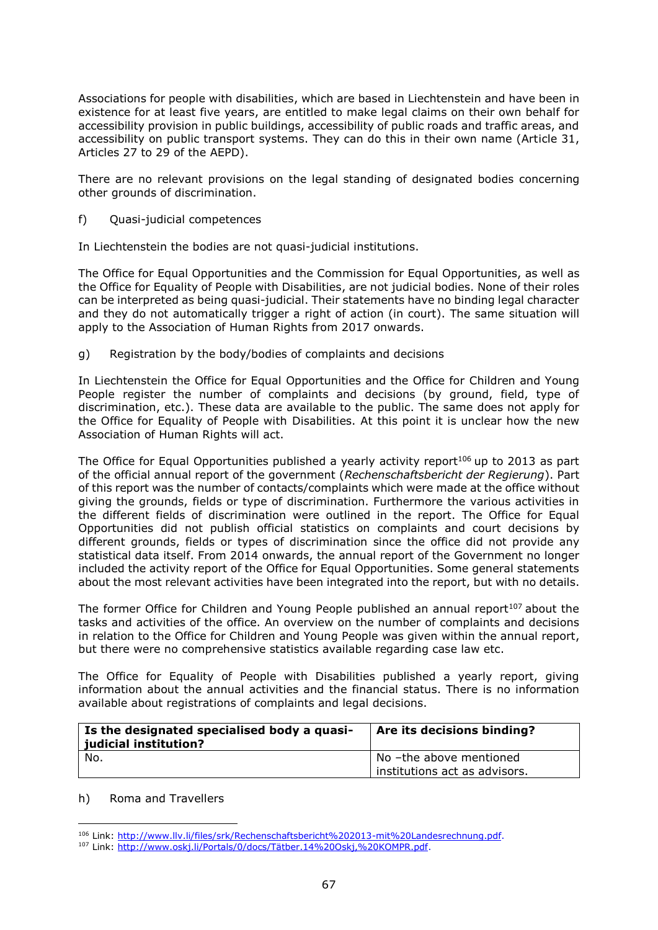Associations for people with disabilities, which are based in Liechtenstein and have been in existence for at least five years, are entitled to make legal claims on their own behalf for accessibility provision in public buildings, accessibility of public roads and traffic areas, and accessibility on public transport systems. They can do this in their own name (Article 31, Articles 27 to 29 of the AEPD).

There are no relevant provisions on the legal standing of designated bodies concerning other grounds of discrimination.

f) Quasi-judicial competences

In Liechtenstein the bodies are not quasi-judicial institutions.

The Office for Equal Opportunities and the Commission for Equal Opportunities, as well as the Office for Equality of People with Disabilities, are not judicial bodies. None of their roles can be interpreted as being quasi-judicial. Their statements have no binding legal character and they do not automatically trigger a right of action (in court). The same situation will apply to the Association of Human Rights from 2017 onwards.

g) Registration by the body/bodies of complaints and decisions

In Liechtenstein the Office for Equal Opportunities and the Office for Children and Young People register the number of complaints and decisions (by ground, field, type of discrimination, etc.). These data are available to the public. The same does not apply for the Office for Equality of People with Disabilities. At this point it is unclear how the new Association of Human Rights will act.

The Office for Equal Opportunities published a yearly activity report<sup>106</sup> up to 2013 as part of the official annual report of the government (*Rechenschaftsbericht der Regierung*). Part of this report was the number of contacts/complaints which were made at the office without giving the grounds, fields or type of discrimination. Furthermore the various activities in the different fields of discrimination were outlined in the report. The Office for Equal Opportunities did not publish official statistics on complaints and court decisions by different grounds, fields or types of discrimination since the office did not provide any statistical data itself. From 2014 onwards, the annual report of the Government no longer included the activity report of the Office for Equal Opportunities. Some general statements about the most relevant activities have been integrated into the report, but with no details.

The former Office for Children and Young People published an annual report $107$  about the tasks and activities of the office. An overview on the number of complaints and decisions in relation to the Office for Children and Young People was given within the annual report, but there were no comprehensive statistics available regarding case law etc.

The Office for Equality of People with Disabilities published a yearly report, giving information about the annual activities and the financial status. There is no information available about registrations of complaints and legal decisions.

| Is the designated specialised body a quasi-<br>judicial institution? | Are its decisions binding?                               |
|----------------------------------------------------------------------|----------------------------------------------------------|
| No.                                                                  | No -the above mentioned<br>institutions act as advisors. |

#### h) Roma and Travellers

 $\overline{a}$ <sup>106</sup> Link: [http://www.llv.li/files/srk/Rechenschaftsbericht%202013-mit%20Landesrechnung.pdf.](http://www.llv.li/files/srk/Rechenschaftsbericht%202013-mit%20Landesrechnung.pdf)

<sup>107</sup> Link: [http://www.oskj.li/Portals/0/docs/Tätber.14%20Oskj,%20KOMPR.pdf.](http://www.oskj.li/Portals/0/docs/Tätber.14%20Oskj,%20KOMPR.pdf)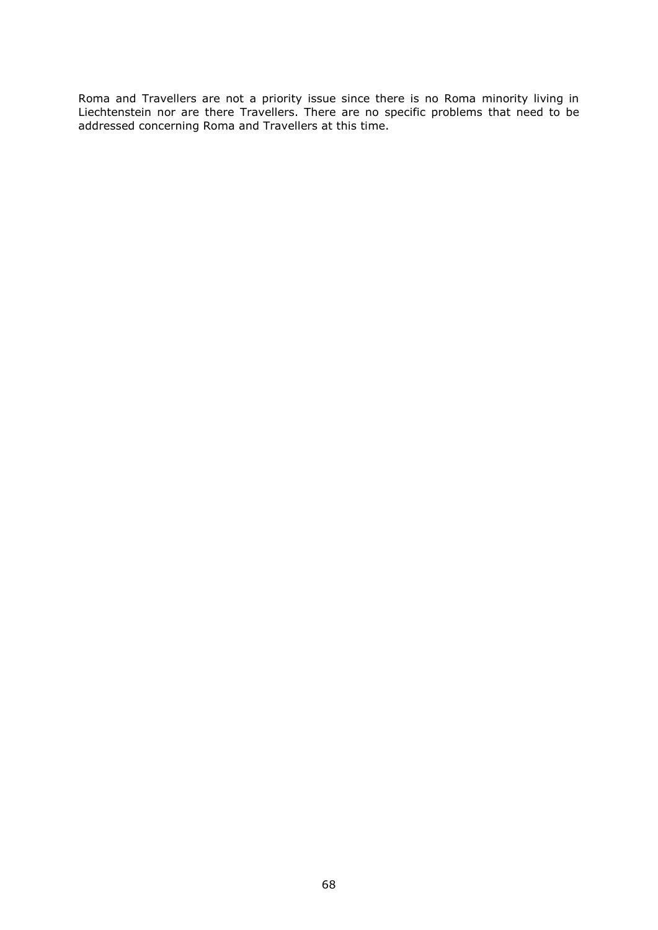Roma and Travellers are not a priority issue since there is no Roma minority living in Liechtenstein nor are there Travellers. There are no specific problems that need to be addressed concerning Roma and Travellers at this time.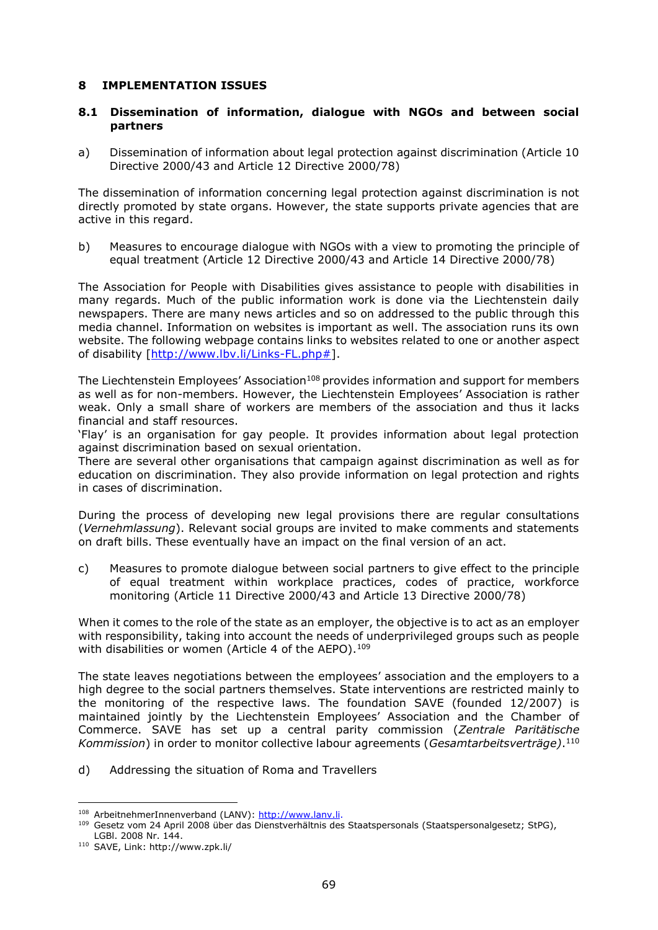### **8 IMPLEMENTATION ISSUES**

### **8.1 Dissemination of information, dialogue with NGOs and between social partners**

a) Dissemination of information about legal protection against discrimination (Article 10 Directive 2000/43 and Article 12 Directive 2000/78)

The dissemination of information concerning legal protection against discrimination is not directly promoted by state organs. However, the state supports private agencies that are active in this regard.

b) Measures to encourage dialogue with NGOs with a view to promoting the principle of equal treatment (Article 12 Directive 2000/43 and Article 14 Directive 2000/78)

The Association for People with Disabilities gives assistance to people with disabilities in many regards. Much of the public information work is done via the Liechtenstein daily newspapers. There are many news articles and so on addressed to the public through this media channel. Information on websites is important as well. The association runs its own website. The following webpage contains links to websites related to one or another aspect of disability [\[http://www.lbv.li/Links-FL.php#\]](http://www.lbv.li/Links-FL.php).

The Liechtenstein Employees' Association<sup>108</sup> provides information and support for members as well as for non-members. However, the Liechtenstein Employees' Association is rather weak. Only a small share of workers are members of the association and thus it lacks financial and staff resources.

'Flay' is an organisation for gay people. It provides information about legal protection against discrimination based on sexual orientation.

There are several other organisations that campaign against discrimination as well as for education on discrimination. They also provide information on legal protection and rights in cases of discrimination.

During the process of developing new legal provisions there are regular consultations (*Vernehmlassung*). Relevant social groups are invited to make comments and statements on draft bills. These eventually have an impact on the final version of an act.

c) Measures to promote dialogue between social partners to give effect to the principle of equal treatment within workplace practices, codes of practice, workforce monitoring (Article 11 Directive 2000/43 and Article 13 Directive 2000/78)

When it comes to the role of the state as an employer, the objective is to act as an employer with responsibility, taking into account the needs of underprivileged groups such as people with disabilities or women (Article 4 of the AEPO).<sup>109</sup>

The state leaves negotiations between the employees' association and the employers to a high degree to the social partners themselves. State interventions are restricted mainly to the monitoring of the respective laws. The foundation SAVE (founded 12/2007) is maintained jointly by the Liechtenstein Employees' Association and the Chamber of Commerce. SAVE has set up a central parity commission (*Zentrale Paritätische Kommission*) in order to monitor collective labour agreements (*Gesamtarbeitsverträge)*. 110

d) Addressing the situation of Roma and Travellers

<sup>108</sup> ArbeitnehmerInnenverband (LANV): [http://www.lanv.li.](http://www.lanv.li/)

<sup>&</sup>lt;sup>109</sup> Gesetz vom 24 April 2008 über das Dienstverhältnis des Staatspersonals (Staatspersonalgesetz; StPG), LGBl. 2008 Nr. 144.

<sup>110</sup> SAVE, Link: http://www.zpk.li/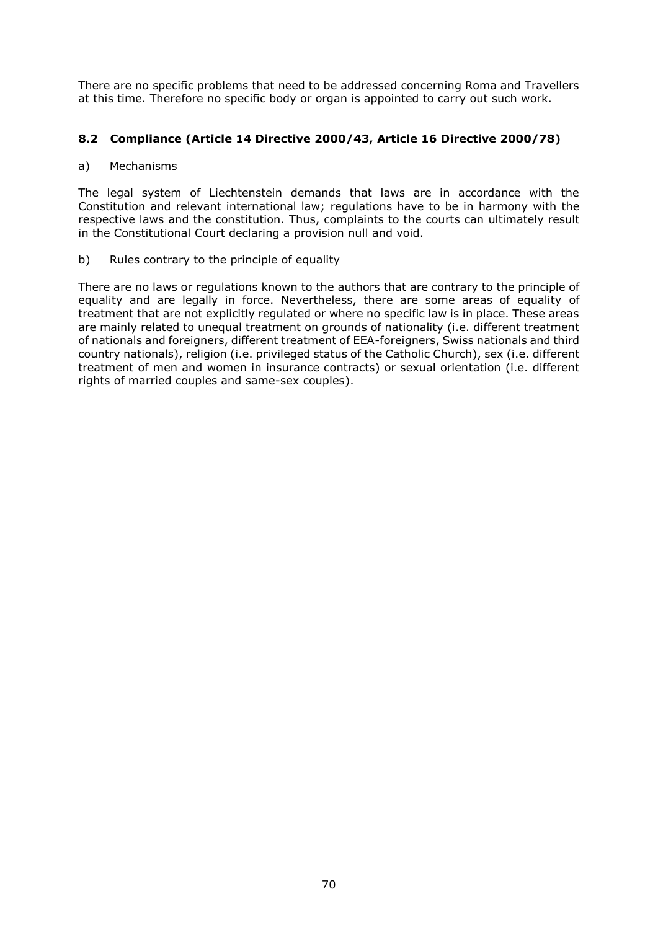There are no specific problems that need to be addressed concerning Roma and Travellers at this time. Therefore no specific body or organ is appointed to carry out such work.

# **8.2 Compliance (Article 14 Directive 2000/43, Article 16 Directive 2000/78)**

### a) Mechanisms

The legal system of Liechtenstein demands that laws are in accordance with the Constitution and relevant international law; regulations have to be in harmony with the respective laws and the constitution. Thus, complaints to the courts can ultimately result in the Constitutional Court declaring a provision null and void.

b) Rules contrary to the principle of equality

There are no laws or regulations known to the authors that are contrary to the principle of equality and are legally in force. Nevertheless, there are some areas of equality of treatment that are not explicitly regulated or where no specific law is in place. These areas are mainly related to unequal treatment on grounds of nationality (i.e. different treatment of nationals and foreigners, different treatment of EEA-foreigners, Swiss nationals and third country nationals), religion (i.e. privileged status of the Catholic Church), sex (i.e. different treatment of men and women in insurance contracts) or sexual orientation (i.e. different rights of married couples and same-sex couples).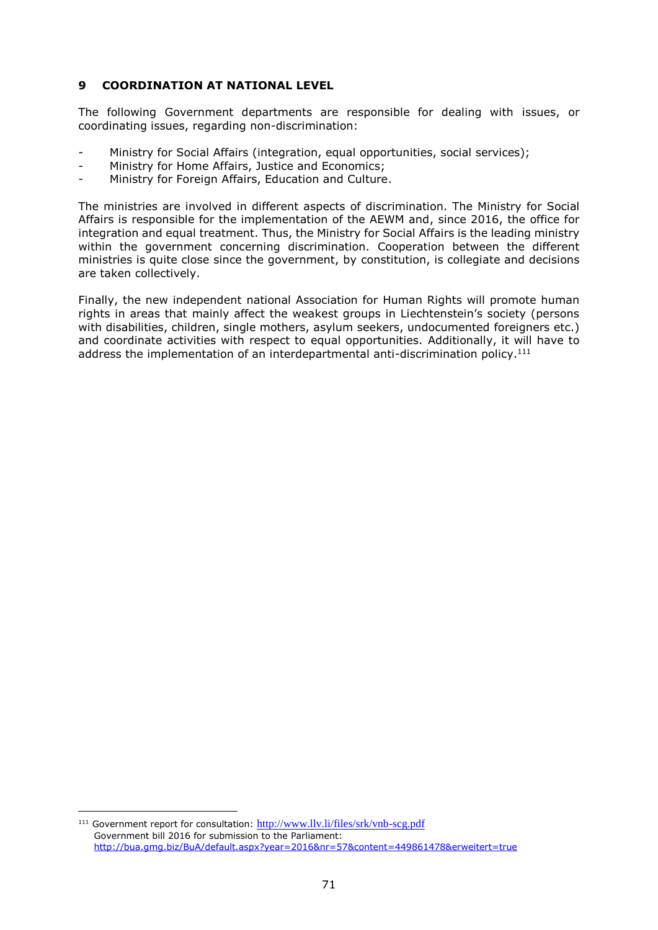# **9 COORDINATION AT NATIONAL LEVEL**

The following Government departments are responsible for dealing with issues, or coordinating issues, regarding non-discrimination:

- Ministry for Social Affairs (integration, equal opportunities, social services);
- Ministry for Home Affairs, Justice and Economics;
- Ministry for Foreign Affairs, Education and Culture.

The ministries are involved in different aspects of discrimination. The Ministry for Social Affairs is responsible for the implementation of the AEWM and, since 2016, the office for integration and equal treatment. Thus, the Ministry for Social Affairs is the leading ministry within the government concerning discrimination. Cooperation between the different ministries is quite close since the government, by constitution, is collegiate and decisions are taken collectively.

Finally, the new independent national Association for Human Rights will promote human rights in areas that mainly affect the weakest groups in Liechtenstein's society (persons with disabilities, children, single mothers, asylum seekers, undocumented foreigners etc.) and coordinate activities with respect to equal opportunities. Additionally, it will have to address the implementation of an interdepartmental anti-discrimination policy.<sup>111</sup>

<sup>111</sup> Government report for consultation: <http://www.llv.li/files/srk/vnb-scg.pdf> Government bill 2016 for submission to the Parliament: <http://bua.gmg.biz/BuA/default.aspx?year=2016&nr=57&content=449861478&erweitert=true>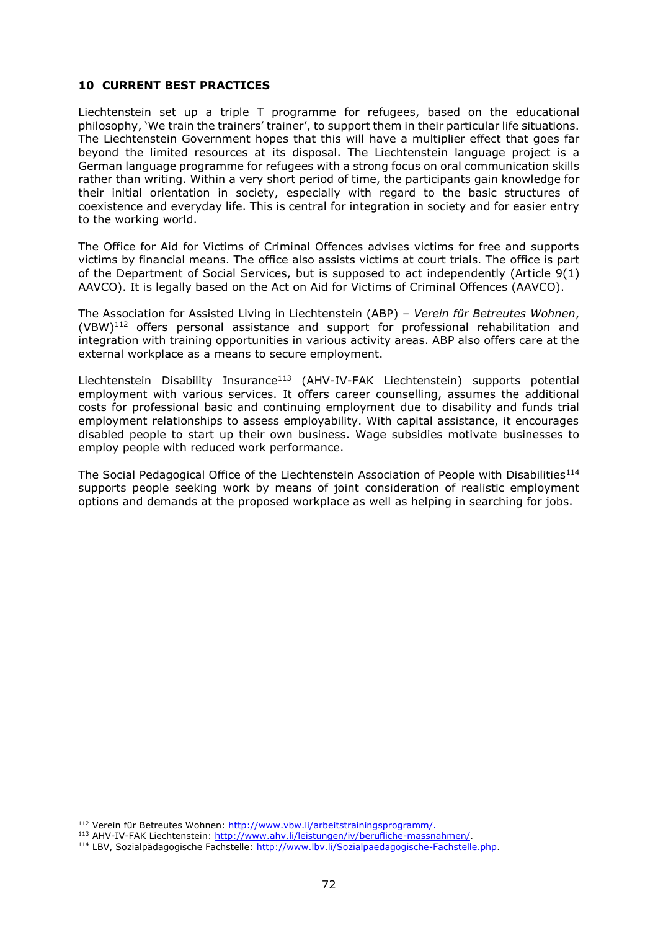# **10 CURRENT BEST PRACTICES**

Liechtenstein set up a triple T programme for refugees, based on the educational philosophy, 'We train the trainers' trainer', to support them in their particular life situations. The Liechtenstein Government hopes that this will have a multiplier effect that goes far beyond the limited resources at its disposal. The Liechtenstein language project is a German language programme for refugees with a strong focus on oral communication skills rather than writing. Within a very short period of time, the participants gain knowledge for their initial orientation in society, especially with regard to the basic structures of coexistence and everyday life. This is central for integration in society and for easier entry to the working world.

The Office for Aid for Victims of Criminal Offences advises victims for free and supports victims by financial means. The office also assists victims at court trials. The office is part of the Department of Social Services, but is supposed to act independently (Article 9(1) AAVCO). It is legally based on the Act on Aid for Victims of Criminal Offences (AAVCO).

The Association for Assisted Living in Liechtenstein (ABP) – *Verein für Betreutes Wohnen*,  $(VBW)^{112}$  offers personal assistance and support for professional rehabilitation and integration with training opportunities in various activity areas. ABP also offers care at the external workplace as a means to secure employment.

Liechtenstein Disability Insurance<sup>113</sup> (AHV-IV-FAK Liechtenstein) supports potential employment with various services. It offers career counselling, assumes the additional costs for professional basic and continuing employment due to disability and funds trial employment relationships to assess employability. With capital assistance, it encourages disabled people to start up their own business. Wage subsidies motivate businesses to employ people with reduced work performance.

The Social Pedagogical Office of the Liechtenstein Association of People with Disabilities<sup>114</sup> supports people seeking work by means of joint consideration of realistic employment options and demands at the proposed workplace as well as helping in searching for jobs.

<sup>112</sup> Verein für Betreutes Wohnen: [http://www.vbw.li/arbeitstrainingsprogramm/.](http://www.vbw.li/arbeitstrainingsprogramm/)

<sup>113</sup> AHV-IV-FAK Liechtenstein: [http://www.ahv.li/leistungen/iv/berufliche-massnahmen/.](http://www.ahv.li/leistungen/iv/berufliche-massnahmen/)

<sup>114</sup> LBV, Sozialpädagogische Fachstelle: [http://www.lbv.li/Sozialpaedagogische-Fachstelle.php.](http://www.lbv.li/Sozialpaedagogische-Fachstelle.php)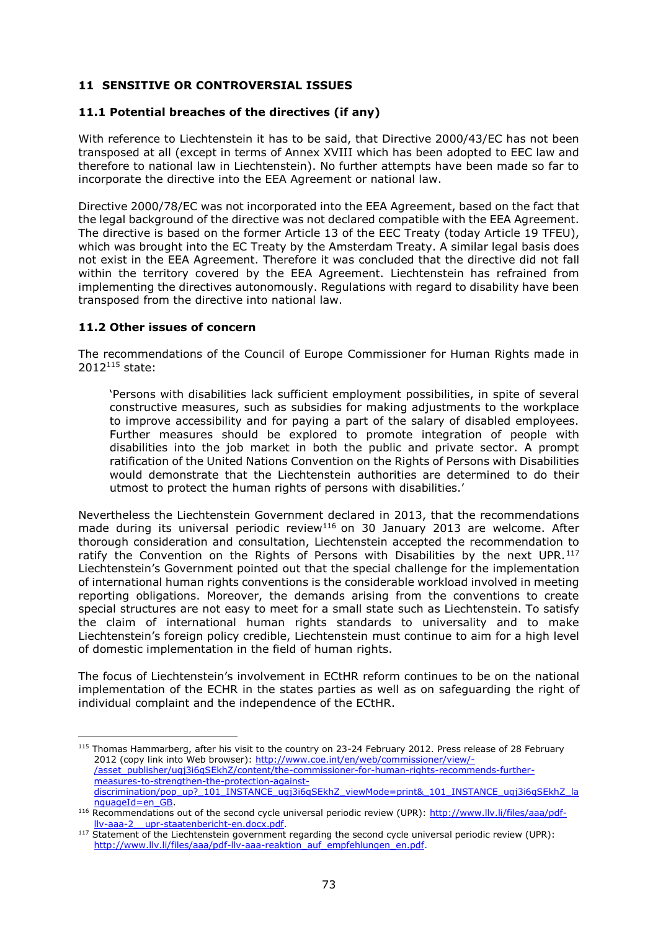# **11 SENSITIVE OR CONTROVERSIAL ISSUES**

# **11.1 Potential breaches of the directives (if any)**

With reference to Liechtenstein it has to be said, that Directive 2000/43/EC has not been transposed at all (except in terms of Annex XVIII which has been adopted to EEC law and therefore to national law in Liechtenstein). No further attempts have been made so far to incorporate the directive into the EEA Agreement or national law.

Directive 2000/78/EC was not incorporated into the EEA Agreement, based on the fact that the legal background of the directive was not declared compatible with the EEA Agreement. The directive is based on the former Article 13 of the EEC Treaty (today Article 19 TFEU), which was brought into the EC Treaty by the Amsterdam Treaty. A similar legal basis does not exist in the EEA Agreement. Therefore it was concluded that the directive did not fall within the territory covered by the EEA Agreement. Liechtenstein has refrained from implementing the directives autonomously. Regulations with regard to disability have been transposed from the directive into national law.

# **11.2 Other issues of concern**

 $\overline{a}$ 

The recommendations of the Council of Europe Commissioner for Human Rights made in 2012<sup>115</sup> state:

'Persons with disabilities lack sufficient employment possibilities, in spite of several constructive measures, such as subsidies for making adjustments to the workplace to improve accessibility and for paying a part of the salary of disabled employees. Further measures should be explored to promote integration of people with disabilities into the job market in both the public and private sector. A prompt ratification of the United Nations Convention on the Rights of Persons with Disabilities would demonstrate that the Liechtenstein authorities are determined to do their utmost to protect the human rights of persons with disabilities.'

Nevertheless the Liechtenstein Government declared in 2013, that the recommendations made during its universal periodic review<sup>116</sup> on 30 January 2013 are welcome. After thorough consideration and consultation, Liechtenstein accepted the recommendation to ratify the Convention on the Rights of Persons with Disabilities by the next  $UPR$ .<sup>117</sup> Liechtenstein's Government pointed out that the special challenge for the implementation of international human rights conventions is the considerable workload involved in meeting reporting obligations. Moreover, the demands arising from the conventions to create special structures are not easy to meet for a small state such as Liechtenstein. To satisfy the claim of international human rights standards to universality and to make Liechtenstein's foreign policy credible, Liechtenstein must continue to aim for a high level of domestic implementation in the field of human rights.

The focus of Liechtenstein's involvement in ECtHR reform continues to be on the national implementation of the ECHR in the states parties as well as on safeguarding the right of individual complaint and the independence of the ECtHR.

<sup>&</sup>lt;sup>115</sup> Thomas Hammarberg, after his visit to the country on 23-24 February 2012. Press release of 28 February 2012 (copy link into Web browser): [http://www.coe.int/en/web/commissioner/view/-](http://www.coe.int/en/web/commissioner/view/-/asset_publisher/ugj3i6qSEkhZ/content/the-commissioner-for-human-rights-recommends-further-measures-to-strengthen-the-protection-against-discrimination/pop_up?_101_INSTANCE_ugj3i6qSEkhZ_viewMode=print&_101_INSTANCE_ugj3i6qSEkhZ_languageId=en_GB) [/asset\\_publisher/ugj3i6qSEkhZ/content/the-commissioner-for-human-rights-recommends-further](http://www.coe.int/en/web/commissioner/view/-/asset_publisher/ugj3i6qSEkhZ/content/the-commissioner-for-human-rights-recommends-further-measures-to-strengthen-the-protection-against-discrimination/pop_up?_101_INSTANCE_ugj3i6qSEkhZ_viewMode=print&_101_INSTANCE_ugj3i6qSEkhZ_languageId=en_GB)[measures-to-strengthen-the-protection-against](http://www.coe.int/en/web/commissioner/view/-/asset_publisher/ugj3i6qSEkhZ/content/the-commissioner-for-human-rights-recommends-further-measures-to-strengthen-the-protection-against-discrimination/pop_up?_101_INSTANCE_ugj3i6qSEkhZ_viewMode=print&_101_INSTANCE_ugj3i6qSEkhZ_languageId=en_GB)[discrimination/pop\\_up?\\_101\\_INSTANCE\\_ugj3i6qSEkhZ\\_viewMode=print&\\_101\\_INSTANCE\\_ugj3i6qSEkhZ\\_la](http://www.coe.int/en/web/commissioner/view/-/asset_publisher/ugj3i6qSEkhZ/content/the-commissioner-for-human-rights-recommends-further-measures-to-strengthen-the-protection-against-discrimination/pop_up?_101_INSTANCE_ugj3i6qSEkhZ_viewMode=print&_101_INSTANCE_ugj3i6qSEkhZ_languageId=en_GB) [nguageId=en\\_GB.](http://www.coe.int/en/web/commissioner/view/-/asset_publisher/ugj3i6qSEkhZ/content/the-commissioner-for-human-rights-recommends-further-measures-to-strengthen-the-protection-against-discrimination/pop_up?_101_INSTANCE_ugj3i6qSEkhZ_viewMode=print&_101_INSTANCE_ugj3i6qSEkhZ_languageId=en_GB)

<sup>116</sup> Recommendations out of the second cycle universal periodic review (UPR): [http://www.llv.li/files/aaa/pdf](http://www.llv.li/files/aaa/pdf-llv-aaa-2__upr-staatenbericht-en.docx.pdf)[llv-aaa-2\\_\\_upr-staatenbericht-en.docx.pdf.](http://www.llv.li/files/aaa/pdf-llv-aaa-2__upr-staatenbericht-en.docx.pdf)

<sup>&</sup>lt;sup>117</sup> Statement of the Liechtenstein government regarding the second cycle universal periodic review (UPR): [http://www.llv.li/files/aaa/pdf-llv-aaa-reaktion\\_auf\\_empfehlungen\\_en.pdf.](http://www.llv.li/files/aaa/pdf-llv-aaa-reaktion_auf_empfehlungen_en.pdf)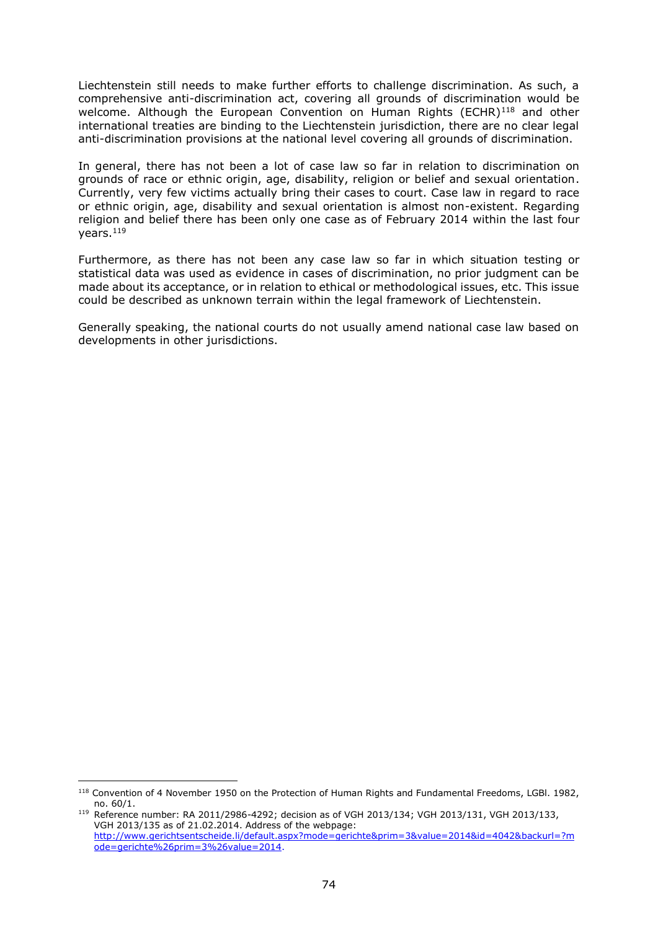Liechtenstein still needs to make further efforts to challenge discrimination. As such, a comprehensive anti-discrimination act, covering all grounds of discrimination would be welcome. Although the European Convention on Human Rights (ECHR)<sup>118</sup> and other international treaties are binding to the Liechtenstein jurisdiction, there are no clear legal anti-discrimination provisions at the national level covering all grounds of discrimination.

In general, there has not been a lot of case law so far in relation to discrimination on grounds of race or ethnic origin, age, disability, religion or belief and sexual orientation. Currently, very few victims actually bring their cases to court. Case law in regard to race or ethnic origin, age, disability and sexual orientation is almost non-existent. Regarding religion and belief there has been only one case as of February 2014 within the last four vears. $119$ 

Furthermore, as there has not been any case law so far in which situation testing or statistical data was used as evidence in cases of discrimination, no prior judgment can be made about its acceptance, or in relation to ethical or methodological issues, etc. This issue could be described as unknown terrain within the legal framework of Liechtenstein.

Generally speaking, the national courts do not usually amend national case law based on developments in other jurisdictions.

<sup>118</sup> Convention of 4 November 1950 on the Protection of Human Rights and Fundamental Freedoms, LGBl. 1982, no. 60/1.

<sup>119</sup> Reference number: RA 2011/2986-4292; decision as of VGH 2013/134; VGH 2013/131, VGH 2013/133, VGH 2013/135 as of 21.02.2014. Address of the webpage: [http://www.gerichtsentscheide.li/default.aspx?mode=gerichte&prim=3&value=2014&id=4042&backurl=?m](http://www.gerichtsentscheide.li/default.aspx?mode=gerichte&prim=3&value=2014&id=4042&backurl=?mode=gerichte%26prim=3%26value=2014) [ode=gerichte%26prim=3%26value=2014.](http://www.gerichtsentscheide.li/default.aspx?mode=gerichte&prim=3&value=2014&id=4042&backurl=?mode=gerichte%26prim=3%26value=2014)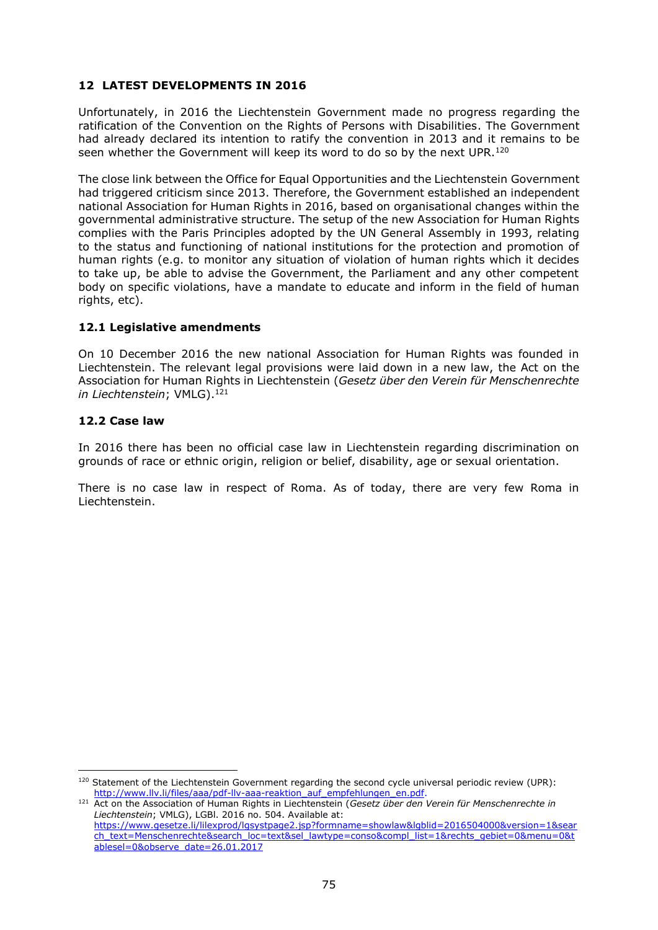# **12 LATEST DEVELOPMENTS IN 2016**

Unfortunately, in 2016 the Liechtenstein Government made no progress regarding the ratification of the Convention on the Rights of Persons with Disabilities. The Government had already declared its intention to ratify the convention in 2013 and it remains to be seen whether the Government will keep its word to do so by the next UPR.<sup>120</sup>

The close link between the Office for Equal Opportunities and the Liechtenstein Government had triggered criticism since 2013. Therefore, the Government established an independent national Association for Human Rights in 2016, based on organisational changes within the governmental administrative structure. The setup of the new Association for Human Rights complies with the [Paris Principles](http://www.nhri.net/pdf/GAres1993.pdf) adopted by the UN General Assembly in 1993, relating to the status and functioning of national institutions for the protection and promotion of [human rights](https://en.wikipedia.org/wiki/Human_rights) (e.g. to monitor any situation of violation of human rights which it decides to take up, be able to advise the Government, the Parliament and any other competent body on specific violations, have a mandate to educate and inform in the field of human rights, etc).

### **12.1 Legislative amendments**

On 10 December 2016 the new national Association for Human Rights was founded in Liechtenstein. The relevant legal provisions were laid down in a new law, the Act on the Association for Human Rights in Liechtenstein (*Gesetz über den Verein für Menschenrechte in Liechtenstein*; VMLG). 121

### **12.2 Case law**

 $\overline{a}$ 

In 2016 there has been no official case law in Liechtenstein regarding discrimination on grounds of race or ethnic origin, religion or belief, disability, age or sexual orientation.

There is no case law in respect of Roma. As of today, there are very few Roma in Liechtenstein.

<sup>120</sup> Statement of the Liechtenstein Government regarding the second cycle universal periodic review (UPR): [http://www.llv.li/files/aaa/pdf-llv-aaa-reaktion\\_auf\\_empfehlungen\\_en.pdf.](http://www.llv.li/files/aaa/pdf-llv-aaa-reaktion_auf_empfehlungen_en.pdf)

<sup>121</sup> Act on the Association of Human Rights in Liechtenstein (*Gesetz über den Verein für Menschenrechte in Liechtenstein*; VMLG), LGBl. 2016 no. 504. Available at: [https://www.gesetze.li/lilexprod/lgsystpage2.jsp?formname=showlaw&lgblid=2016504000&version=1&sear](https://www.gesetze.li/lilexprod/lgsystpage2.jsp?formname=showlaw&lgblid=2016504000&version=1&search_text=Menschenrechte&search_loc=text&sel_lawtype=conso&compl_list=1&rechts_gebiet=0&menu=0&tablesel=0&observe_date=26.01.2017) [ch\\_text=Menschenrechte&search\\_loc=text&sel\\_lawtype=conso&compl\\_list=1&rechts\\_gebiet=0&menu=0&t](https://www.gesetze.li/lilexprod/lgsystpage2.jsp?formname=showlaw&lgblid=2016504000&version=1&search_text=Menschenrechte&search_loc=text&sel_lawtype=conso&compl_list=1&rechts_gebiet=0&menu=0&tablesel=0&observe_date=26.01.2017) [ablesel=0&observe\\_date=26.01.2017](https://www.gesetze.li/lilexprod/lgsystpage2.jsp?formname=showlaw&lgblid=2016504000&version=1&search_text=Menschenrechte&search_loc=text&sel_lawtype=conso&compl_list=1&rechts_gebiet=0&menu=0&tablesel=0&observe_date=26.01.2017)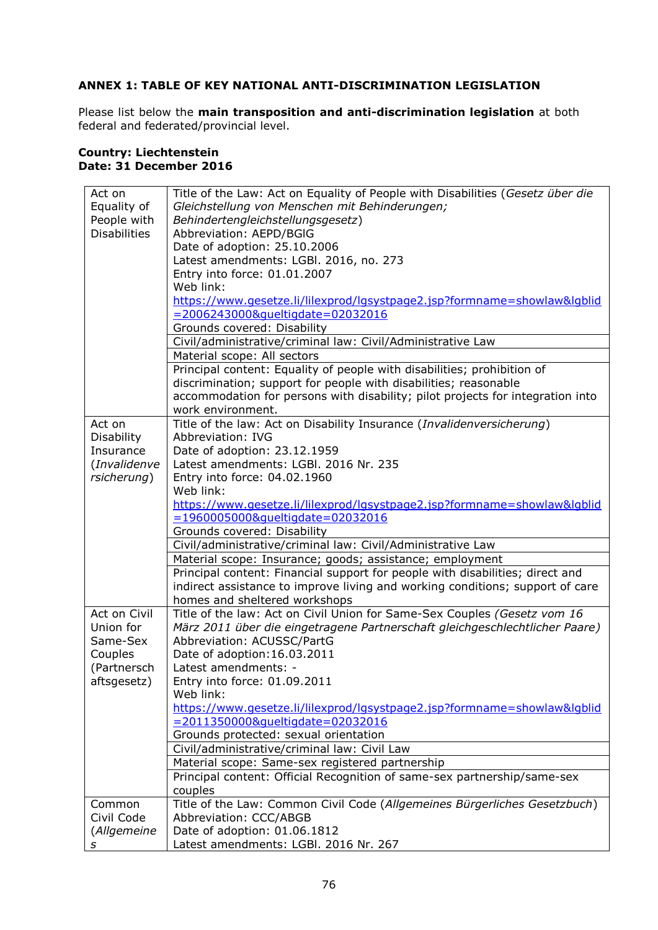# **ANNEX 1: TABLE OF KEY NATIONAL ANTI-DISCRIMINATION LEGISLATION**

Please list below the **main transposition and anti-discrimination legislation** at both federal and federated/provincial level.

#### **Country: Liechtenstein Date: 31 December 2016**

| Act on              | Title of the Law: Act on Equality of People with Disabilities (Gesetz über die                               |
|---------------------|--------------------------------------------------------------------------------------------------------------|
| Equality of         | Gleichstellung von Menschen mit Behinderungen;                                                               |
| People with         | Behindertengleichstellungsgesetz)                                                                            |
| <b>Disabilities</b> | Abbreviation: AEPD/BGIG                                                                                      |
|                     | Date of adoption: 25.10.2006                                                                                 |
|                     | Latest amendments: LGBI. 2016, no. 273                                                                       |
|                     | Entry into force: 01.01.2007                                                                                 |
|                     | Web link:                                                                                                    |
|                     | https://www.qesetze.li/lilexprod/lgsystpage2.jsp?formname=showlaw&lgblid                                     |
|                     | =2006243000&queltigdate=02032016<br>Grounds covered: Disability                                              |
|                     | Civil/administrative/criminal law: Civil/Administrative Law                                                  |
|                     | Material scope: All sectors                                                                                  |
|                     | Principal content: Equality of people with disabilities; prohibition of                                      |
|                     | discrimination; support for people with disabilities; reasonable                                             |
|                     | accommodation for persons with disability; pilot projects for integration into                               |
|                     | work environment.                                                                                            |
| Act on              | Title of the law: Act on Disability Insurance (Invalidenversicherung)                                        |
| Disability          | Abbreviation: IVG                                                                                            |
| Insurance           | Date of adoption: 23.12.1959                                                                                 |
| (Invalidenve        | Latest amendments: LGBI. 2016 Nr. 235                                                                        |
| rsicherung)         | Entry into force: 04.02.1960                                                                                 |
|                     | Web link:                                                                                                    |
|                     | https://www.gesetze.li/lilexprod/lgsystpage2.jsp?formname=showlaw&lgblid                                     |
|                     | =1960005000&queltigdate=02032016                                                                             |
|                     | Grounds covered: Disability                                                                                  |
|                     | Civil/administrative/criminal law: Civil/Administrative Law                                                  |
|                     | Material scope: Insurance; goods; assistance; employment                                                     |
|                     | Principal content: Financial support for people with disabilities; direct and                                |
|                     | indirect assistance to improve living and working conditions; support of care                                |
|                     | homes and sheltered workshops                                                                                |
| Act on Civil        | Title of the law: Act on Civil Union for Same-Sex Couples (Gesetz vom 16                                     |
| Union for           | März 2011 über die eingetragene Partnerschaft gleichgeschlechtlicher Paare)                                  |
| Same-Sex            | Abbreviation: ACUSSC/PartG                                                                                   |
| Couples             | Date of adoption: 16.03.2011                                                                                 |
| (Partnersch         | Latest amendments: -                                                                                         |
| aftsgesetz)         | Entry into force: 01.09.2011                                                                                 |
|                     | Web link:                                                                                                    |
|                     | https://www.gesetze.li/lilexprod/lgsystpage2.jsp?formname=showlaw&lgblid<br>=2011350000&queltigdate=02032016 |
|                     | Grounds protected: sexual orientation                                                                        |
|                     | Civil/administrative/criminal law: Civil Law                                                                 |
|                     | Material scope: Same-sex registered partnership                                                              |
|                     | Principal content: Official Recognition of same-sex partnership/same-sex                                     |
|                     | couples                                                                                                      |
| Common              | Title of the Law: Common Civil Code (Allgemeines Bürgerliches Gesetzbuch)                                    |
| Civil Code          | Abbreviation: CCC/ABGB                                                                                       |
| (Allgemeine         | Date of adoption: 01.06.1812                                                                                 |
|                     | Latest amendments: LGBI. 2016 Nr. 267                                                                        |
| s                   |                                                                                                              |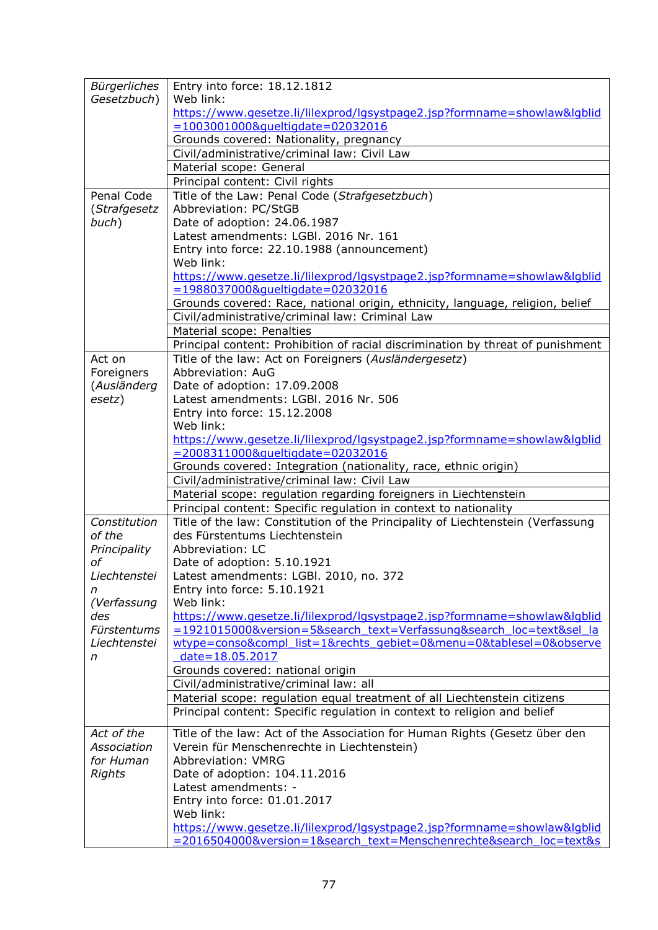| Bürgerliches<br>Gesetzbuch)<br>Penal Code<br>(Strafgesetz<br>buch) | Entry into force: 18.12.1812<br>Web link:<br>https://www.gesetze.li/lilexprod/lgsystpage2.jsp?formname=showlaw&lgblid<br>=1003001000&queltigdate=02032016<br>Grounds covered: Nationality, pregnancy<br>Civil/administrative/criminal law: Civil Law<br>Material scope: General<br>Principal content: Civil rights<br>Title of the Law: Penal Code (Strafgesetzbuch)<br>Abbreviation: PC/StGB<br>Date of adoption: 24.06.1987<br>Latest amendments: LGBI. 2016 Nr. 161<br>Entry into force: 22.10.1988 (announcement)<br>Web link: |  |  |  |  |
|--------------------------------------------------------------------|------------------------------------------------------------------------------------------------------------------------------------------------------------------------------------------------------------------------------------------------------------------------------------------------------------------------------------------------------------------------------------------------------------------------------------------------------------------------------------------------------------------------------------|--|--|--|--|
|                                                                    | https://www.gesetze.li/lilexprod/lgsystpage2.jsp?formname=showlaw&lgblid<br>=1988037000&queltigdate=02032016<br>Grounds covered: Race, national origin, ethnicity, language, religion, belief<br>Civil/administrative/criminal law: Criminal Law                                                                                                                                                                                                                                                                                   |  |  |  |  |
|                                                                    | Material scope: Penalties                                                                                                                                                                                                                                                                                                                                                                                                                                                                                                          |  |  |  |  |
| Act on<br>Foreigners                                               | Principal content: Prohibition of racial discrimination by threat of punishment<br>Title of the law: Act on Foreigners (Ausländergesetz)<br>Abbreviation: AuG                                                                                                                                                                                                                                                                                                                                                                      |  |  |  |  |
| (Ausländerg                                                        | Date of adoption: 17.09.2008                                                                                                                                                                                                                                                                                                                                                                                                                                                                                                       |  |  |  |  |
| esetz)                                                             | Latest amendments: LGBI. 2016 Nr. 506                                                                                                                                                                                                                                                                                                                                                                                                                                                                                              |  |  |  |  |
|                                                                    | Entry into force: 15.12.2008                                                                                                                                                                                                                                                                                                                                                                                                                                                                                                       |  |  |  |  |
|                                                                    | Web link:                                                                                                                                                                                                                                                                                                                                                                                                                                                                                                                          |  |  |  |  |
|                                                                    | https://www.gesetze.li/lilexprod/lgsystpage2.jsp?formname=showlaw&lgblid                                                                                                                                                                                                                                                                                                                                                                                                                                                           |  |  |  |  |
|                                                                    | =2008311000&queltigdate=02032016                                                                                                                                                                                                                                                                                                                                                                                                                                                                                                   |  |  |  |  |
|                                                                    | Grounds covered: Integration (nationality, race, ethnic origin)<br>Civil/administrative/criminal law: Civil Law                                                                                                                                                                                                                                                                                                                                                                                                                    |  |  |  |  |
|                                                                    | Material scope: regulation regarding foreigners in Liechtenstein                                                                                                                                                                                                                                                                                                                                                                                                                                                                   |  |  |  |  |
|                                                                    | Principal content: Specific regulation in context to nationality                                                                                                                                                                                                                                                                                                                                                                                                                                                                   |  |  |  |  |
| Constitution                                                       | Title of the law: Constitution of the Principality of Liechtenstein (Verfassung                                                                                                                                                                                                                                                                                                                                                                                                                                                    |  |  |  |  |
| of the                                                             | des Fürstentums Liechtenstein                                                                                                                                                                                                                                                                                                                                                                                                                                                                                                      |  |  |  |  |
| Principality                                                       | Abbreviation: LC                                                                                                                                                                                                                                                                                                                                                                                                                                                                                                                   |  |  |  |  |
| оf                                                                 | Date of adoption: 5.10.1921                                                                                                                                                                                                                                                                                                                                                                                                                                                                                                        |  |  |  |  |
| Liechtenstei                                                       | Latest amendments: LGBI. 2010, no. 372                                                                                                                                                                                                                                                                                                                                                                                                                                                                                             |  |  |  |  |
| n<br>(Verfassung                                                   | Entry into force: 5.10.1921<br>Web link:                                                                                                                                                                                                                                                                                                                                                                                                                                                                                           |  |  |  |  |
| des                                                                | https://www.qesetze.li/lilexprod/lgsystpage2.jsp?formname=showlaw&lgblid                                                                                                                                                                                                                                                                                                                                                                                                                                                           |  |  |  |  |
| Fürstentums                                                        | =1921015000&version=5&search_text=Verfassung&search_loc=text&sel_la                                                                                                                                                                                                                                                                                                                                                                                                                                                                |  |  |  |  |
| Liechtenstei<br>n                                                  | wtype=conso&compl_list=1&rechts_gebiet=0&menu=0&tablesel=0&observe<br>date=18.05.2017                                                                                                                                                                                                                                                                                                                                                                                                                                              |  |  |  |  |
|                                                                    | Grounds covered: national origin                                                                                                                                                                                                                                                                                                                                                                                                                                                                                                   |  |  |  |  |
|                                                                    | Civil/administrative/criminal law: all                                                                                                                                                                                                                                                                                                                                                                                                                                                                                             |  |  |  |  |
|                                                                    | Material scope: regulation equal treatment of all Liechtenstein citizens                                                                                                                                                                                                                                                                                                                                                                                                                                                           |  |  |  |  |
|                                                                    | Principal content: Specific regulation in context to religion and belief                                                                                                                                                                                                                                                                                                                                                                                                                                                           |  |  |  |  |
| Act of the                                                         | Title of the law: Act of the Association for Human Rights (Gesetz über den                                                                                                                                                                                                                                                                                                                                                                                                                                                         |  |  |  |  |
| Association                                                        | Verein für Menschenrechte in Liechtenstein)                                                                                                                                                                                                                                                                                                                                                                                                                                                                                        |  |  |  |  |
| for Human                                                          | <b>Abbreviation: VMRG</b>                                                                                                                                                                                                                                                                                                                                                                                                                                                                                                          |  |  |  |  |
| <b>Rights</b>                                                      | Date of adoption: 104.11.2016                                                                                                                                                                                                                                                                                                                                                                                                                                                                                                      |  |  |  |  |
|                                                                    | Latest amendments: -                                                                                                                                                                                                                                                                                                                                                                                                                                                                                                               |  |  |  |  |
|                                                                    | Entry into force: 01.01.2017<br>Web link:                                                                                                                                                                                                                                                                                                                                                                                                                                                                                          |  |  |  |  |
|                                                                    | https://www.gesetze.li/lilexprod/lgsystpage2.jsp?formname=showlaw&lgblid                                                                                                                                                                                                                                                                                                                                                                                                                                                           |  |  |  |  |
|                                                                    | =2016504000&version=1&search_text=Menschenrechte&search_loc=text&s                                                                                                                                                                                                                                                                                                                                                                                                                                                                 |  |  |  |  |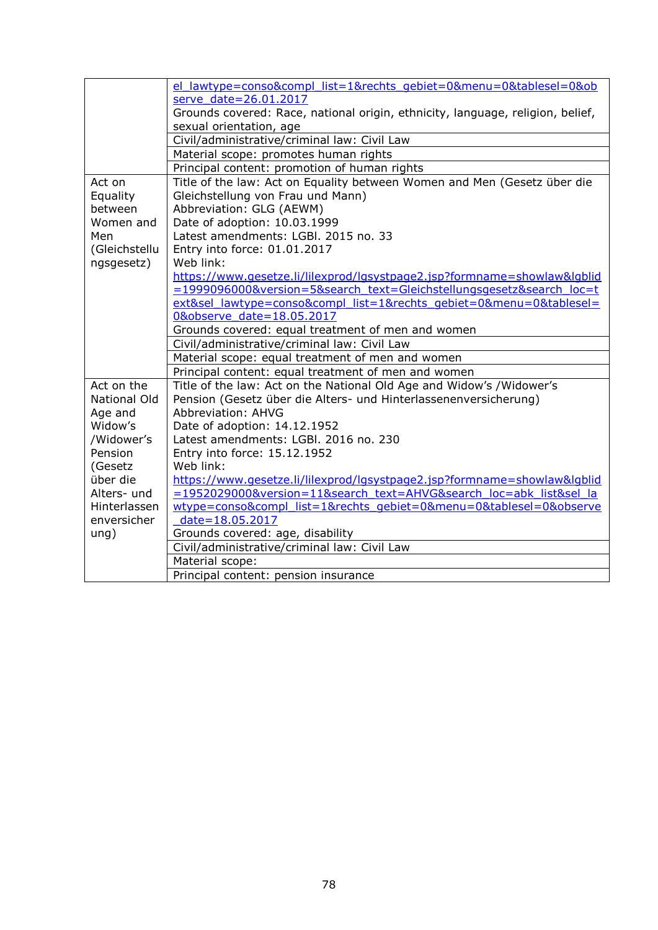|                     | el lawtype=conso&compl list=1&rechts gebiet=0&menu=0&tablesel=0&ob             |  |  |  |  |  |
|---------------------|--------------------------------------------------------------------------------|--|--|--|--|--|
|                     | serve date=26.01.2017                                                          |  |  |  |  |  |
|                     | Grounds covered: Race, national origin, ethnicity, language, religion, belief, |  |  |  |  |  |
|                     | sexual orientation, age                                                        |  |  |  |  |  |
|                     | Civil/administrative/criminal law: Civil Law                                   |  |  |  |  |  |
|                     | Material scope: promotes human rights                                          |  |  |  |  |  |
|                     | Principal content: promotion of human rights                                   |  |  |  |  |  |
| Act on              | Title of the law: Act on Equality between Women and Men (Gesetz über die       |  |  |  |  |  |
| Equality            | Gleichstellung von Frau und Mann)                                              |  |  |  |  |  |
| between             | Abbreviation: GLG (AEWM)                                                       |  |  |  |  |  |
| Women and           | Date of adoption: 10.03.1999                                                   |  |  |  |  |  |
| Men                 | Latest amendments: LGBI. 2015 no. 33                                           |  |  |  |  |  |
| (Gleichstellu       | Entry into force: 01.01.2017                                                   |  |  |  |  |  |
| ngsgesetz)          | Web link:                                                                      |  |  |  |  |  |
|                     | https://www.qesetze.li/lilexprod/lgsystpage2.jsp?formname=showlaw&lgblid       |  |  |  |  |  |
|                     | =1999096000&version=5&search_text=Gleichstellungsgesetz&search_loc=t           |  |  |  |  |  |
|                     | ext&sel_lawtype=conso&compl_list=1&rechts_gebiet=0&menu=0&tablesel=            |  |  |  |  |  |
|                     | 0&observe date=18.05.2017                                                      |  |  |  |  |  |
|                     | Grounds covered: equal treatment of men and women                              |  |  |  |  |  |
|                     | Civil/administrative/criminal law: Civil Law                                   |  |  |  |  |  |
|                     | Material scope: equal treatment of men and women                               |  |  |  |  |  |
|                     | Principal content: equal treatment of men and women                            |  |  |  |  |  |
| Act on the          | Title of the law: Act on the National Old Age and Widow's /Widower's           |  |  |  |  |  |
| <b>National Old</b> | Pension (Gesetz über die Alters- und Hinterlassenenversicherung)               |  |  |  |  |  |
| Age and             | Abbreviation: AHVG                                                             |  |  |  |  |  |
| Widow's             | Date of adoption: 14.12.1952                                                   |  |  |  |  |  |
| /Widower's          | Latest amendments: LGBI, 2016 no. 230                                          |  |  |  |  |  |
| Pension             | Entry into force: 15.12.1952                                                   |  |  |  |  |  |
| (Gesetz             | Web link:                                                                      |  |  |  |  |  |
| über die            | https://www.gesetze.li/lilexprod/lgsystpage2.jsp?formname=showlaw&lgblid       |  |  |  |  |  |
| Alters- und         | =1952029000&version=11&search_text=AHVG&search_loc=abk_list&sel_la             |  |  |  |  |  |
| Hinterlassen        | wtype=conso&compl_list=1&rechts_gebiet=0&menu=0&tablesel=0&observe             |  |  |  |  |  |
| enversicher         | date=18.05.2017                                                                |  |  |  |  |  |
| ung)                | Grounds covered: age, disability                                               |  |  |  |  |  |
|                     | Civil/administrative/criminal law: Civil Law                                   |  |  |  |  |  |
|                     | Material scope:                                                                |  |  |  |  |  |
|                     | Principal content: pension insurance                                           |  |  |  |  |  |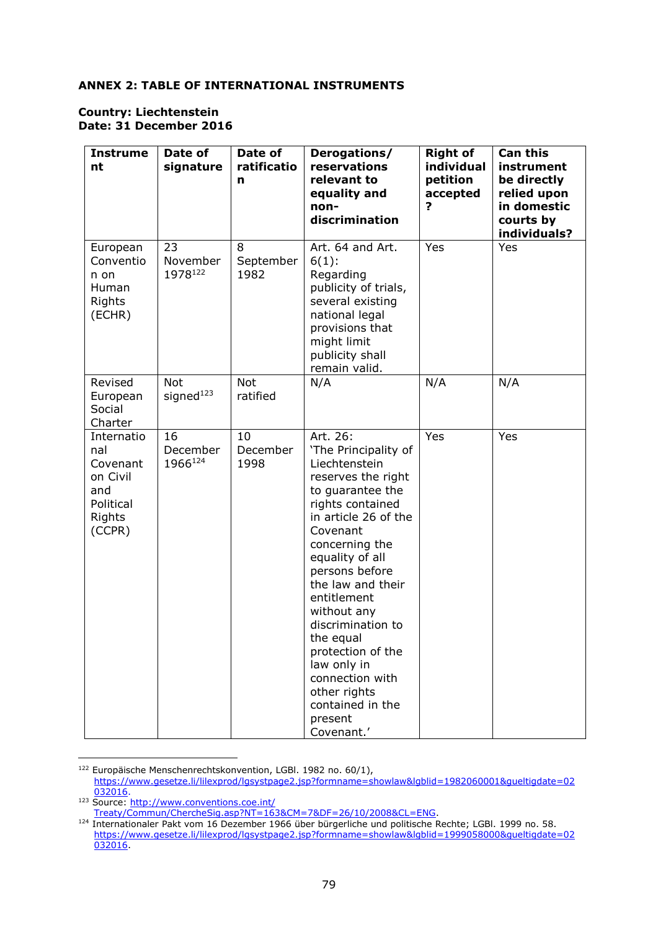## **ANNEX 2: TABLE OF INTERNATIONAL INSTRUMENTS**

#### **Country: Liechtenstein Date: 31 December 2016**

| <b>Instrume</b><br>nt                                                             | Date of<br>signature                | Date of<br>ratificatio<br>n | Derogations/<br>reservations<br>relevant to<br>equality and<br>non-<br>discrimination                                                                                                                                                                                                                                                                                                                               | <b>Right of</b><br>individual<br>petition<br>accepted<br>? | <b>Can this</b><br>instrument<br>be directly<br>relied upon<br>in domestic<br>courts by<br>individuals? |
|-----------------------------------------------------------------------------------|-------------------------------------|-----------------------------|---------------------------------------------------------------------------------------------------------------------------------------------------------------------------------------------------------------------------------------------------------------------------------------------------------------------------------------------------------------------------------------------------------------------|------------------------------------------------------------|---------------------------------------------------------------------------------------------------------|
| European<br>Conventio<br>n on<br>Human<br>Rights<br>(ECHR)                        | 23<br>November<br>1978122           | 8<br>September<br>1982      | Art. 64 and Art.<br>$6(1)$ :<br>Regarding<br>publicity of trials,<br>several existing<br>national legal<br>provisions that<br>might limit<br>publicity shall<br>remain valid.                                                                                                                                                                                                                                       | Yes                                                        | Yes                                                                                                     |
| Revised<br>European<br>Social<br>Charter                                          | <b>Not</b><br>signed <sup>123</sup> | <b>Not</b><br>ratified      | N/A                                                                                                                                                                                                                                                                                                                                                                                                                 | N/A                                                        | N/A                                                                                                     |
| Internatio<br>nal<br>Covenant<br>on Civil<br>and<br>Political<br>Rights<br>(CCPR) | 16<br>December<br>1966124           | 10<br>December<br>1998      | Art. 26:<br>'The Principality of<br>Liechtenstein<br>reserves the right<br>to guarantee the<br>rights contained<br>in article 26 of the<br>Covenant<br>concerning the<br>equality of all<br>persons before<br>the law and their<br>entitlement<br>without any<br>discrimination to<br>the equal<br>protection of the<br>law only in<br>connection with<br>other rights<br>contained in the<br>present<br>Covenant.' | Yes                                                        | Yes                                                                                                     |

<sup>122</sup> Europäische Menschenrechtskonvention, LGBl. 1982 no. 60/1), [https://www.gesetze.li/lilexprod/lgsystpage2.jsp?formname=showlaw&lgblid=1982060001&gueltigdate=02](https://www.gesetze.li/lilexprod/lgsystpage2.jsp?formname=showlaw&lgblid=1982060001&gueltigdate=02032016) [032016.](https://www.gesetze.li/lilexprod/lgsystpage2.jsp?formname=showlaw&lgblid=1982060001&gueltigdate=02032016) <sup>123</sup> Source[: http://www.conventions.coe.int/](http://www.conventions.coe.int/Treaty/Commun/ChercheSig.asp?NT=163&CM=7&DF=26/10/2008&CL=ENG)

[Treaty/Commun/ChercheSig.asp?NT=163&CM=7&DF=26/10/2008&CL=ENG.](http://www.conventions.coe.int/Treaty/Commun/ChercheSig.asp?NT=163&CM=7&DF=26/10/2008&CL=ENG)

<sup>&</sup>lt;sup>124</sup> Internationaler Pakt vom 16 Dezember 1966 über bürgerliche und politische Rechte; LGBI. 1999 no. 58. [https://www.gesetze.li/lilexprod/lgsystpage2.jsp?formname=showlaw&lgblid=1999058000&gueltigdate=02](https://www.gesetze.li/lilexprod/lgsystpage2.jsp?formname=showlaw&lgblid=1999058000&gueltigdate=02032016) [032016.](https://www.gesetze.li/lilexprod/lgsystpage2.jsp?formname=showlaw&lgblid=1999058000&gueltigdate=02032016)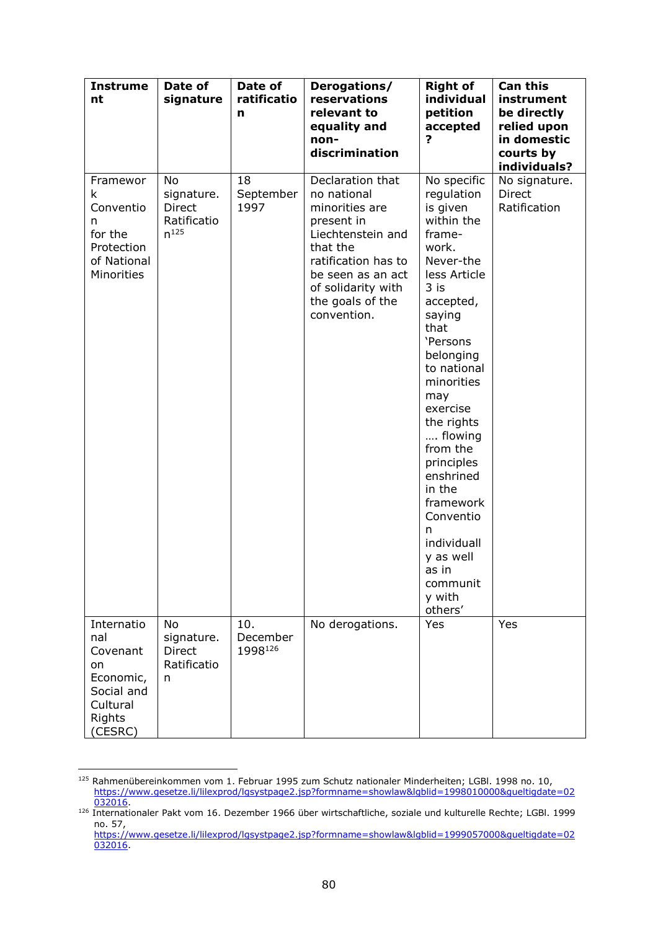| <b>Instrume</b><br>nt                                                                           | Date of<br>signature                                   | Date of<br>ratificatio<br>n | Derogations/<br>reservations<br>relevant to<br>equality and<br>non-<br>discrimination                                                                                                                 | <b>Right of</b><br>individual<br>petition<br>accepted<br>?                                                                                                                                                                                                                                                                                                                                         | <b>Can this</b><br>instrument<br>be directly<br>relied upon<br>in domestic<br>courts by<br>individuals? |
|-------------------------------------------------------------------------------------------------|--------------------------------------------------------|-----------------------------|-------------------------------------------------------------------------------------------------------------------------------------------------------------------------------------------------------|----------------------------------------------------------------------------------------------------------------------------------------------------------------------------------------------------------------------------------------------------------------------------------------------------------------------------------------------------------------------------------------------------|---------------------------------------------------------------------------------------------------------|
| Framewor<br>k<br>Conventio<br>n<br>for the<br>Protection<br>of National<br>Minorities           | No<br>signature.<br>Direct<br>Ratificatio<br>$n^{125}$ | 18<br>September<br>1997     | Declaration that<br>no national<br>minorities are<br>present in<br>Liechtenstein and<br>that the<br>ratification has to<br>be seen as an act<br>of solidarity with<br>the goals of the<br>convention. | No specific<br>regulation<br>is given<br>within the<br>frame-<br>work.<br>Never-the<br>less Article<br>3 is<br>accepted,<br>saying<br>that<br>'Persons<br>belonging<br>to national<br>minorities<br>may<br>exercise<br>the rights<br>flowing<br>from the<br>principles<br>enshrined<br>in the<br>framework<br>Conventio<br>n<br>individuall<br>y as well<br>as in<br>communit<br>y with<br>others' | No signature.<br>Direct<br>Ratification                                                                 |
| Internatio<br>nal<br>Covenant<br>on<br>Economic,<br>Social and<br>Cultural<br>Rights<br>(CESRC) | No<br>signature.<br><b>Direct</b><br>Ratificatio<br>n  | 10.<br>December<br>1998126  | No derogations.                                                                                                                                                                                       | Yes                                                                                                                                                                                                                                                                                                                                                                                                | Yes                                                                                                     |

<sup>125</sup> Rahmenübereinkommen vom 1. Februar 1995 zum Schutz nationaler Minderheiten; LGBl. 1998 no. 10, [https://www.gesetze.li/lilexprod/lgsystpage2.jsp?formname=showlaw&lgblid=1998010000&gueltigdate=02](https://www.gesetze.li/lilexprod/lgsystpage2.jsp?formname=showlaw&lgblid=1998010000&gueltigdate=02032016) [032016.](https://www.gesetze.li/lilexprod/lgsystpage2.jsp?formname=showlaw&lgblid=1998010000&gueltigdate=02032016)

<sup>126</sup> Internationaler Pakt vom 16. Dezember 1966 über wirtschaftliche, soziale und kulturelle Rechte; LGBl. 1999 no. 57,

[https://www.gesetze.li/lilexprod/lgsystpage2.jsp?formname=showlaw&lgblid=1999057000&gueltigdate=02](https://www.gesetze.li/lilexprod/lgsystpage2.jsp?formname=showlaw&lgblid=1999057000&gueltigdate=02032016) [032016.](https://www.gesetze.li/lilexprod/lgsystpage2.jsp?formname=showlaw&lgblid=1999057000&gueltigdate=02032016)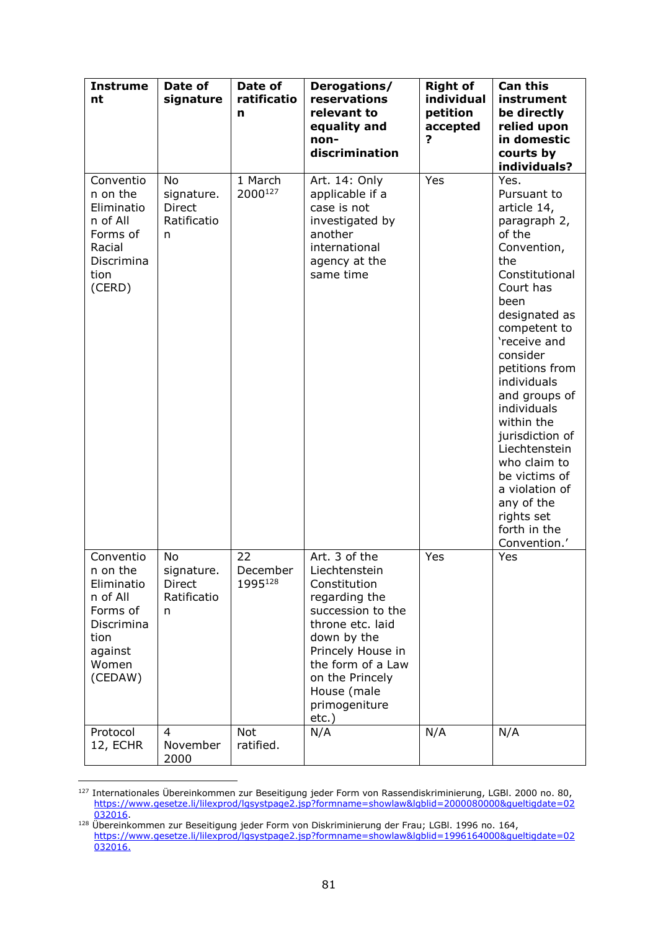| <b>Instrume</b><br>nt                                                                                            | Date of<br>signature                                  | Date of<br>ratificatio<br>n | Derogations/<br>reservations<br>relevant to<br>equality and<br>non-<br>discrimination                                                                                                                                            | <b>Right of</b><br>individual<br>petition<br>accepted<br>2 | <b>Can this</b><br>instrument<br>be directly<br>relied upon<br>in domestic<br>courts by<br>individuals?                                                                                                                                                                                                                                                                                                                  |
|------------------------------------------------------------------------------------------------------------------|-------------------------------------------------------|-----------------------------|----------------------------------------------------------------------------------------------------------------------------------------------------------------------------------------------------------------------------------|------------------------------------------------------------|--------------------------------------------------------------------------------------------------------------------------------------------------------------------------------------------------------------------------------------------------------------------------------------------------------------------------------------------------------------------------------------------------------------------------|
| Conventio<br>n on the<br>Eliminatio<br>n of All<br>Forms of<br>Racial<br>Discrimina<br>tion<br>(CERD)            | No<br>signature.<br><b>Direct</b><br>Ratificatio<br>n | 1 March<br>2000127          | Art. 14: Only<br>applicable if a<br>case is not<br>investigated by<br>another<br>international<br>agency at the<br>same time                                                                                                     | Yes                                                        | Yes.<br>Pursuant to<br>article 14,<br>paragraph 2,<br>of the<br>Convention,<br>the<br>Constitutional<br>Court has<br>been<br>designated as<br>competent to<br>'receive and<br>consider<br>petitions from<br>individuals<br>and groups of<br>individuals<br>within the<br>jurisdiction of<br>Liechtenstein<br>who claim to<br>be victims of<br>a violation of<br>any of the<br>rights set<br>forth in the<br>Convention.' |
| Conventio<br>n on the<br>Eliminatio<br>n of All<br>Forms of<br>Discrimina<br>tion<br>against<br>Women<br>(CEDAW) | <b>No</b><br>signature.<br>Direct<br>Ratificatio<br>n | 22<br>December<br>1995128   | Art. 3 of the<br>Liechtenstein<br>Constitution<br>regarding the<br>succession to the<br>throne etc. laid<br>down by the<br>Princely House in<br>the form of a Law<br>on the Princely<br>House (male<br>primogeniture<br>$etc.$ ) | Yes                                                        | Yes                                                                                                                                                                                                                                                                                                                                                                                                                      |
| Protocol<br>12, ECHR                                                                                             | 4<br>November<br>2000                                 | <b>Not</b><br>ratified.     | N/A                                                                                                                                                                                                                              | N/A                                                        | N/A                                                                                                                                                                                                                                                                                                                                                                                                                      |

<sup>&</sup>lt;sup>127</sup> Internationales Übereinkommen zur Beseitigung jeder Form von Rassendiskriminierung, LGBl. 2000 no. 80, [https://www.gesetze.li/lilexprod/lgsystpage2.jsp?formname=showlaw&lgblid=2000080000&gueltigdate=02](https://www.gesetze.li/lilexprod/lgsystpage2.jsp?formname=showlaw&lgblid=2000080000&gueltigdate=02032016) [032016.](https://www.gesetze.li/lilexprod/lgsystpage2.jsp?formname=showlaw&lgblid=2000080000&gueltigdate=02032016)

<sup>&</sup>lt;sup>128</sup> Übereinkommen zur Beseitigung jeder Form von Diskriminierung der Frau; LGBI. 1996 no. 164, [https://www.gesetze.li/lilexprod/lgsystpage2.jsp?formname=showlaw&lgblid=1996164000&gueltigdate=02](https://www.gesetze.li/lilexprod/lgsystpage2.jsp?formname=showlaw&lgblid=1996164000&gueltigdate=02032016) [032016.](https://www.gesetze.li/lilexprod/lgsystpage2.jsp?formname=showlaw&lgblid=1996164000&gueltigdate=02032016)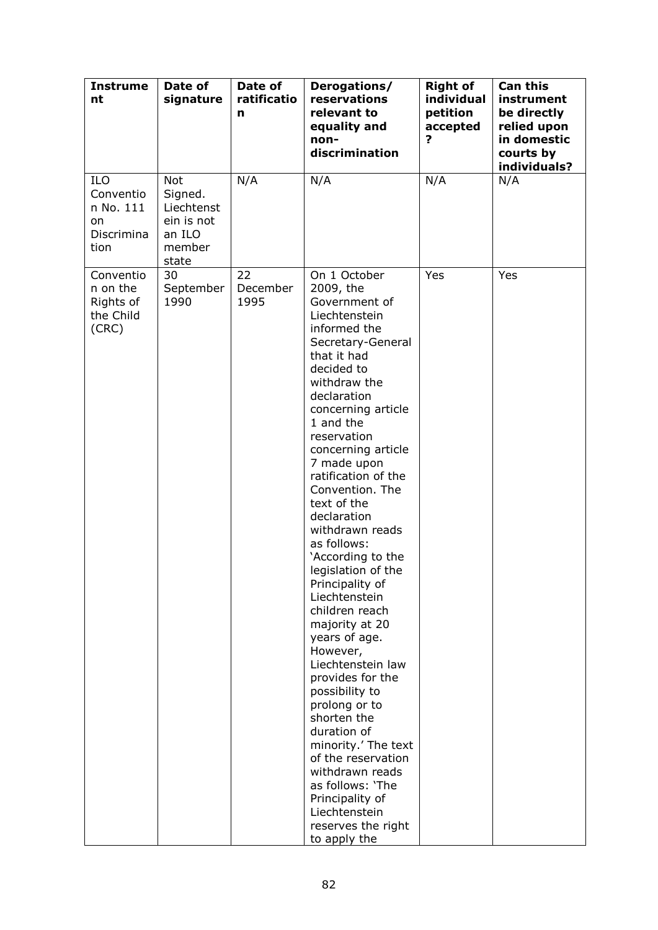| <b>Instrume</b><br>nt                                            | Date of<br>signature                                                           | Date of<br>ratificatio<br>n | Derogations/<br>reservations<br>relevant to<br>equality and<br>non-<br>discrimination                                                                                                                                                                                                                                                                                                                                                                                                                                                                                                                                                                                                                                                                                                 | <b>Right of</b><br>individual<br>petition<br>accepted<br>7 | <b>Can this</b><br>instrument<br>be directly<br>relied upon<br>in domestic<br>courts by<br>individuals? |
|------------------------------------------------------------------|--------------------------------------------------------------------------------|-----------------------------|---------------------------------------------------------------------------------------------------------------------------------------------------------------------------------------------------------------------------------------------------------------------------------------------------------------------------------------------------------------------------------------------------------------------------------------------------------------------------------------------------------------------------------------------------------------------------------------------------------------------------------------------------------------------------------------------------------------------------------------------------------------------------------------|------------------------------------------------------------|---------------------------------------------------------------------------------------------------------|
| <b>ILO</b><br>Conventio<br>n No. 111<br>on<br>Discrimina<br>tion | <b>Not</b><br>Signed.<br>Liechtenst<br>ein is not<br>an ILO<br>member<br>state | N/A                         | N/A                                                                                                                                                                                                                                                                                                                                                                                                                                                                                                                                                                                                                                                                                                                                                                                   | N/A                                                        | N/A                                                                                                     |
| Conventio<br>n on the<br>Rights of<br>the Child<br>(CRC)         | 30<br>September<br>1990                                                        | 22<br>December<br>1995      | On 1 October<br>2009, the<br>Government of<br>Liechtenstein<br>informed the<br>Secretary-General<br>that it had<br>decided to<br>withdraw the<br>declaration<br>concerning article<br>1 and the<br>reservation<br>concerning article<br>7 made upon<br>ratification of the<br>Convention. The<br>text of the<br>declaration<br>withdrawn reads<br>as follows:<br>'According to the<br>legislation of the<br>Principality of<br>Liechtenstein<br>children reach<br>majority at 20<br>years of age.<br>However,<br>Liechtenstein law<br>provides for the<br>possibility to<br>prolong or to<br>shorten the<br>duration of<br>minority.' The text<br>of the reservation<br>withdrawn reads<br>as follows: 'The<br>Principality of<br>Liechtenstein<br>reserves the right<br>to apply the | Yes                                                        | Yes                                                                                                     |